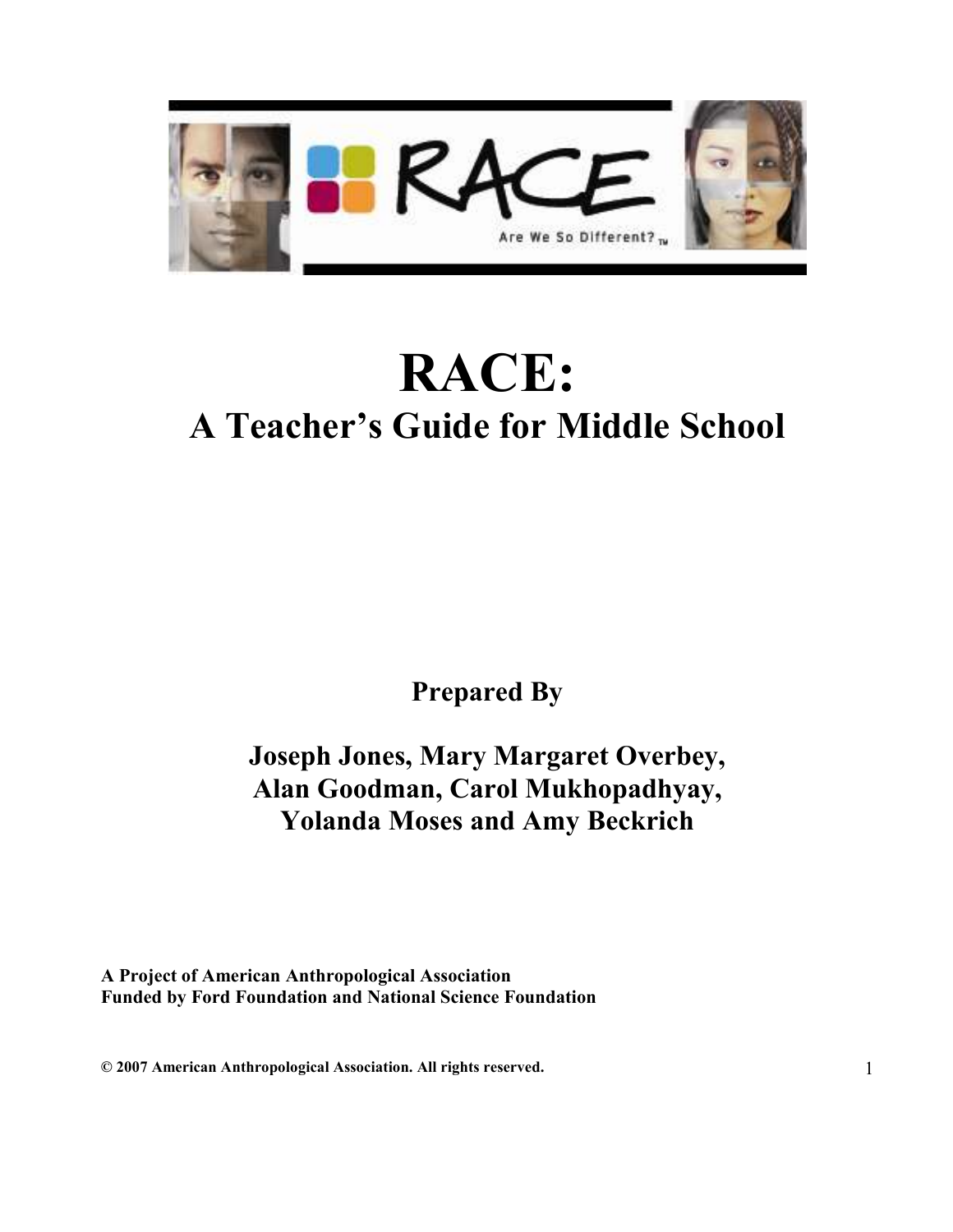

# RACE: A Teacher's Guide for Middle School

Prepared By

Joseph Jones, Mary Margaret Overbey, Alan Goodman, Carol Mukhopadhyay, Yolanda Moses and Amy Beckrich

A Project of American Anthropological Association Funded by Ford Foundation and National Science Foundation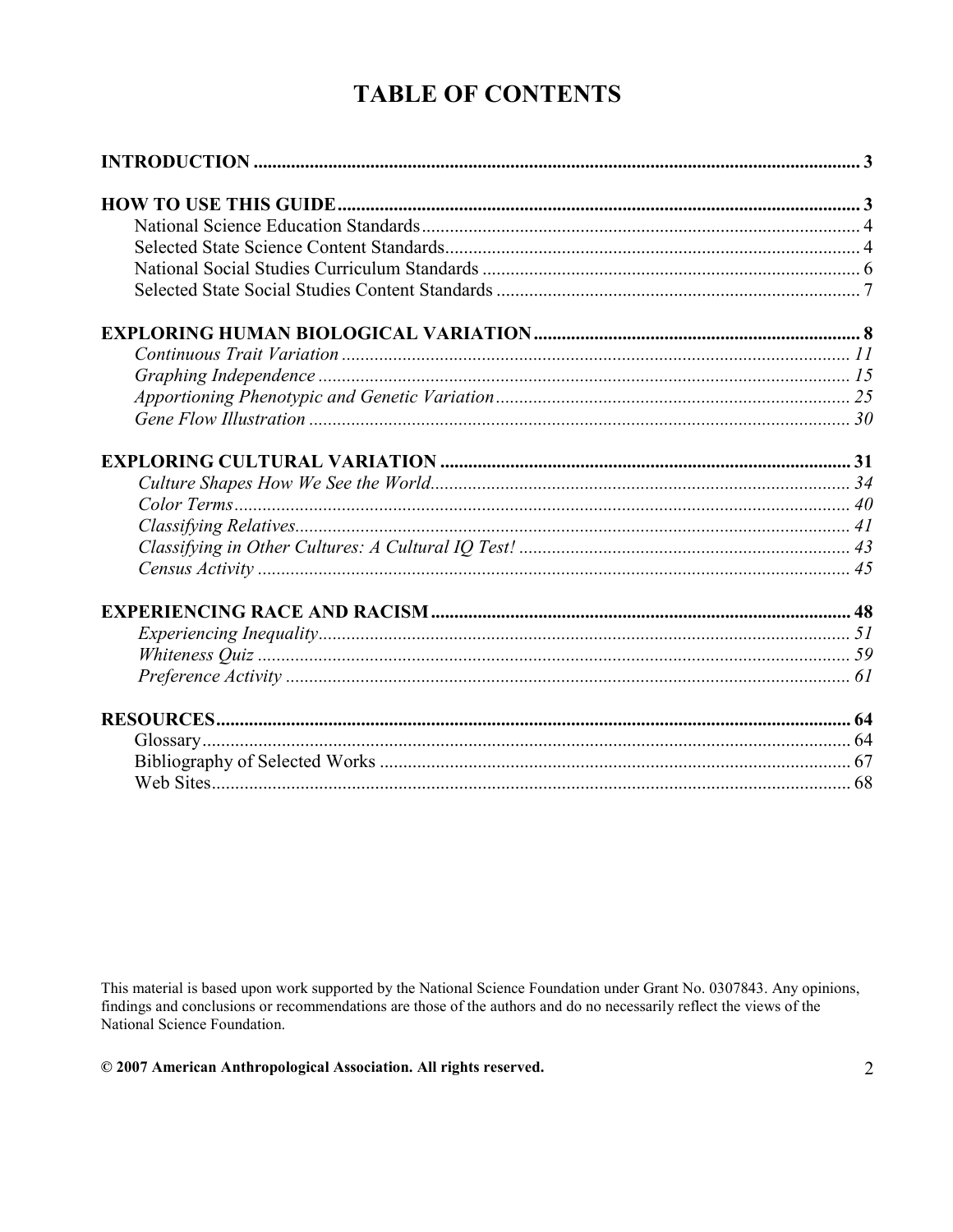# **TABLE OF CONTENTS**

This material is based upon work supported by the National Science Foundation under Grant No. 0307843. Any opinions, findings and conclusions or recommendations are those of the authors and do no necessarily reflect the vi National Science Foundation.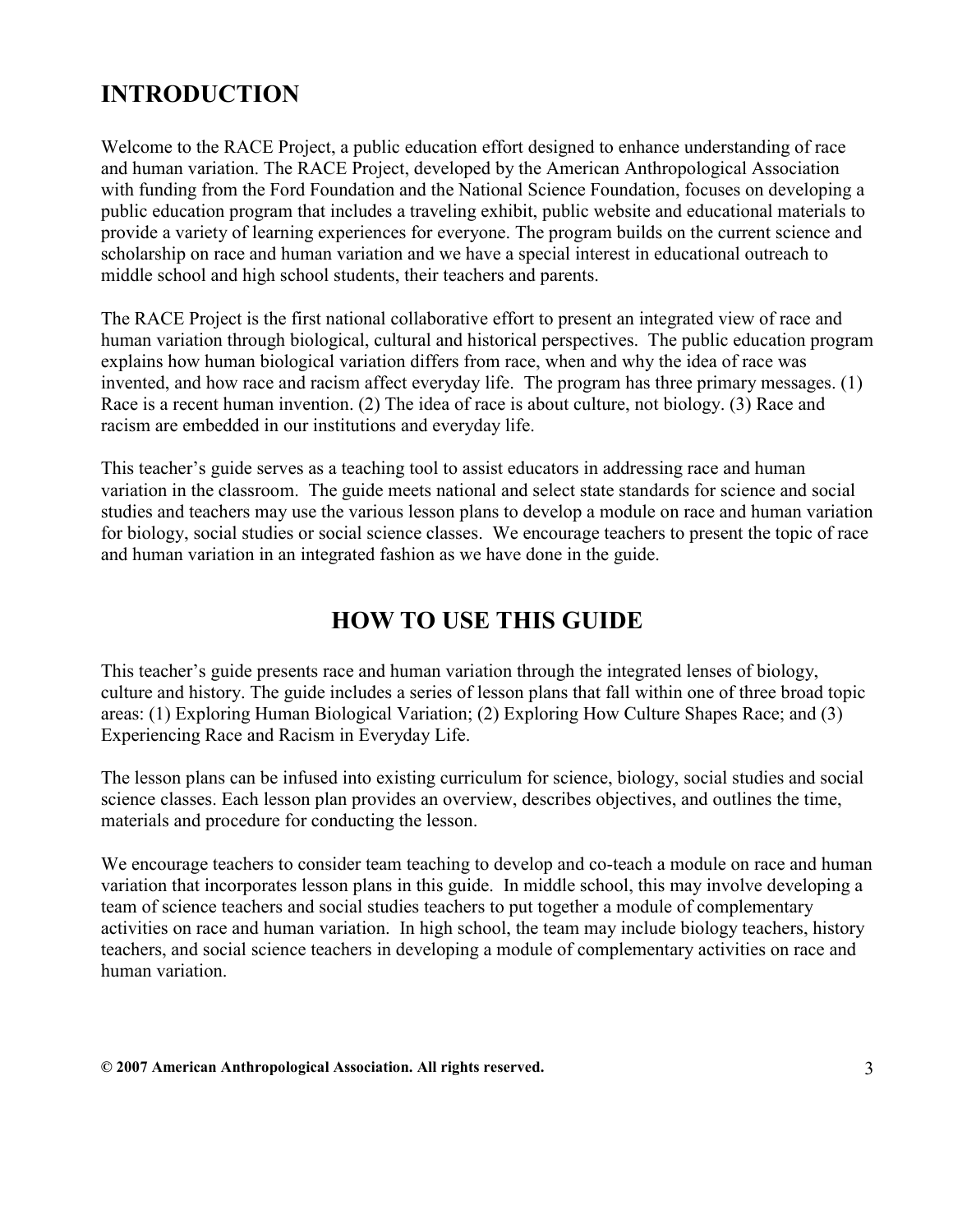# INTRODUCTION

Welcome to the RACE Project, a public education effort designed to enhance understanding of race and human variation. The RACE Project, developed by the American Anthropological Association with funding from the Ford Foundation and the National Science Foundation, focuses on developing a public education program that includes a traveling exhibit, public website and educational materials to provide a variety of learning experiences for everyone. The program builds on the current science and scholarship on race and human variation and we have a special interest in educational outreach to middle school and high school students, their teachers and parents.

The RACE Project is the first national collaborative effort to present an integrated view of race and human variation through biological, cultural and historical perspectives. The public education program explains how human biological variation differs from race, when and why the idea of race was invented, and how race and racism affect everyday life. The program has three primary messages. (1) Race is a recent human invention. (2) The idea of race is about culture, not biology. (3) Race and racism are embedded in our institutions and everyday life.

This teacher's guide serves as a teaching tool to assist educators in addressing race and human variation in the classroom. The guide meets national and select state standards for science and social studies and teachers may use the various lesson plans to develop a module on race and human variation for biology, social studies or social science classes. We encourage teachers to present the topic of race and human variation in an integrated fashion as we have done in the guide.

# HOW TO USE THIS GUIDE

This teacher's guide presents race and human variation through the integrated lenses of biology, culture and history. The guide includes a series of lesson plans that fall within one of three broad topic areas: (1) Exploring Human Biological Variation; (2) Exploring How Culture Shapes Race; and (3) Experiencing Race and Racism in Everyday Life.

The lesson plans can be infused into existing curriculum for science, biology, social studies and social science classes. Each lesson plan provides an overview, describes objectives, and outlines the time, materials and procedure for conducting the lesson.

We encourage teachers to consider team teaching to develop and co-teach a module on race and human variation that incorporates lesson plans in this guide. In middle school, this may involve developing a team of science teachers and social studies teachers to put together a module of complementary activities on race and human variation. In high school, the team may include biology teachers, history teachers, and social science teachers in developing a module of complementary activities on race and human variation.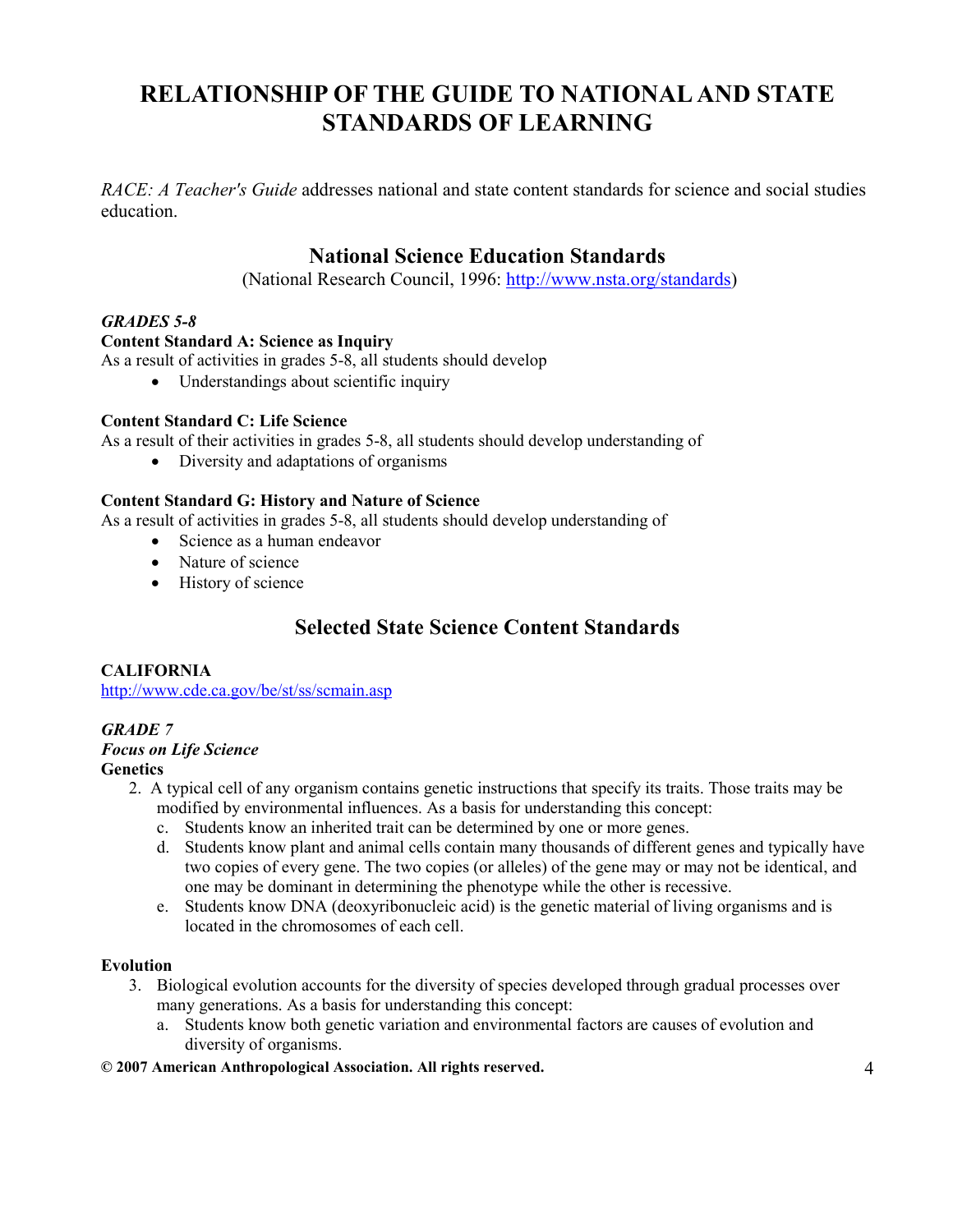# RELATIONSHIP OF THE GUIDE TO NATIONAL AND STATE STANDARDS OF LEARNING

RACE: A Teacher's Guide addresses national and state content standards for science and social studies education.

# National Science Education Standards

(National Research Council, 1996: http://www.nsta.org/standards)

#### GRADES 5-8

#### Content Standard A: Science as Inquiry

As a result of activities in grades 5-8, all students should develop

• Understandings about scientific inquiry

#### Content Standard C: Life Science

As a result of their activities in grades 5-8, all students should develop understanding of

• Diversity and adaptations of organisms

#### Content Standard G: History and Nature of Science

As a result of activities in grades 5-8, all students should develop understanding of

- Science as a human endeavor
- Nature of science
- History of science

# Selected State Science Content Standards

#### **CALIFORNIA**

http://www.cde.ca.gov/be/st/ss/scmain.asp

#### GRADE 7 Focus on Life Science **Genetics**

- 2. A typical cell of any organism contains genetic instructions that specify its traits. Those traits may be modified by environmental influences. As a basis for understanding this concept:
	- c. Students know an inherited trait can be determined by one or more genes.
	- d. Students know plant and animal cells contain many thousands of different genes and typically have two copies of every gene. The two copies (or alleles) of the gene may or may not be identical, and one may be dominant in determining the phenotype while the other is recessive.
	- e. Students know DNA (deoxyribonucleic acid) is the genetic material of living organisms and is located in the chromosomes of each cell.

#### Evolution

- 3. Biological evolution accounts for the diversity of species developed through gradual processes over many generations. As a basis for understanding this concept:
	- a. Students know both genetic variation and environmental factors are causes of evolution and diversity of organisms.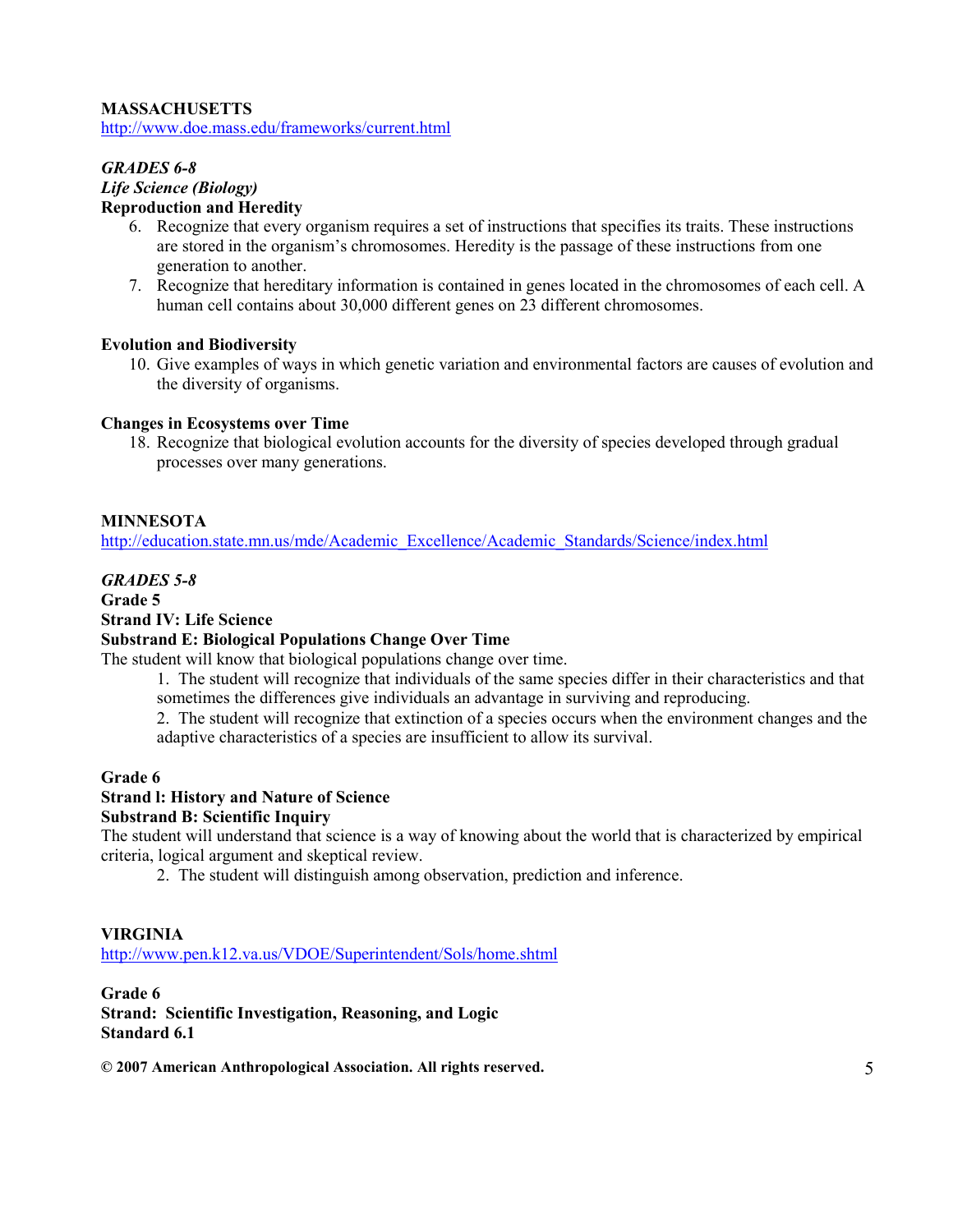#### MASSACHUSETTS

http://www.doe.mass.edu/frameworks/current.html

#### GRADES 6-8 Life Science (Biology) Reproduction and Heredity

- 6. Recognize that every organism requires a set of instructions that specifies its traits. These instructions are stored in the organism's chromosomes. Heredity is the passage of these instructions from one generation to another.
- 7. Recognize that hereditary information is contained in genes located in the chromosomes of each cell. A human cell contains about 30,000 different genes on 23 different chromosomes.

#### Evolution and Biodiversity

10. Give examples of ways in which genetic variation and environmental factors are causes of evolution and the diversity of organisms.

#### Changes in Ecosystems over Time

18. Recognize that biological evolution accounts for the diversity of species developed through gradual processes over many generations.

#### MINNESOTA

http://education.state.mn.us/mde/Academic\_Excellence/Academic\_Standards/Science/index.html

#### GRADES 5-8

#### Grade 5

#### Strand IV: Life Science

#### Substrand E: Biological Populations Change Over Time

The student will know that biological populations change over time.

1. The student will recognize that individuals of the same species differ in their characteristics and that sometimes the differences give individuals an advantage in surviving and reproducing.

2. The student will recognize that extinction of a species occurs when the environment changes and the adaptive characteristics of a species are insufficient to allow its survival.

#### Grade 6

#### Strand l: History and Nature of Science

#### Substrand B: Scientific Inquiry

The student will understand that science is a way of knowing about the world that is characterized by empirical criteria, logical argument and skeptical review.

2. The student will distinguish among observation, prediction and inference.

#### VIRGINIA

http://www.pen.k12.va.us/VDOE/Superintendent/Sols/home.shtml

Grade 6 Strand: Scientific Investigation, Reasoning, and Logic Standard 6.1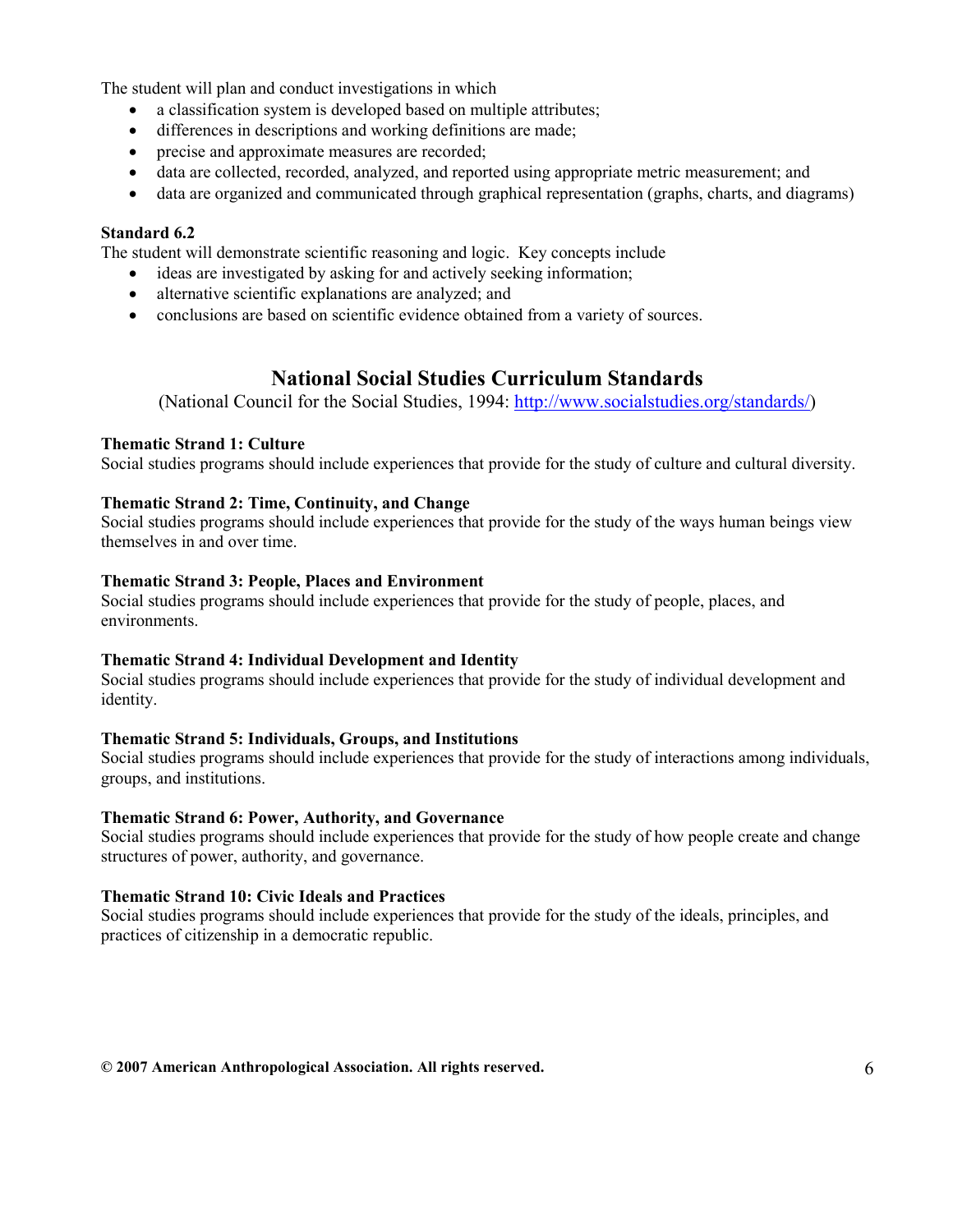The student will plan and conduct investigations in which

- a classification system is developed based on multiple attributes;
- differences in descriptions and working definitions are made;
- precise and approximate measures are recorded;
- data are collected, recorded, analyzed, and reported using appropriate metric measurement; and
- data are organized and communicated through graphical representation (graphs, charts, and diagrams)

#### Standard 6.2

The student will demonstrate scientific reasoning and logic. Key concepts include

- ideas are investigated by asking for and actively seeking information;
- alternative scientific explanations are analyzed; and
- conclusions are based on scientific evidence obtained from a variety of sources.

# National Social Studies Curriculum Standards

(National Council for the Social Studies, 1994: http://www.socialstudies.org/standards/)

#### Thematic Strand 1: Culture

Social studies programs should include experiences that provide for the study of culture and cultural diversity.

#### Thematic Strand 2: Time, Continuity, and Change

Social studies programs should include experiences that provide for the study of the ways human beings view themselves in and over time.

#### Thematic Strand 3: People, Places and Environment

Social studies programs should include experiences that provide for the study of people, places, and environments.

#### Thematic Strand 4: Individual Development and Identity

Social studies programs should include experiences that provide for the study of individual development and identity.

#### Thematic Strand 5: Individuals, Groups, and Institutions

Social studies programs should include experiences that provide for the study of interactions among individuals, groups, and institutions.

#### Thematic Strand 6: Power, Authority, and Governance

Social studies programs should include experiences that provide for the study of how people create and change structures of power, authority, and governance.

#### Thematic Strand 10: Civic Ideals and Practices

Social studies programs should include experiences that provide for the study of the ideals, principles, and practices of citizenship in a democratic republic.

#### $@$  2007 American Anthropological Association. All rights reserved.  $6 \overline{6}$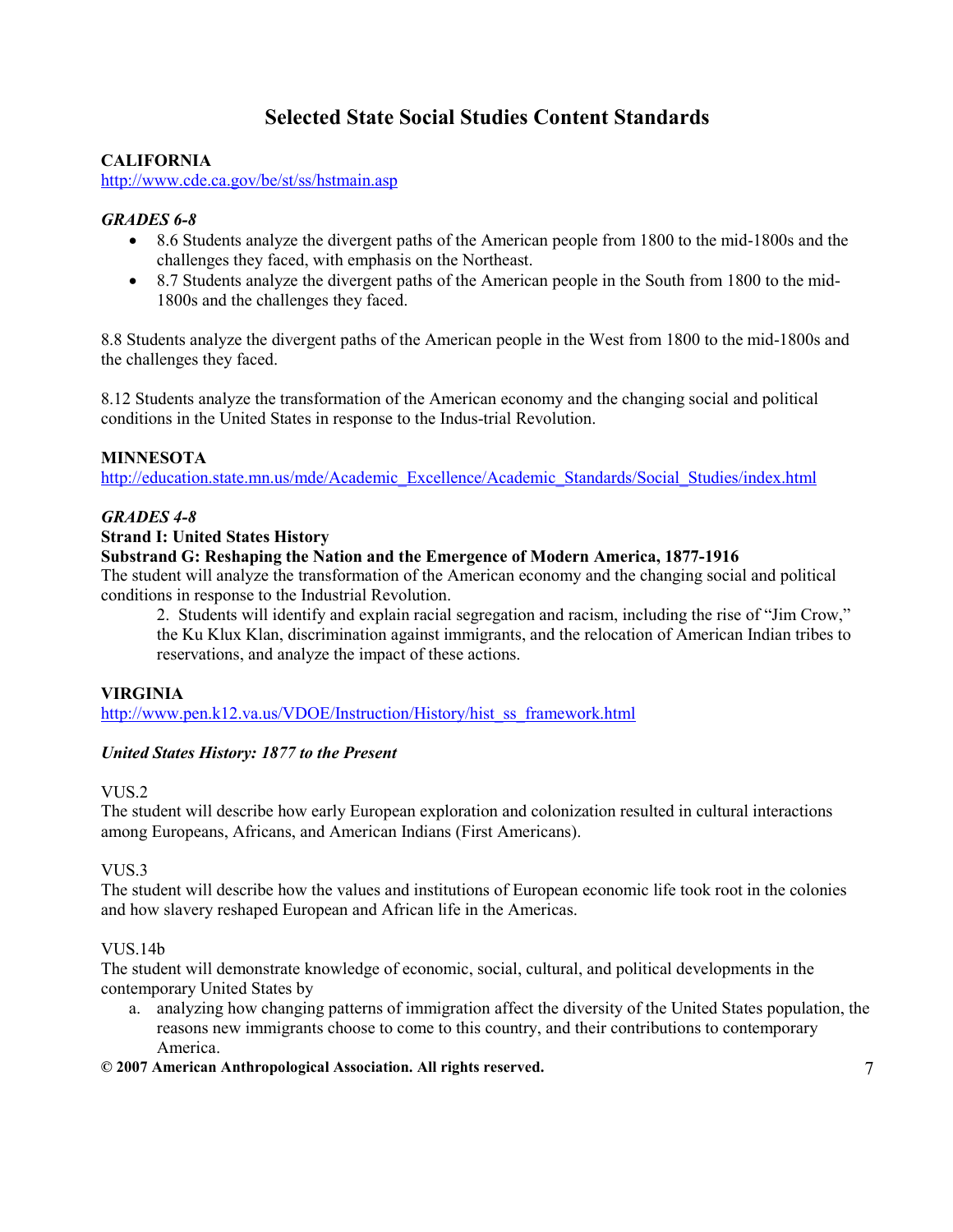# Selected State Social Studies Content Standards

#### CALIFORNIA

http://www.cde.ca.gov/be/st/ss/hstmain.asp

#### GRADES 6-8

- 8.6 Students analyze the divergent paths of the American people from 1800 to the mid-1800s and the challenges they faced, with emphasis on the Northeast.
- 8.7 Students analyze the divergent paths of the American people in the South from 1800 to the mid-1800s and the challenges they faced.

8.8 Students analyze the divergent paths of the American people in the West from 1800 to the mid-1800s and the challenges they faced.

8.12 Students analyze the transformation of the American economy and the changing social and political conditions in the United States in response to the Indus-trial Revolution.

#### MINNESOTA

http://education.state.mn.us/mde/Academic\_Excellence/Academic\_Standards/Social\_Studies/index.html

#### GRADES 4-8

#### Strand I: United States History

#### Substrand G: Reshaping the Nation and the Emergence of Modern America, 1877-1916

The student will analyze the transformation of the American economy and the changing social and political conditions in response to the Industrial Revolution.

2. Students will identify and explain racial segregation and racism, including the rise of "Jim Crow," the Ku Klux Klan, discrimination against immigrants, and the relocation of American Indian tribes to reservations, and analyze the impact of these actions.

#### VIRGINIA

http://www.pen.k12.va.us/VDOE/Instruction/History/hist\_ss\_framework.html

#### United States History: 1877 to the Present

#### VUS.2

The student will describe how early European exploration and colonization resulted in cultural interactions among Europeans, Africans, and American Indians (First Americans).

#### VUS<sub>3</sub>

The student will describe how the values and institutions of European economic life took root in the colonies and how slavery reshaped European and African life in the Americas.

#### VUS<sub>14</sub>b

The student will demonstrate knowledge of economic, social, cultural, and political developments in the contemporary United States by

a. analyzing how changing patterns of immigration affect the diversity of the United States population, the reasons new immigrants choose to come to this country, and their contributions to contemporary America.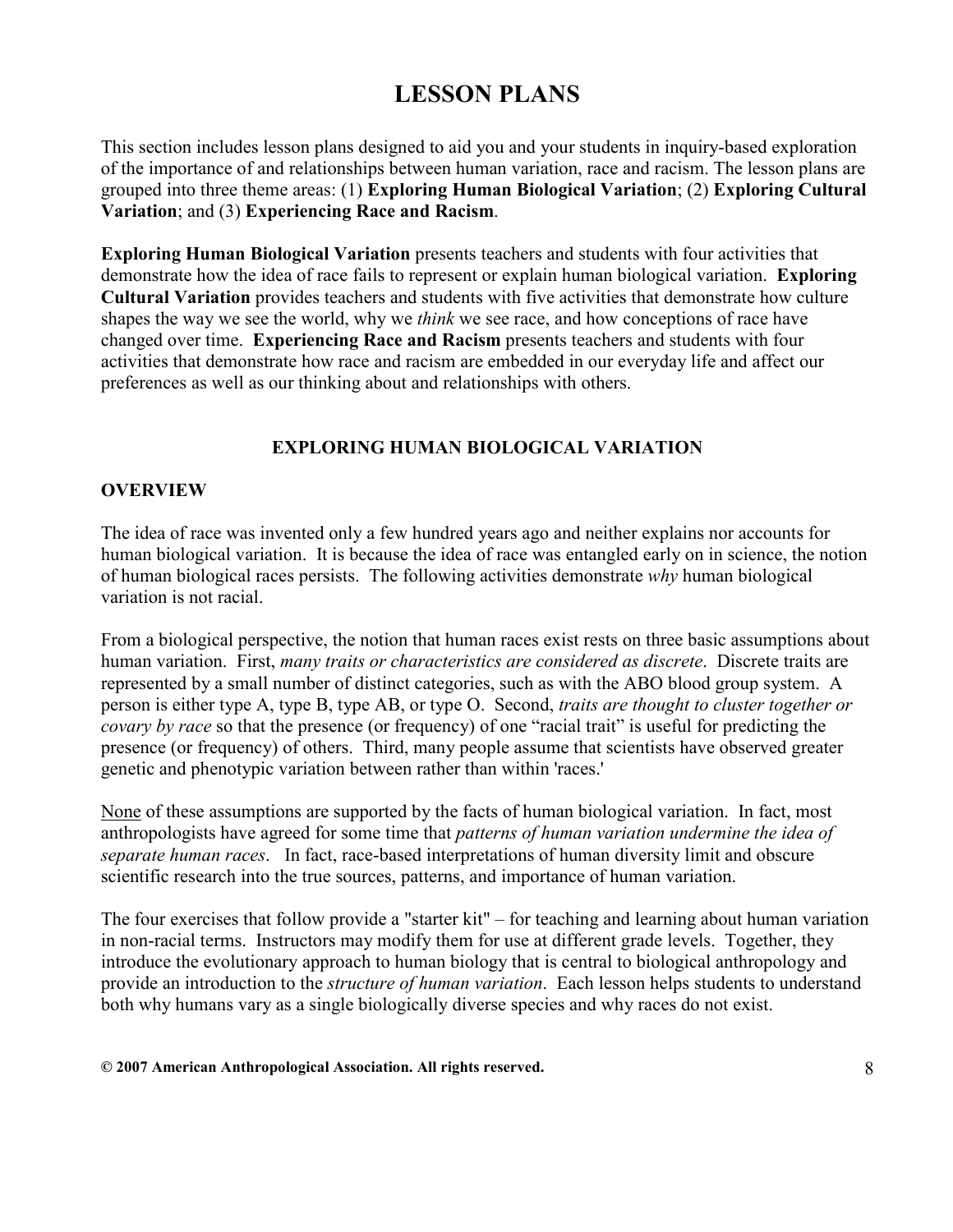# LESSON PLANS

This section includes lesson plans designed to aid you and your students in inquiry-based exploration of the importance of and relationships between human variation, race and racism. The lesson plans are grouped into three theme areas: (1) Exploring Human Biological Variation; (2) Exploring Cultural Variation; and (3) Experiencing Race and Racism.

Exploring Human Biological Variation presents teachers and students with four activities that demonstrate how the idea of race fails to represent or explain human biological variation. **Exploring** Cultural Variation provides teachers and students with five activities that demonstrate how culture shapes the way we see the world, why we *think* we see race, and how conceptions of race have changed over time. Experiencing Race and Racism presents teachers and students with four activities that demonstrate how race and racism are embedded in our everyday life and affect our preferences as well as our thinking about and relationships with others.

## EXPLORING HUMAN BIOLOGICAL VARIATION

#### **OVERVIEW**

The idea of race was invented only a few hundred years ago and neither explains nor accounts for human biological variation. It is because the idea of race was entangled early on in science, the notion of human biological races persists. The following activities demonstrate  $why$  human biological variation is not racial.

From a biological perspective, the notion that human races exist rests on three basic assumptions about human variation. First, *many traits or characteristics are considered as discrete*. Discrete traits are represented by a small number of distinct categories, such as with the ABO blood group system. A person is either type A, type B, type AB, or type O. Second, traits are thought to cluster together or covary by race so that the presence (or frequency) of one "racial trait" is useful for predicting the presence (or frequency) of others. Third, many people assume that scientists have observed greater genetic and phenotypic variation between rather than within 'races.'

None of these assumptions are supported by the facts of human biological variation. In fact, most anthropologists have agreed for some time that patterns of human variation undermine the idea of separate human races. In fact, race-based interpretations of human diversity limit and obscure scientific research into the true sources, patterns, and importance of human variation.

The four exercises that follow provide a "starter kit" – for teaching and learning about human variation in non-racial terms. Instructors may modify them for use at different grade levels. Together, they introduce the evolutionary approach to human biology that is central to biological anthropology and provide an introduction to the *structure of human variation*. Each lesson helps students to understand both why humans vary as a single biologically diverse species and why races do not exist.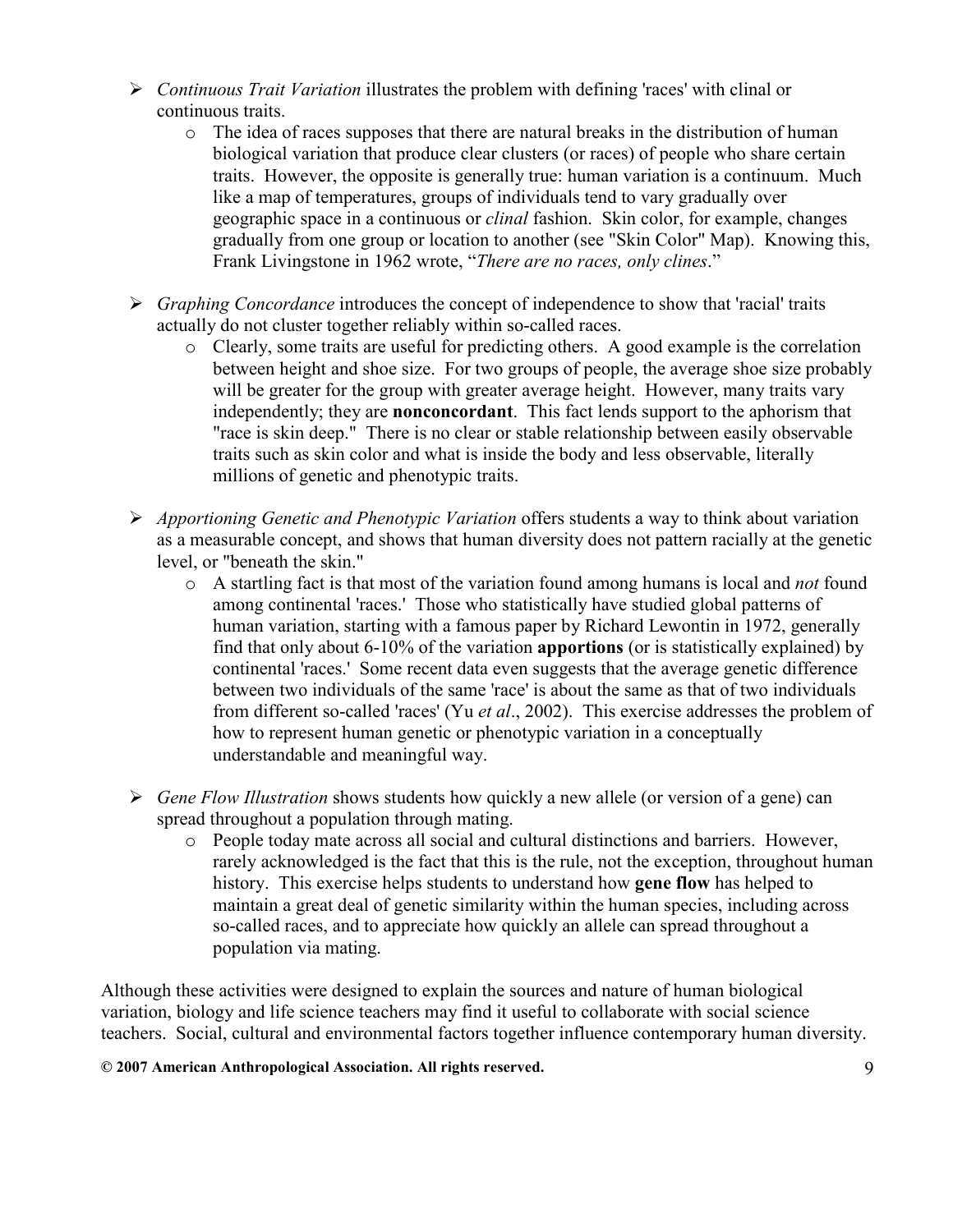- $\triangleright$  Continuous Trait Variation illustrates the problem with defining 'races' with clinal or continuous traits.
	- o The idea of races supposes that there are natural breaks in the distribution of human biological variation that produce clear clusters (or races) of people who share certain traits. However, the opposite is generally true: human variation is a continuum. Much like a map of temperatures, groups of individuals tend to vary gradually over geographic space in a continuous or clinal fashion. Skin color, for example, changes gradually from one group or location to another (see "Skin Color" Map). Knowing this, Frank Livingstone in 1962 wrote, "There are no races, only clines."
- $\triangleright$  Graphing Concordance introduces the concept of independence to show that 'racial' traits actually do not cluster together reliably within so-called races.
	- o Clearly, some traits are useful for predicting others. A good example is the correlation between height and shoe size. For two groups of people, the average shoe size probably will be greater for the group with greater average height. However, many traits vary independently; they are nonconcordant. This fact lends support to the aphorism that "race is skin deep." There is no clear or stable relationship between easily observable traits such as skin color and what is inside the body and less observable, literally millions of genetic and phenotypic traits.
- $\triangleright$  Apportioning Genetic and Phenotypic Variation offers students a way to think about variation as a measurable concept, and shows that human diversity does not pattern racially at the genetic level, or "beneath the skin."
	- $\circ$  A startling fact is that most of the variation found among humans is local and *not* found among continental 'races.' Those who statistically have studied global patterns of human variation, starting with a famous paper by Richard Lewontin in 1972, generally find that only about 6-10% of the variation apportions (or is statistically explained) by continental 'races.' Some recent data even suggests that the average genetic difference between two individuals of the same 'race' is about the same as that of two individuals from different so-called 'races' (Yu et al., 2002). This exercise addresses the problem of how to represent human genetic or phenotypic variation in a conceptually understandable and meaningful way.
- $\triangleright$  Gene Flow Illustration shows students how quickly a new allele (or version of a gene) can spread throughout a population through mating.
	- o People today mate across all social and cultural distinctions and barriers. However, rarely acknowledged is the fact that this is the rule, not the exception, throughout human history. This exercise helps students to understand how **gene flow** has helped to maintain a great deal of genetic similarity within the human species, including across so-called races, and to appreciate how quickly an allele can spread throughout a population via mating.

Although these activities were designed to explain the sources and nature of human biological variation, biology and life science teachers may find it useful to collaborate with social science teachers. Social, cultural and environmental factors together influence contemporary human diversity.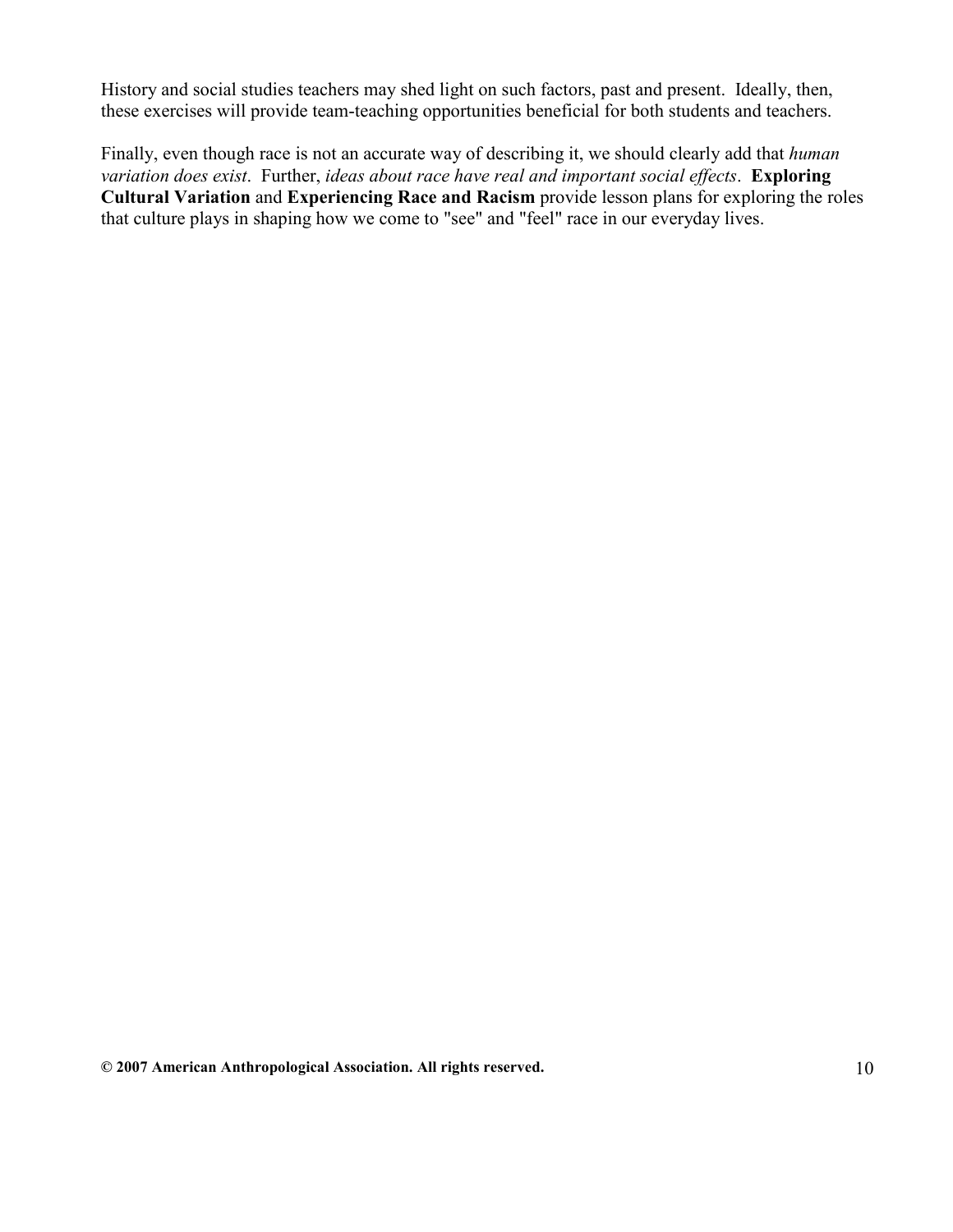History and social studies teachers may shed light on such factors, past and present. Ideally, then, these exercises will provide team-teaching opportunities beneficial for both students and teachers.

Finally, even though race is not an accurate way of describing it, we should clearly add that *human* variation does exist. Further, ideas about race have real and important social effects. Exploring Cultural Variation and Experiencing Race and Racism provide lesson plans for exploring the roles that culture plays in shaping how we come to "see" and "feel" race in our everyday lives.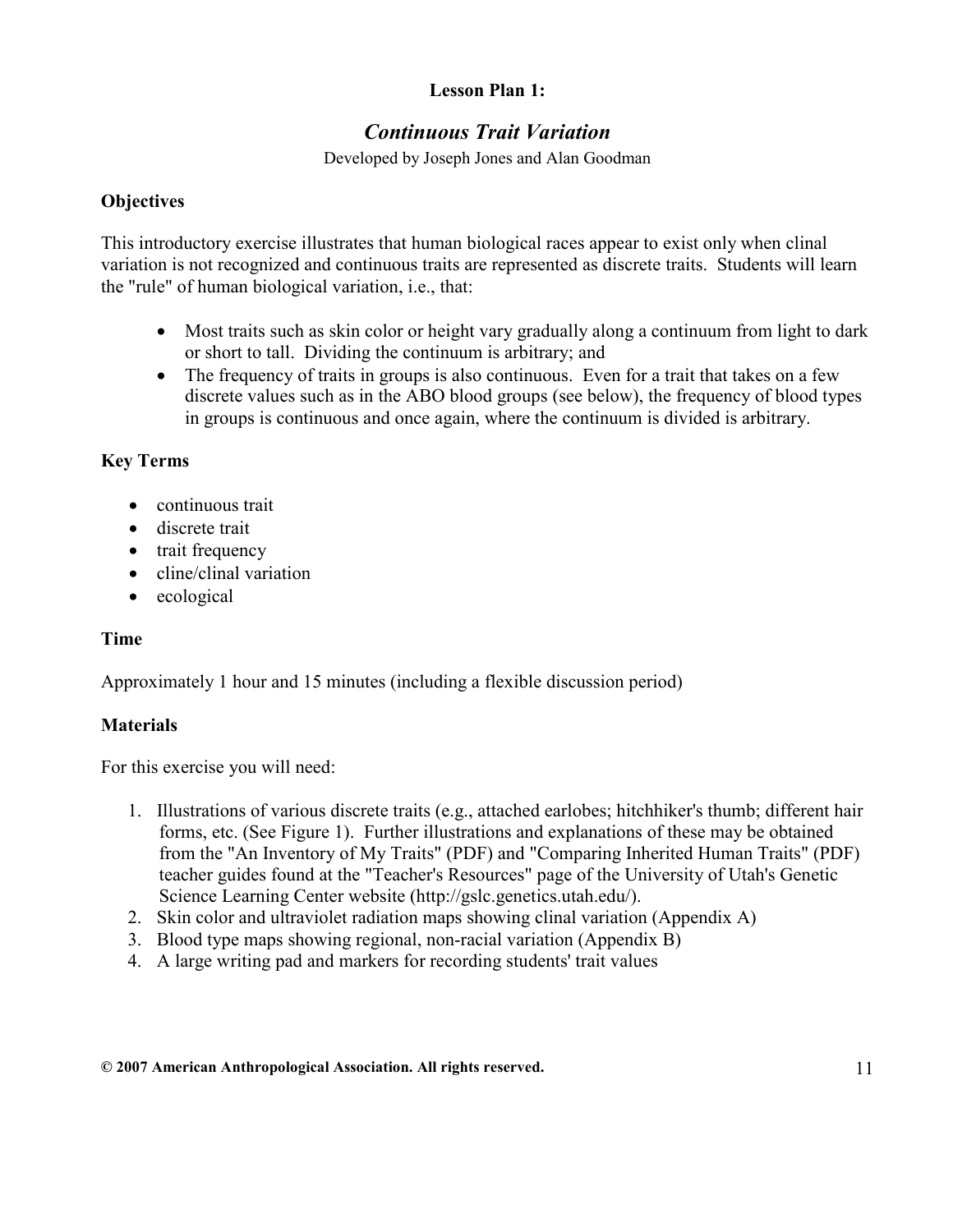# Lesson Plan 1:

# Continuous Trait Variation

Developed by Joseph Jones and Alan Goodman

#### **Objectives**

This introductory exercise illustrates that human biological races appear to exist only when clinal variation is not recognized and continuous traits are represented as discrete traits. Students will learn the "rule" of human biological variation, i.e., that:

- Most traits such as skin color or height vary gradually along a continuum from light to dark or short to tall. Dividing the continuum is arbitrary; and
- The frequency of traits in groups is also continuous. Even for a trait that takes on a few discrete values such as in the ABO blood groups (see below), the frequency of blood types in groups is continuous and once again, where the continuum is divided is arbitrary.

## Key Terms

- continuous trait
- discrete trait
- trait frequency
- cline/clinal variation
- ecological

#### Time

Approximately 1 hour and 15 minutes (including a flexible discussion period)

#### **Materials**

For this exercise you will need:

- 1. Illustrations of various discrete traits (e.g., attached earlobes; hitchhiker's thumb; different hair forms, etc. (See Figure 1). Further illustrations and explanations of these may be obtained from the "An Inventory of My Traits" (PDF) and "Comparing Inherited Human Traits" (PDF) teacher guides found at the "Teacher's Resources" page of the University of Utah's Genetic Science Learning Center website (http://gslc.genetics.utah.edu/).
- 2. Skin color and ultraviolet radiation maps showing clinal variation (Appendix A)
- 3. Blood type maps showing regional, non-racial variation (Appendix B)
- 4. A large writing pad and markers for recording students' trait values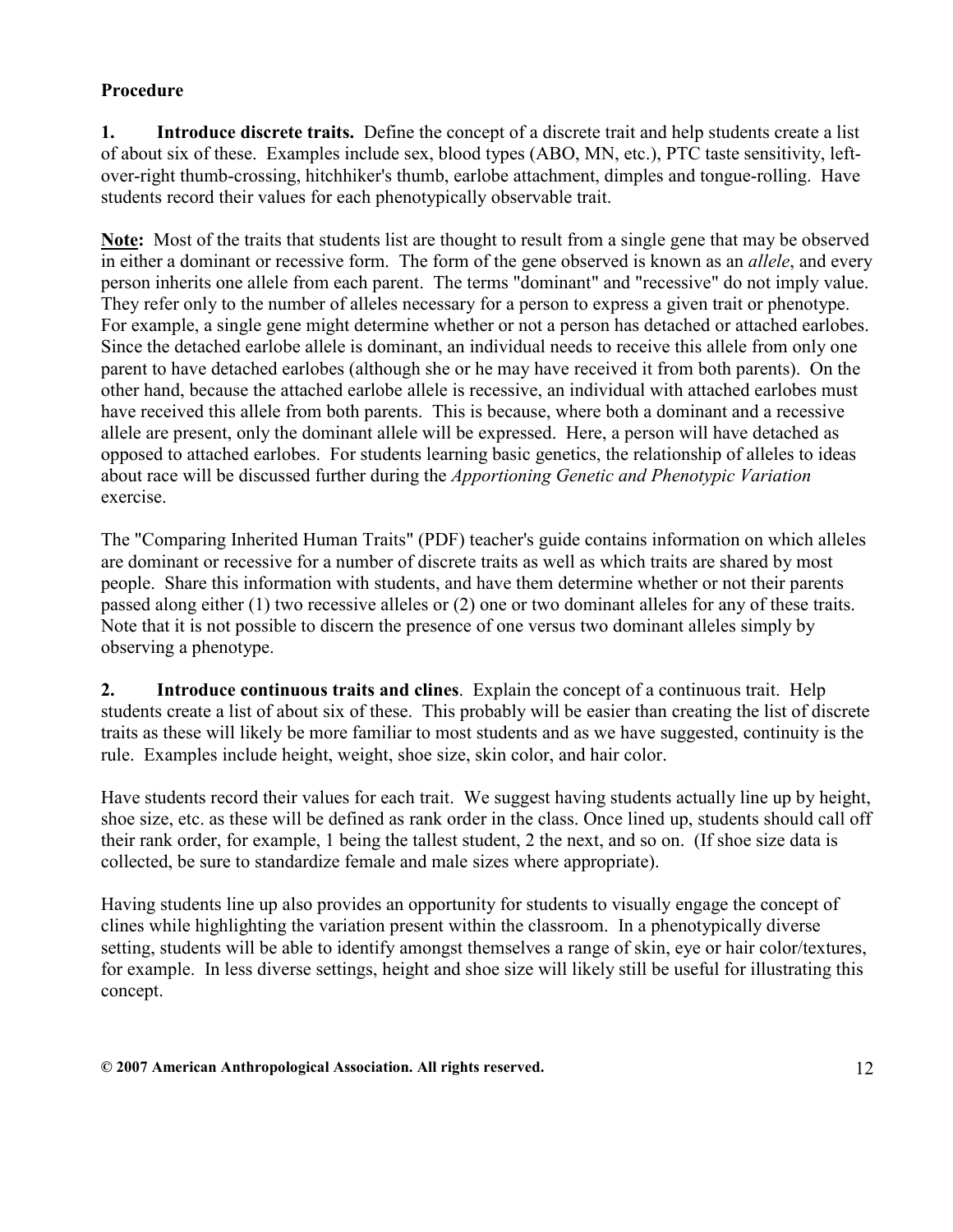# Procedure

1. Introduce discrete traits. Define the concept of a discrete trait and help students create a list of about six of these. Examples include sex, blood types (ABO, MN, etc.), PTC taste sensitivity, leftover-right thumb-crossing, hitchhiker's thumb, earlobe attachment, dimples and tongue-rolling. Have students record their values for each phenotypically observable trait.

Note: Most of the traits that students list are thought to result from a single gene that may be observed in either a dominant or recessive form. The form of the gene observed is known as an *allele*, and every person inherits one allele from each parent. The terms "dominant" and "recessive" do not imply value. They refer only to the number of alleles necessary for a person to express a given trait or phenotype. For example, a single gene might determine whether or not a person has detached or attached earlobes. Since the detached earlobe allele is dominant, an individual needs to receive this allele from only one parent to have detached earlobes (although she or he may have received it from both parents). On the other hand, because the attached earlobe allele is recessive, an individual with attached earlobes must have received this allele from both parents. This is because, where both a dominant and a recessive allele are present, only the dominant allele will be expressed. Here, a person will have detached as opposed to attached earlobes. For students learning basic genetics, the relationship of alleles to ideas about race will be discussed further during the *Apportioning Genetic and Phenotypic Variation* exercise.

The "Comparing Inherited Human Traits" (PDF) teacher's guide contains information on which alleles are dominant or recessive for a number of discrete traits as well as which traits are shared by most people. Share this information with students, and have them determine whether or not their parents passed along either (1) two recessive alleles or (2) one or two dominant alleles for any of these traits. Note that it is not possible to discern the presence of one versus two dominant alleles simply by observing a phenotype.

2. Introduce continuous traits and clines. Explain the concept of a continuous trait. Help students create a list of about six of these. This probably will be easier than creating the list of discrete traits as these will likely be more familiar to most students and as we have suggested, continuity is the rule. Examples include height, weight, shoe size, skin color, and hair color.

Have students record their values for each trait. We suggest having students actually line up by height, shoe size, etc. as these will be defined as rank order in the class. Once lined up, students should call off their rank order, for example, 1 being the tallest student, 2 the next, and so on. (If shoe size data is collected, be sure to standardize female and male sizes where appropriate).

Having students line up also provides an opportunity for students to visually engage the concept of clines while highlighting the variation present within the classroom. In a phenotypically diverse setting, students will be able to identify amongst themselves a range of skin, eye or hair color/textures, for example. In less diverse settings, height and shoe size will likely still be useful for illustrating this concept.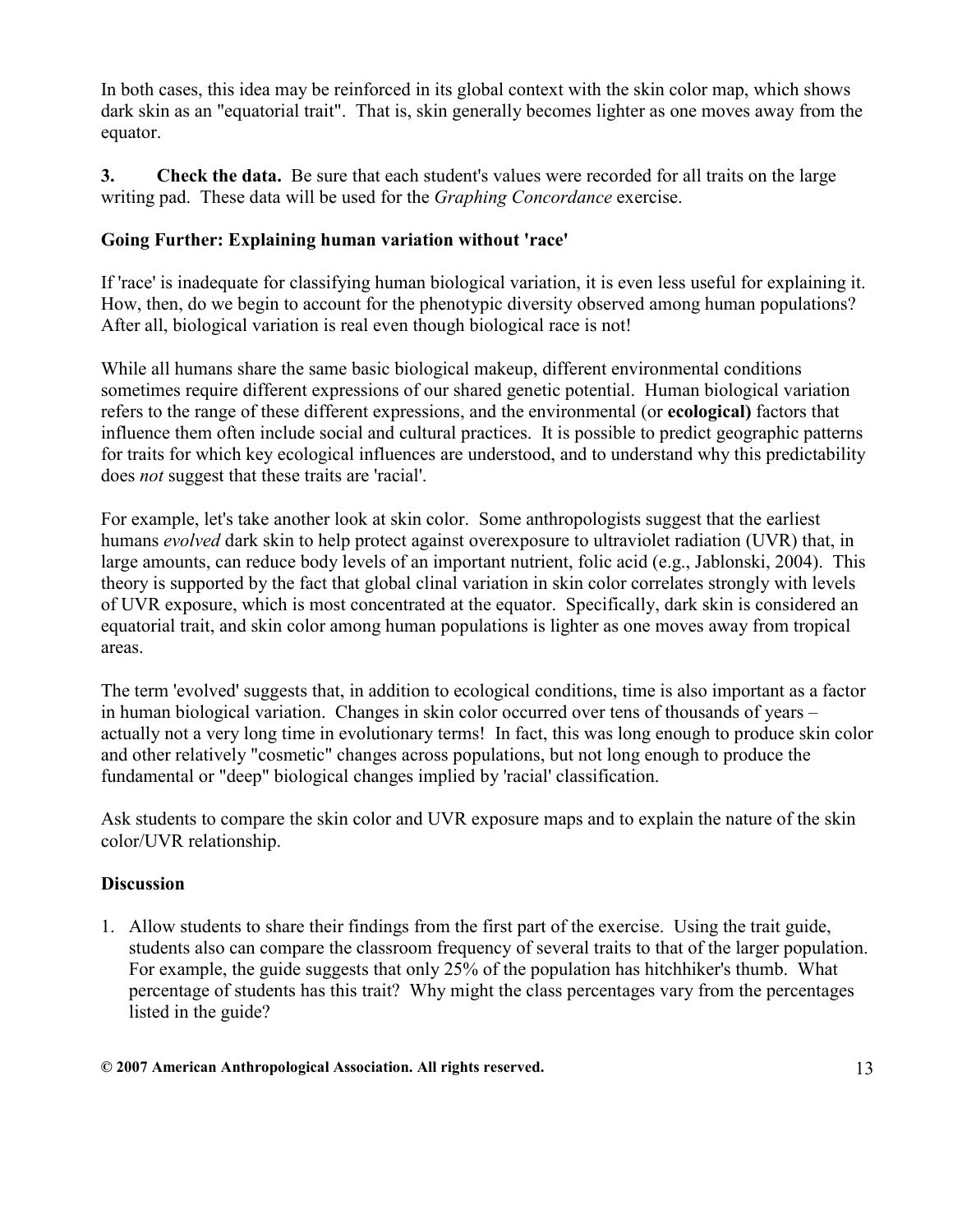In both cases, this idea may be reinforced in its global context with the skin color map, which shows dark skin as an "equatorial trait". That is, skin generally becomes lighter as one moves away from the equator.

3. Check the data. Be sure that each student's values were recorded for all traits on the large writing pad. These data will be used for the Graphing Concordance exercise.

# Going Further: Explaining human variation without 'race'

If 'race' is inadequate for classifying human biological variation, it is even less useful for explaining it. How, then, do we begin to account for the phenotypic diversity observed among human populations? After all, biological variation is real even though biological race is not!

While all humans share the same basic biological makeup, different environmental conditions sometimes require different expressions of our shared genetic potential. Human biological variation refers to the range of these different expressions, and the environmental (or ecological) factors that influence them often include social and cultural practices. It is possible to predict geographic patterns for traits for which key ecological influences are understood, and to understand why this predictability does not suggest that these traits are 'racial'.

For example, let's take another look at skin color. Some anthropologists suggest that the earliest humans *evolved* dark skin to help protect against overexposure to ultraviolet radiation (UVR) that, in large amounts, can reduce body levels of an important nutrient, folic acid (e.g., Jablonski, 2004). This theory is supported by the fact that global clinal variation in skin color correlates strongly with levels of UVR exposure, which is most concentrated at the equator. Specifically, dark skin is considered an equatorial trait, and skin color among human populations is lighter as one moves away from tropical areas.

The term 'evolved' suggests that, in addition to ecological conditions, time is also important as a factor in human biological variation. Changes in skin color occurred over tens of thousands of years – actually not a very long time in evolutionary terms! In fact, this was long enough to produce skin color and other relatively "cosmetic" changes across populations, but not long enough to produce the fundamental or "deep" biological changes implied by 'racial' classification.

Ask students to compare the skin color and UVR exposure maps and to explain the nature of the skin color/UVR relationship.

# **Discussion**

1. Allow students to share their findings from the first part of the exercise. Using the trait guide, students also can compare the classroom frequency of several traits to that of the larger population. For example, the guide suggests that only 25% of the population has hitchhiker's thumb. What percentage of students has this trait? Why might the class percentages vary from the percentages listed in the guide?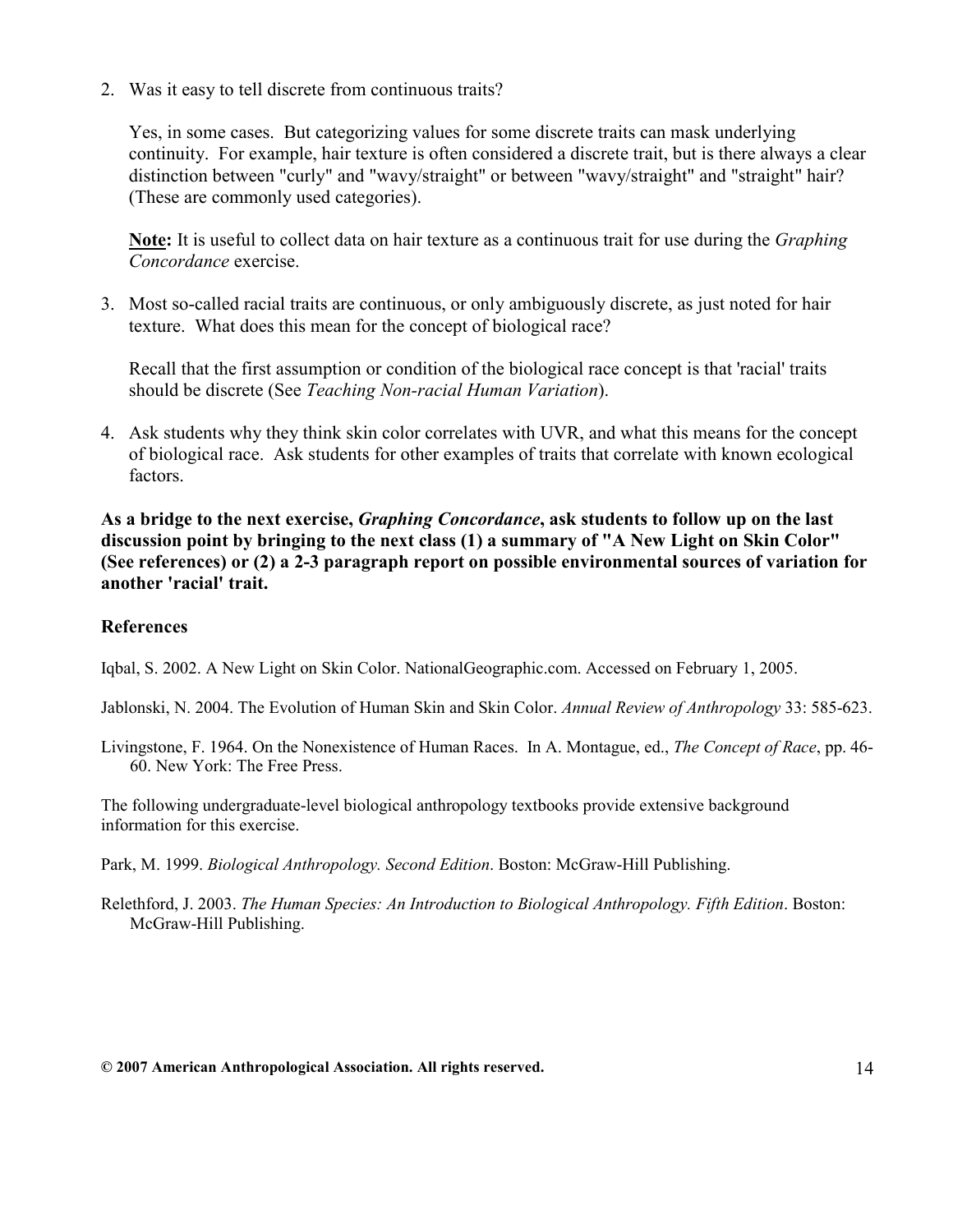2. Was it easy to tell discrete from continuous traits?

Yes, in some cases. But categorizing values for some discrete traits can mask underlying continuity. For example, hair texture is often considered a discrete trait, but is there always a clear distinction between "curly" and "wavy/straight" or between "wavy/straight" and "straight" hair? (These are commonly used categories).

Note: It is useful to collect data on hair texture as a continuous trait for use during the Graphing Concordance exercise.

3. Most so-called racial traits are continuous, or only ambiguously discrete, as just noted for hair texture. What does this mean for the concept of biological race?

Recall that the first assumption or condition of the biological race concept is that 'racial' traits should be discrete (See Teaching Non-racial Human Variation).

4. Ask students why they think skin color correlates with UVR, and what this means for the concept of biological race. Ask students for other examples of traits that correlate with known ecological factors.

As a bridge to the next exercise, *Graphing Concordance*, ask students to follow up on the last discussion point by bringing to the next class (1) a summary of "A New Light on Skin Color" (See references) or (2) a 2-3 paragraph report on possible environmental sources of variation for another 'racial' trait.

#### **References**

Iqbal, S. 2002. A New Light on Skin Color. NationalGeographic.com. Accessed on February 1, 2005.

Jablonski, N. 2004. The Evolution of Human Skin and Skin Color. Annual Review of Anthropology 33: 585-623.

Livingstone, F. 1964. On the Nonexistence of Human Races. In A. Montague, ed., *The Concept of Race*, pp. 46-60. New York: The Free Press.

The following undergraduate-level biological anthropology textbooks provide extensive background information for this exercise.

Park, M. 1999. Biological Anthropology. Second Edition. Boston: McGraw-Hill Publishing.

Relethford, J. 2003. The Human Species: An Introduction to Biological Anthropology. Fifth Edition. Boston: McGraw-Hill Publishing.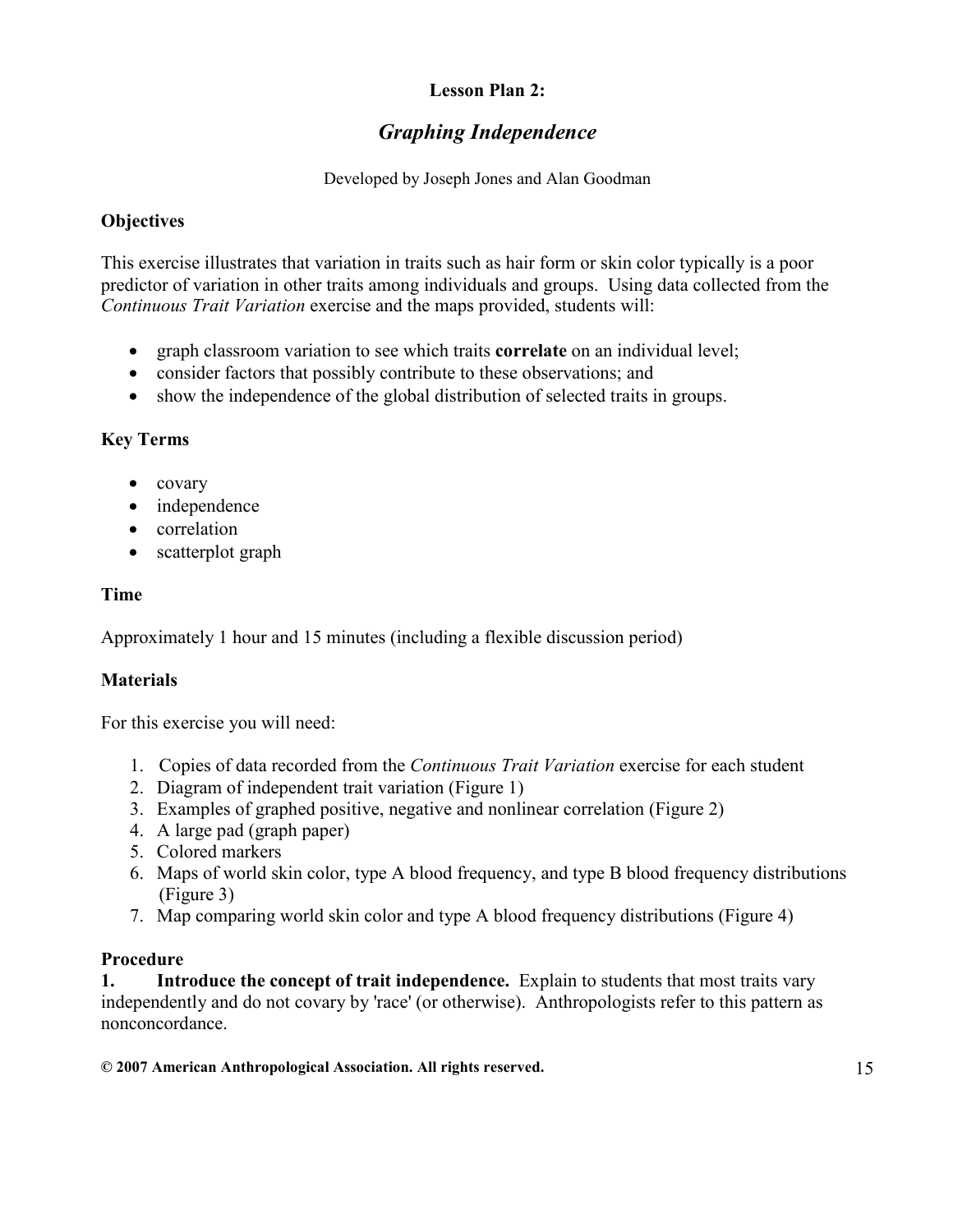# Lesson Plan 2:

# Graphing Independence

Developed by Joseph Jones and Alan Goodman

#### **Objectives**

This exercise illustrates that variation in traits such as hair form or skin color typically is a poor predictor of variation in other traits among individuals and groups. Using data collected from the Continuous Trait Variation exercise and the maps provided, students will:

- graph classroom variation to see which traits **correlate** on an individual level;
- consider factors that possibly contribute to these observations; and
- show the independence of the global distribution of selected traits in groups.

## Key Terms

- covary
- independence
- correlation
- scatterplot graph

## Time

Approximately 1 hour and 15 minutes (including a flexible discussion period)

# **Materials**

For this exercise you will need:

- 1. Copies of data recorded from the Continuous Trait Variation exercise for each student
- 2. Diagram of independent trait variation (Figure 1)
- 3. Examples of graphed positive, negative and nonlinear correlation (Figure 2)
- 4. A large pad (graph paper)
- 5. Colored markers
- 6. Maps of world skin color, type A blood frequency, and type B blood frequency distributions (Figure 3)
- 7. Map comparing world skin color and type A blood frequency distributions (Figure 4)

#### Procedure

1. Introduce the concept of trait independence. Explain to students that most traits vary independently and do not covary by 'race' (or otherwise). Anthropologists refer to this pattern as nonconcordance.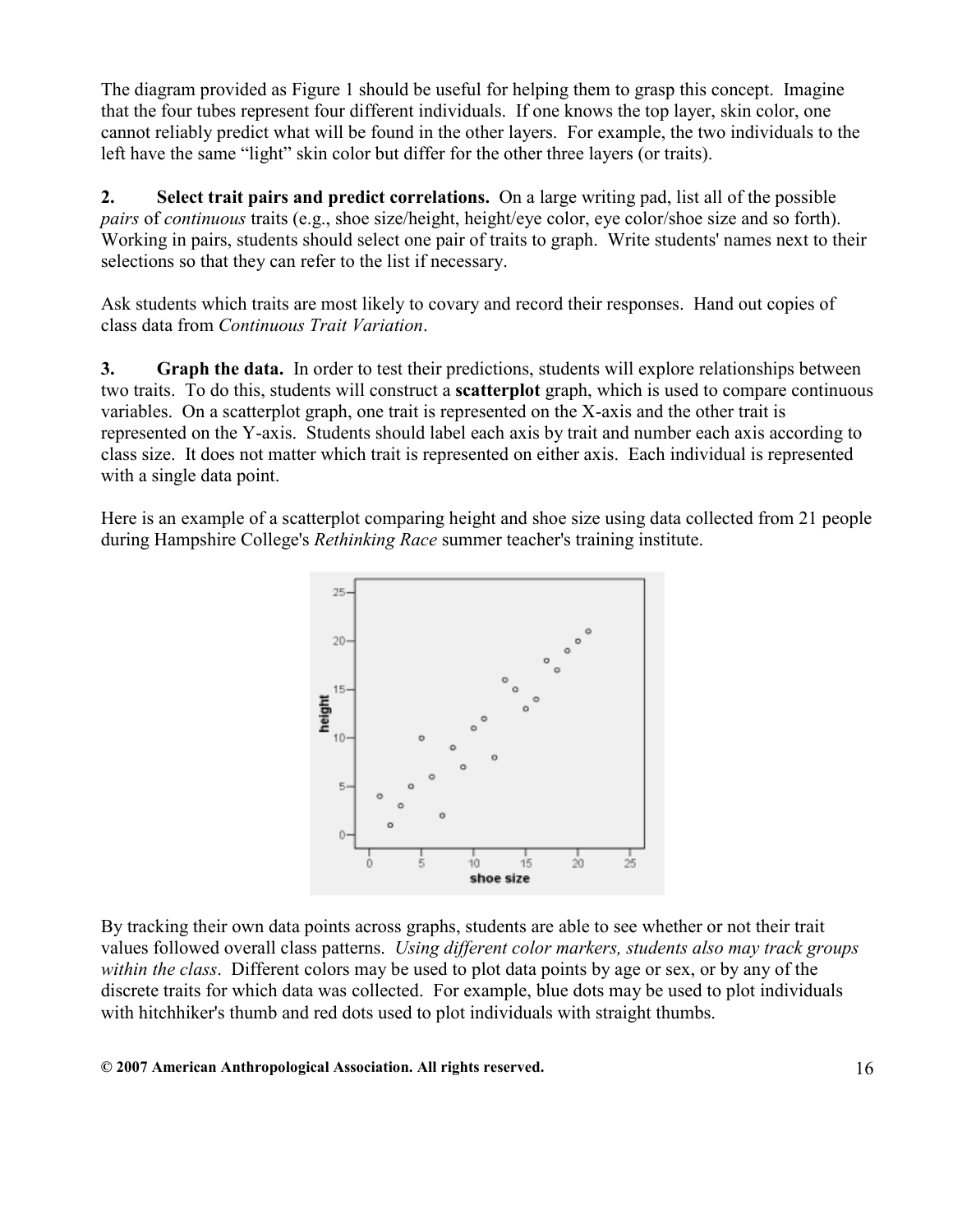The diagram provided as Figure 1 should be useful for helping them to grasp this concept. Imagine that the four tubes represent four different individuals. If one knows the top layer, skin color, one cannot reliably predict what will be found in the other layers. For example, the two individuals to the left have the same "light" skin color but differ for the other three layers (or traits).

2. Select trait pairs and predict correlations. On a large writing pad, list all of the possible pairs of continuous traits (e.g., shoe size/height, height/eye color, eye color/shoe size and so forth). Working in pairs, students should select one pair of traits to graph. Write students' names next to their selections so that they can refer to the list if necessary.

Ask students which traits are most likely to covary and record their responses. Hand out copies of class data from Continuous Trait Variation.

3. Graph the data. In order to test their predictions, students will explore relationships between two traits. To do this, students will construct a scatterplot graph, which is used to compare continuous variables. On a scatterplot graph, one trait is represented on the X-axis and the other trait is represented on the Y-axis. Students should label each axis by trait and number each axis according to class size. It does not matter which trait is represented on either axis. Each individual is represented with a single data point.

Here is an example of a scatterplot comparing height and shoe size using data collected from 21 people during Hampshire College's Rethinking Race summer teacher's training institute.



By tracking their own data points across graphs, students are able to see whether or not their trait values followed overall class patterns. Using different color markers, students also may track groups within the class. Different colors may be used to plot data points by age or sex, or by any of the discrete traits for which data was collected. For example, blue dots may be used to plot individuals with hitchhiker's thumb and red dots used to plot individuals with straight thumbs.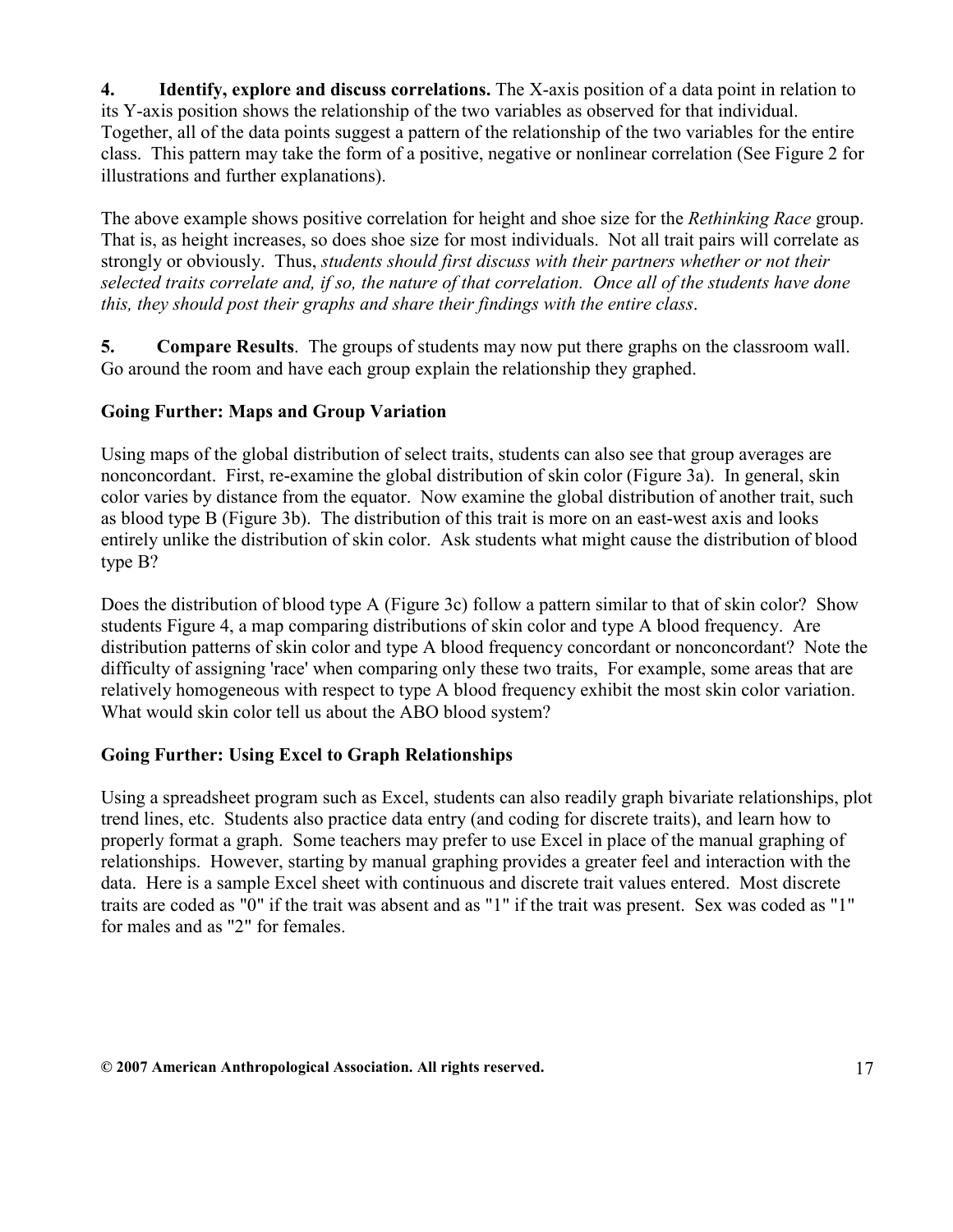4. Identify, explore and discuss correlations. The X-axis position of a data point in relation to its Y-axis position shows the relationship of the two variables as observed for that individual. Together, all of the data points suggest a pattern of the relationship of the two variables for the entire class. This pattern may take the form of a positive, negative or nonlinear correlation (See Figure 2 for illustrations and further explanations).

The above example shows positive correlation for height and shoe size for the *Rethinking Race* group. That is, as height increases, so does shoe size for most individuals. Not all trait pairs will correlate as strongly or obviously. Thus, students should first discuss with their partners whether or not their selected traits correlate and, if so, the nature of that correlation. Once all of the students have done this, they should post their graphs and share their findings with the entire class.

5. Compare Results. The groups of students may now put there graphs on the classroom wall. Go around the room and have each group explain the relationship they graphed.

# Going Further: Maps and Group Variation

Using maps of the global distribution of select traits, students can also see that group averages are nonconcordant. First, re-examine the global distribution of skin color (Figure 3a). In general, skin color varies by distance from the equator. Now examine the global distribution of another trait, such as blood type B (Figure 3b). The distribution of this trait is more on an east-west axis and looks entirely unlike the distribution of skin color. Ask students what might cause the distribution of blood type B?

Does the distribution of blood type A (Figure 3c) follow a pattern similar to that of skin color? Show students Figure 4, a map comparing distributions of skin color and type A blood frequency. Are distribution patterns of skin color and type A blood frequency concordant or nonconcordant? Note the difficulty of assigning 'race' when comparing only these two traits, For example, some areas that are relatively homogeneous with respect to type A blood frequency exhibit the most skin color variation. What would skin color tell us about the ABO blood system?

# Going Further: Using Excel to Graph Relationships

Using a spreadsheet program such as Excel, students can also readily graph bivariate relationships, plot trend lines, etc. Students also practice data entry (and coding for discrete traits), and learn how to properly format a graph. Some teachers may prefer to use Excel in place of the manual graphing of relationships. However, starting by manual graphing provides a greater feel and interaction with the data. Here is a sample Excel sheet with continuous and discrete trait values entered. Most discrete traits are coded as "0" if the trait was absent and as "1" if the trait was present. Sex was coded as "1" for males and as "2" for females.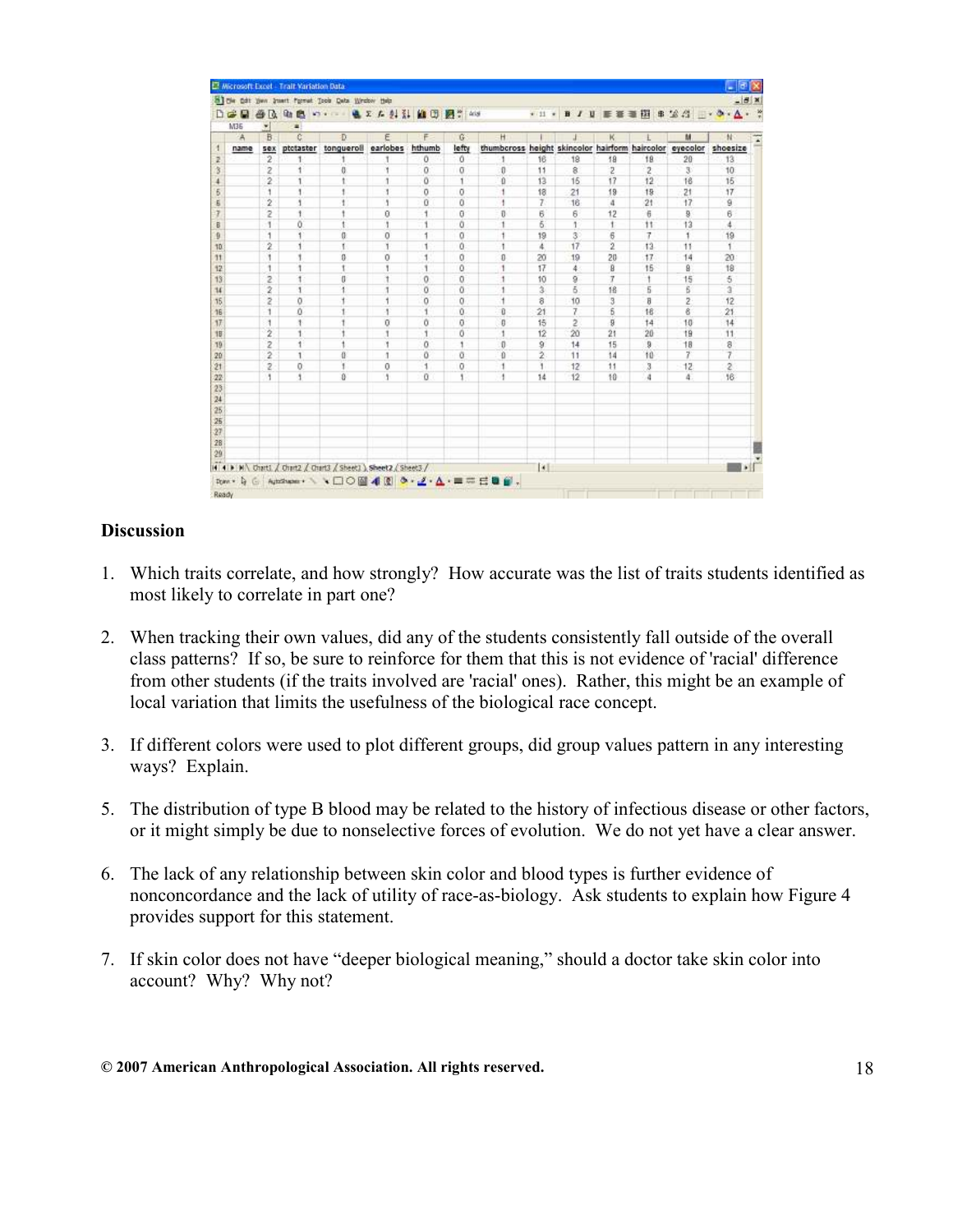|                 |          |                     |                      | Bill the Odt Year Street Pornet Tools Data Writer Help         |                  |              |          |                                                |                     |                      |                |    |                | $-18$ x                           |
|-----------------|----------|---------------------|----------------------|----------------------------------------------------------------|------------------|--------------|----------|------------------------------------------------|---------------------|----------------------|----------------|----|----------------|-----------------------------------|
| DG              | a<br>M36 | 当凡<br>$\frac{1}{2}$ | <b>Ght</b><br>色<br>× | <b>NO.4</b>                                                    | 通文 广创 计 图 图 3 45 |              |          |                                                |                     |                      |                |    |                | ● H ● B J U ■ 第三期 B 2 倍 → → - △ · |
|                 | -A       | B                   | e                    | Ð                                                              | F                | F            | G        | н                                              |                     |                      | к              |    | M              | $\mathcal{N}$                     |
| 4               | name     | 50x                 | ptotaster            | tongueroll                                                     | earlobes         | hthumb       | lefty    | thumbcross height skincolor hairform haircolor |                     |                      |                |    | eyecolor       | shoesize                          |
| 2<br>3          |          | 2                   | 1                    |                                                                |                  | Ö            | 0        |                                                | 16                  | 18                   | 18             | 18 | 20             | 13                                |
|                 |          | 2                   | ï                    | 0                                                              | ۲                | o            | σ        | $\bf{0}$                                       | 11                  | 8                    | 2              | 2  | 3              | 10                                |
|                 |          | $\overline{2}$      | 1                    |                                                                |                  | ō            | 1        | ñ                                              | 13                  | 16                   | 17             | 12 | 16             | 15                                |
| Б               |          | 1                   | ï                    |                                                                |                  | o            | ō        |                                                | 18                  | 21                   | 19             | 19 | 21             | 17                                |
| g               |          | $\overline{2}$      | 1                    | ŧ                                                              |                  | ö            | ű        | ŧ                                              | 7.                  | 16                   | 4              | 21 | 17             | ğ                                 |
| ż               |          | $\overline{z}$      | 1                    |                                                                | ū                | 1            | θ        | Ü                                              | б                   | 6                    | 12             | 市  | $\overline{9}$ | в                                 |
| B               |          | 1                   | ö                    | ŧ                                                              |                  | 1            | ö        |                                                | 6                   | 1                    | 11             | 11 | 13             | $\ddot{\phantom{1}}$              |
| 0               |          | $\overline{1}$      | ۹                    | o                                                              | O                | 1            | ű        | t                                              | 19                  | $\mathbf{3}^{\circ}$ | $\overline{6}$ | 7  | ¥              | 19                                |
| 10              |          | $\overline{2}$      | 1                    | t                                                              | ×                | $\mathbf{I}$ | $\Omega$ | ٠                                              | x                   | 17                   | $\overline{2}$ | 13 | 11             | $\overline{\phantom{a}}$          |
| 11              |          | ٦                   | 1                    | n.                                                             | $\circ$          | $\mathbf{1}$ | Ó        | $\bf{0}$                                       | 20                  | 19                   | 20             | 17 | 14             | 20                                |
| 12              |          | 1                   | Ŧ                    | ŧ                                                              |                  | 1            | 0        | 1                                              | 17                  | 4                    | 8              | 15 | 8              | 18                                |
| 13              |          | 2                   | Ŧ                    | $\mathfrak n$                                                  |                  | 0            | o        | 1                                              | 10                  | g                    | $\overline{t}$ | ÷, | 15             | 5                                 |
| $\overline{14}$ |          | $\overline{2}$      | 1                    |                                                                |                  | ö            | ű        |                                                | 3                   | 5                    | 16             | 5  | Б              | $\overline{3}$                    |
| 15              |          | ž                   | ö                    |                                                                |                  | o            | O        | 1                                              | 8                   | 10                   | 3              | B  | 2              | 12                                |
| 16              |          | 1                   | ů                    |                                                                |                  | 4            | ŭ        | ū                                              | 21                  | 7                    | $\overline{5}$ | 16 | 8              | 21                                |
| 17              |          | J.                  | ŧ                    |                                                                | o                | ō            | $\Omega$ | n                                              | 15                  | 2                    | я              | 14 | 10             | 14                                |
| 18              |          | $\overline{2}$      | 1                    |                                                                |                  | 1            | 0        | 1                                              | 12                  | 20                   | $^{21}$        | 20 | 19             | 11                                |
| 19              |          | 2                   | ï                    |                                                                | ۲                | o            | ŧ        | o                                              | 9                   | 14                   | 15             | 9  | $+8$           | 8                                 |
| 20              |          | $\overline{2}$      | 1                    | $\alpha$                                                       | ٠                | ö            | ũ        | $\mathbf{0}$                                   | ž                   | 11                   | 14             | 10 | 7              | $\overline{t}$                    |
| 21              |          | 2                   | 0                    | ¥                                                              | $\theta$         | 1            | $\circ$  | 1                                              | 1                   | 12                   | 11             | 3  | 12             | $\tilde{z}$                       |
| 22              |          | ł.                  | 1                    | $\theta$                                                       | 1                | $\alpha$     | ۹        | ÷                                              | 14                  | 12                   | 10             | 4  | 4              | 16                                |
| 23              |          |                     |                      |                                                                |                  |              |          |                                                |                     |                      |                |    |                |                                   |
| 24              |          |                     |                      |                                                                |                  |              |          |                                                |                     |                      |                |    |                |                                   |
| 25              |          |                     |                      |                                                                |                  |              |          |                                                |                     |                      |                |    |                |                                   |
| 25              |          |                     |                      |                                                                |                  |              |          |                                                |                     |                      |                |    |                |                                   |
| 27              |          |                     |                      |                                                                |                  |              |          |                                                |                     |                      |                |    |                |                                   |
| 28              |          |                     |                      |                                                                |                  |              |          |                                                |                     |                      |                |    |                |                                   |
| 29              |          |                     |                      |                                                                |                  |              |          |                                                |                     |                      |                |    |                |                                   |
|                 |          |                     |                      | 14 4 > M Chart1 / Chart2 / Chart3 / Sheet3 ) Sheet2 / Sheet3 / |                  |              |          |                                                | $\vert \cdot \vert$ |                      |                |    |                |                                   |

#### **Discussion**

- 1. Which traits correlate, and how strongly? How accurate was the list of traits students identified as most likely to correlate in part one?
- 2. When tracking their own values, did any of the students consistently fall outside of the overall class patterns? If so, be sure to reinforce for them that this is not evidence of 'racial' difference from other students (if the traits involved are 'racial' ones). Rather, this might be an example of local variation that limits the usefulness of the biological race concept.
- 3. If different colors were used to plot different groups, did group values pattern in any interesting ways? Explain.
- 5. The distribution of type B blood may be related to the history of infectious disease or other factors, or it might simply be due to nonselective forces of evolution. We do not yet have a clear answer.
- 6. The lack of any relationship between skin color and blood types is further evidence of nonconcordance and the lack of utility of race-as-biology. Ask students to explain how Figure 4 provides support for this statement.
- 7. If skin color does not have "deeper biological meaning," should a doctor take skin color into account? Why? Why not?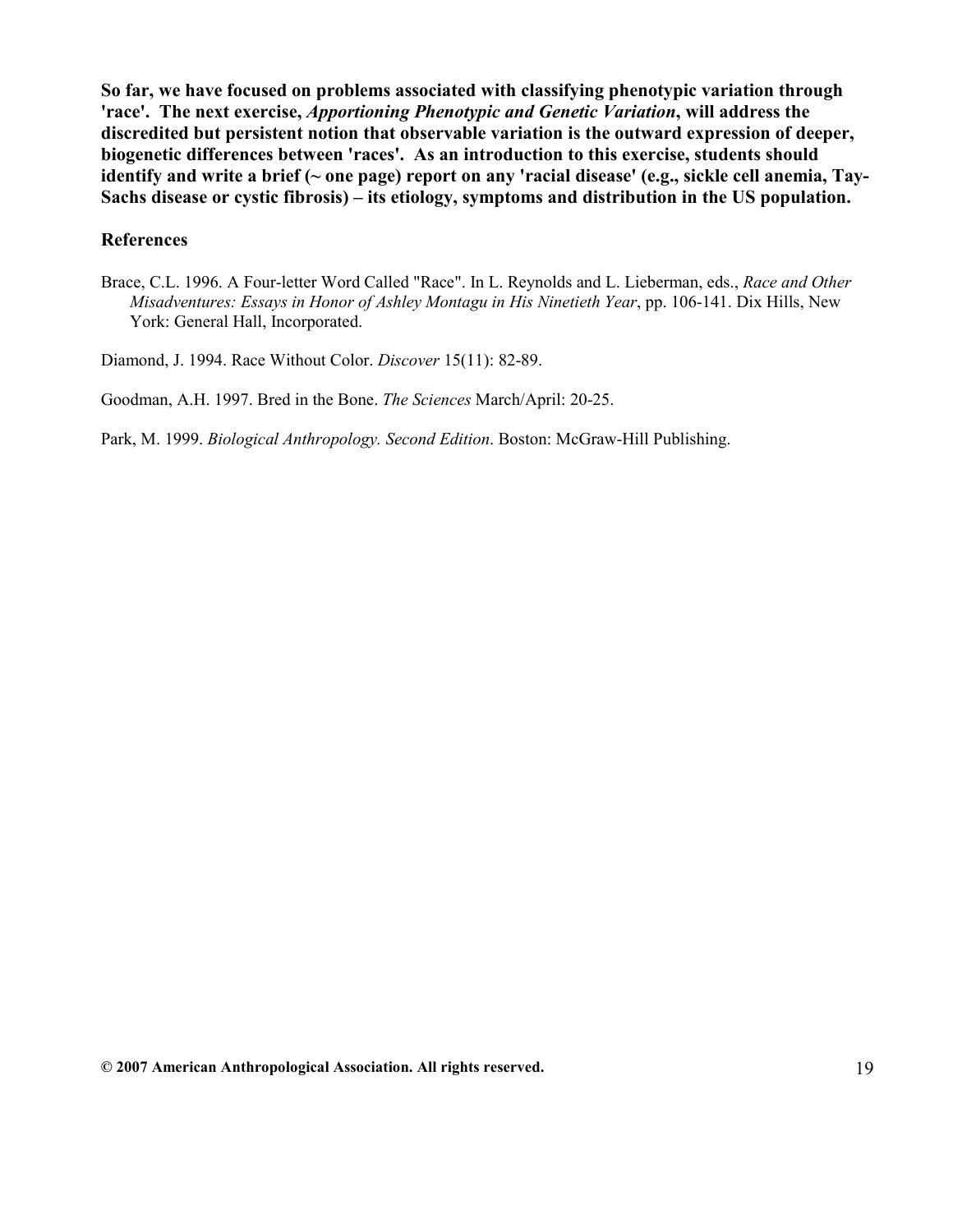So far, we have focused on problems associated with classifying phenotypic variation through 'race'. The next exercise, Apportioning Phenotypic and Genetic Variation, will address the discredited but persistent notion that observable variation is the outward expression of deeper, biogenetic differences between 'races'. As an introduction to this exercise, students should identify and write a brief (~ one page) report on any 'racial disease' (e.g., sickle cell anemia, Tay-Sachs disease or cystic fibrosis) – its etiology, symptoms and distribution in the US population.

#### References

Brace, C.L. 1996. A Four-letter Word Called "Race". In L. Reynolds and L. Lieberman, eds., Race and Other Misadventures: Essays in Honor of Ashley Montagu in His Ninetieth Year, pp. 106-141. Dix Hills, New York: General Hall, Incorporated.

Diamond, J. 1994. Race Without Color. Discover 15(11): 82-89.

Goodman, A.H. 1997. Bred in the Bone. The Sciences March/April: 20-25.

Park, M. 1999. Biological Anthropology. Second Edition. Boston: McGraw-Hill Publishing.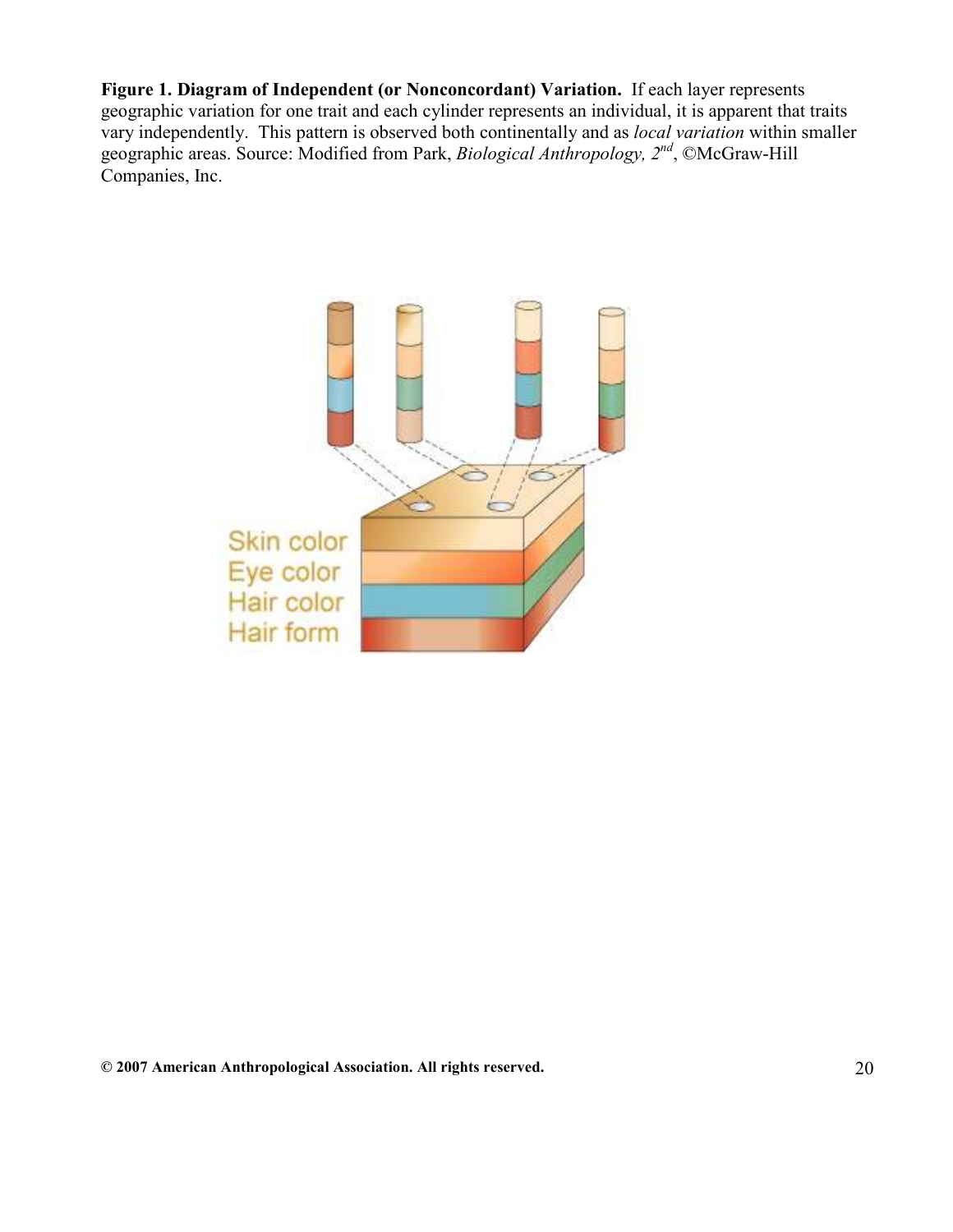Figure 1. Diagram of Independent (or Nonconcordant) Variation. If each layer represents geographic variation for one trait and each cylinder represents an individual, it is apparent that traits vary independently. This pattern is observed both continentally and as *local variation* within smaller geographic areas. Source: Modified from Park, Biological Anthropology, 2<sup>nd</sup>, ©McGraw-Hill Companies, Inc.

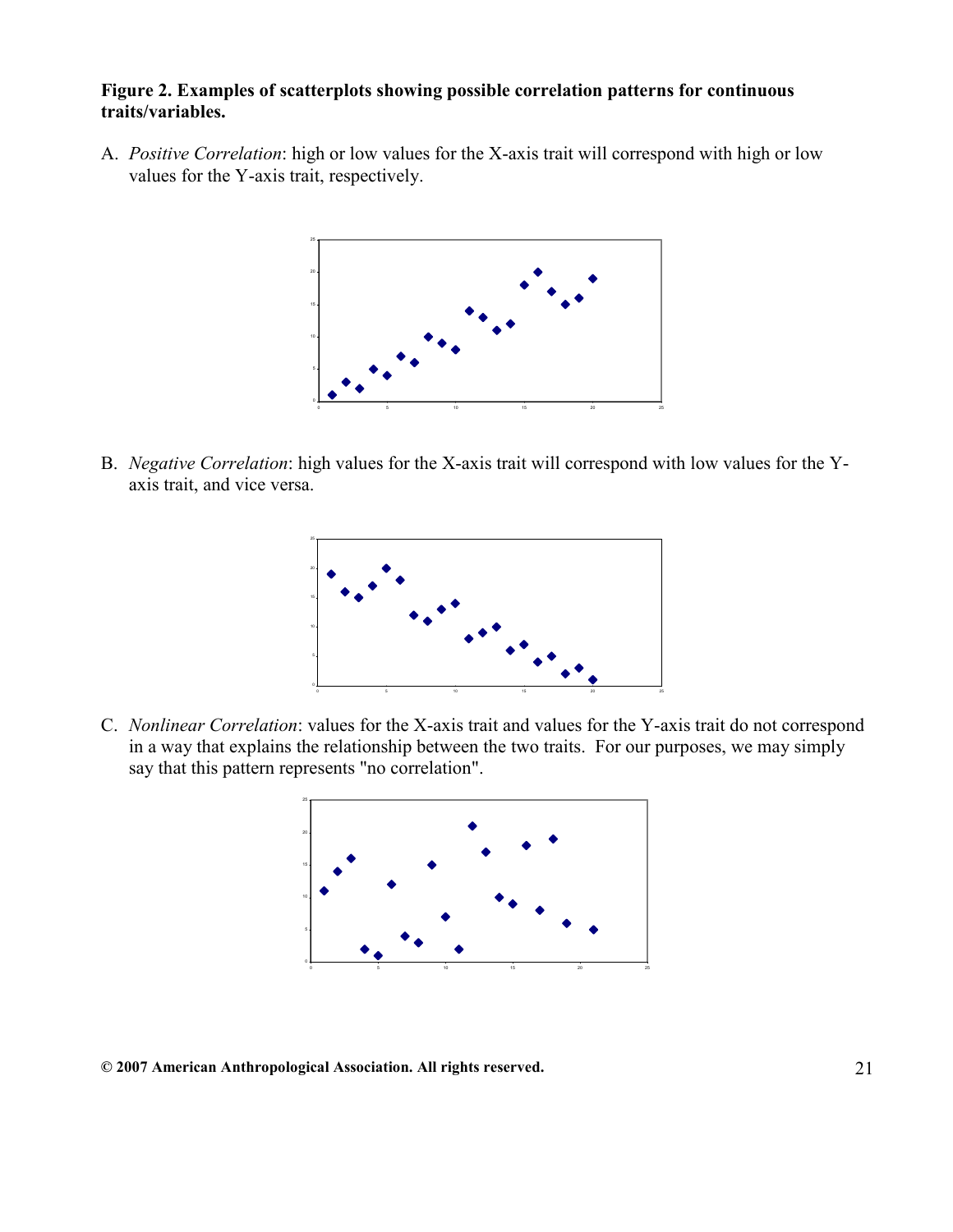#### Figure 2. Examples of scatterplots showing possible correlation patterns for continuous traits/variables.

A. Positive Correlation: high or low values for the X-axis trait will correspond with high or low values for the Y-axis trait, respectively.



B. Negative Correlation: high values for the X-axis trait will correspond with low values for the Yaxis trait, and vice versa.



C. Nonlinear Correlation: values for the X-axis trait and values for the Y-axis trait do not correspond in a way that explains the relationship between the two traits. For our purposes, we may simply say that this pattern represents "no correlation".

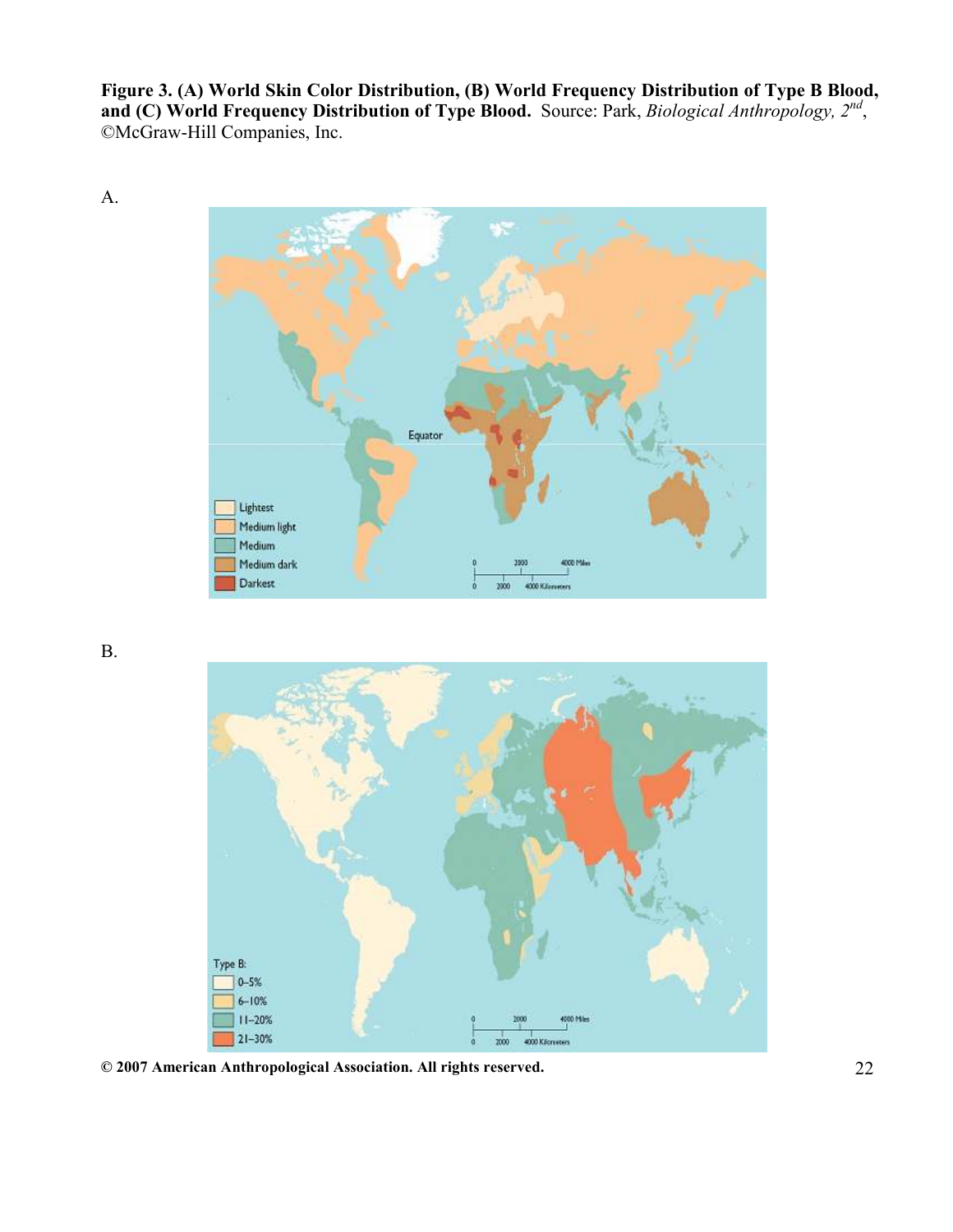Figure 3. (A) World Skin Color Distribution, (B) World Frequency Distribution of Type B Blood, and (C) World Frequency Distribution of Type Blood. Source: Park, Biological Anthropology,  $2^{nd}$ , ©McGraw-Hill Companies, Inc.



B.

A.



© 2007 American Anthropological Association. All rights reserved. 22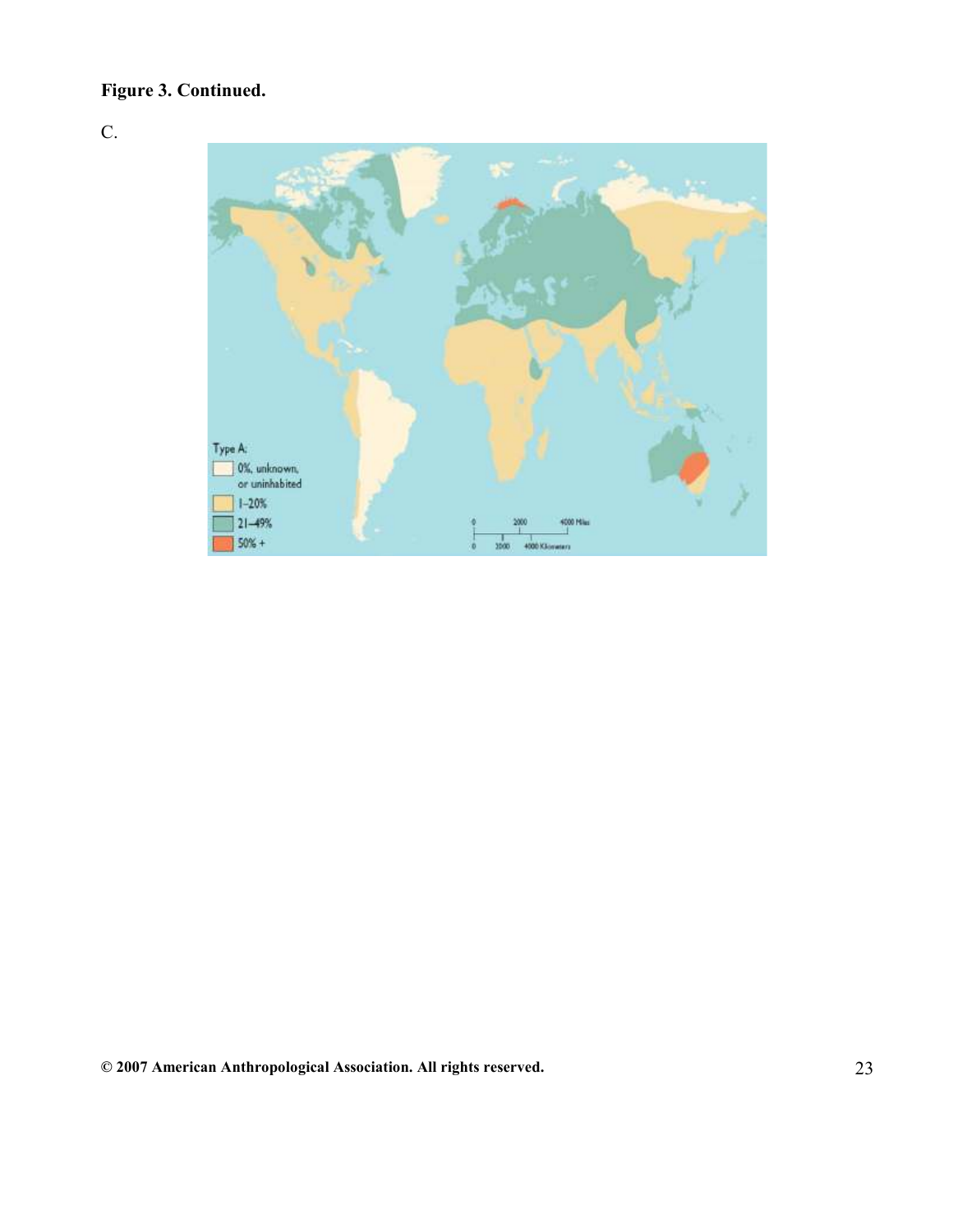# Figure 3. Continued.

C.

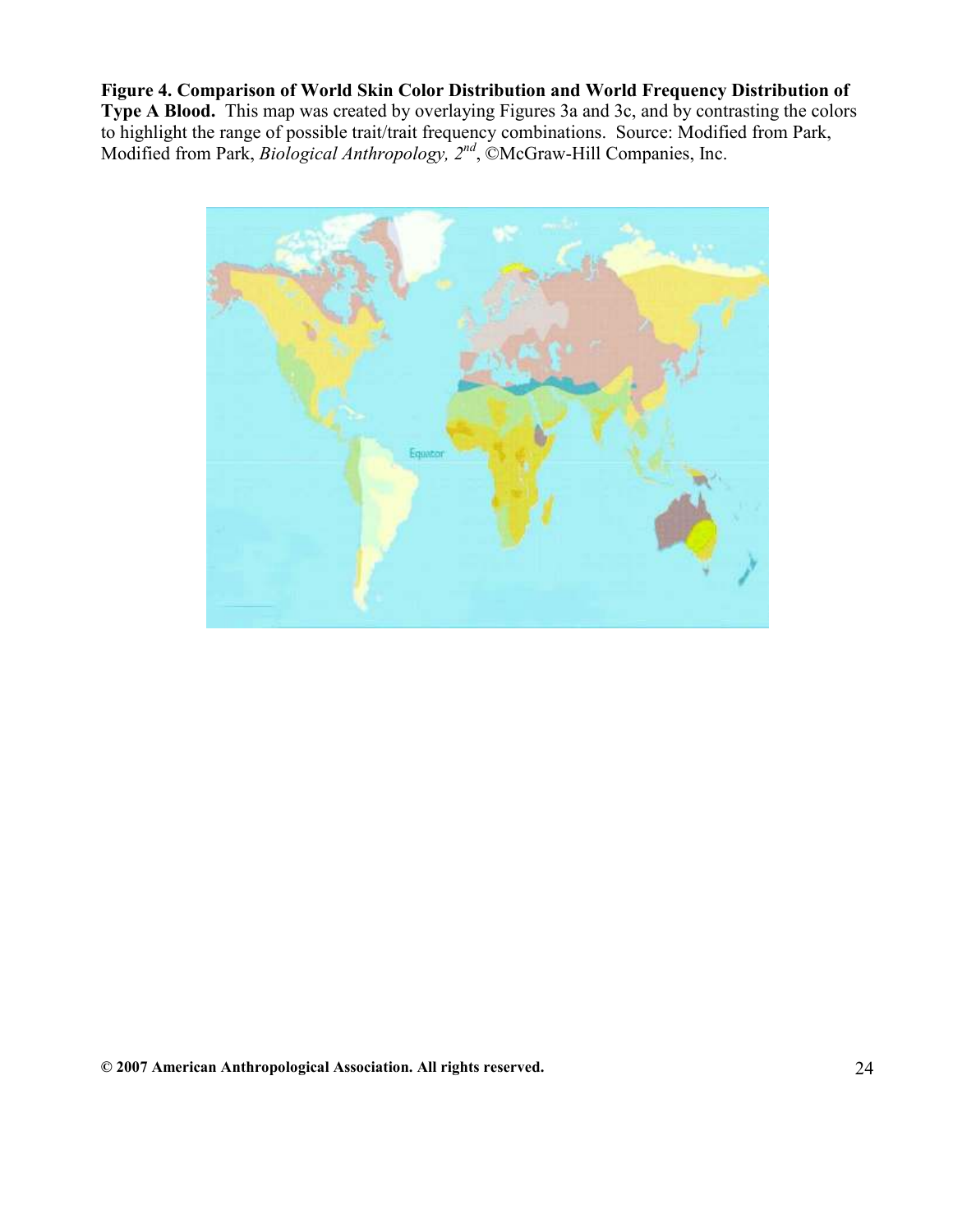Figure 4. Comparison of World Skin Color Distribution and World Frequency Distribution of Type A Blood. This map was created by overlaying Figures 3a and 3c, and by contrasting the colors to highlight the range of possible trait/trait frequency combinations. Source: Modified from Park, Modified from Park, *Biological Anthropology*,  $2^{nd}$ , ©McGraw-Hill Companies, Inc.

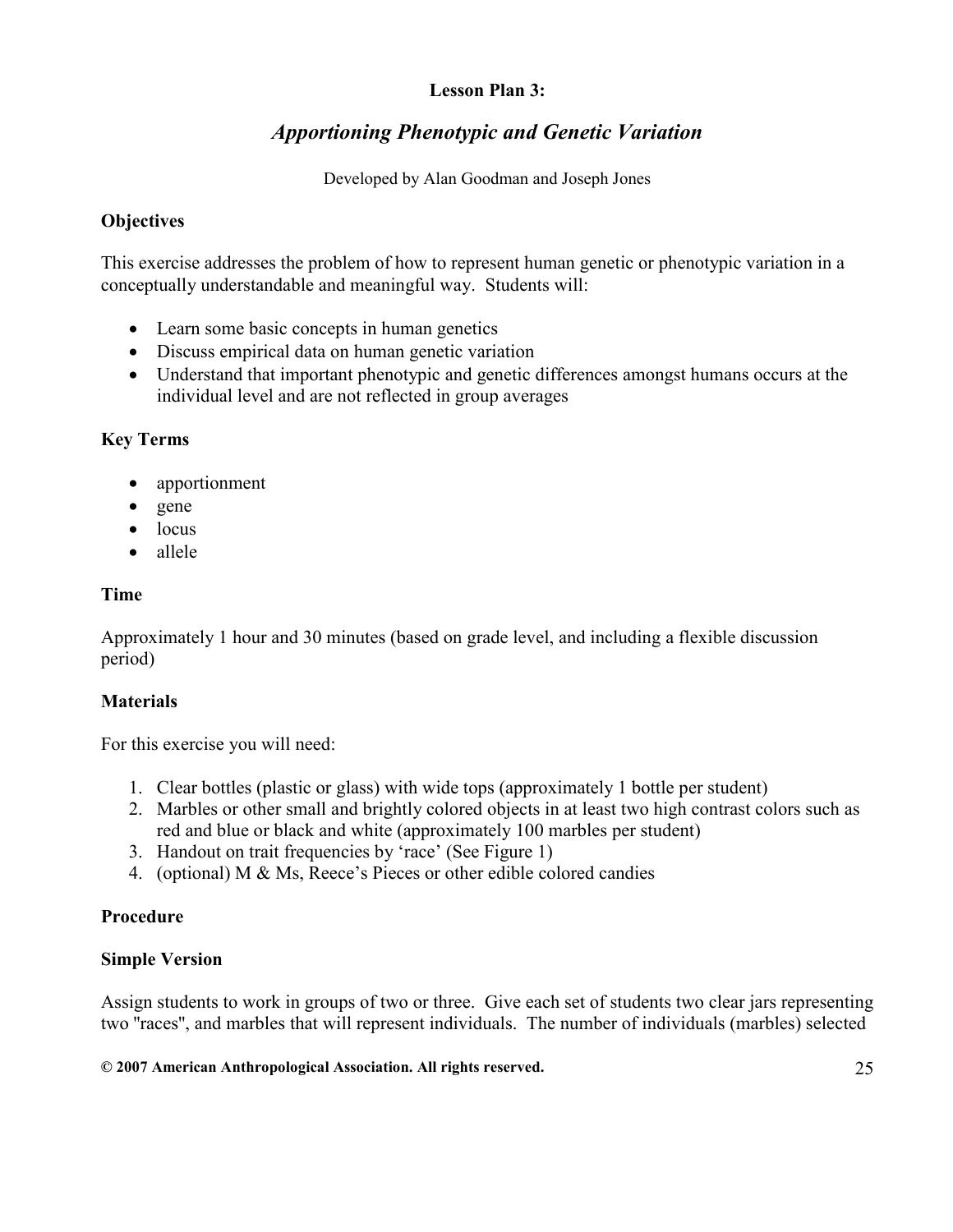#### Lesson Plan 3:

# Apportioning Phenotypic and Genetic Variation

Developed by Alan Goodman and Joseph Jones

## **Objectives**

This exercise addresses the problem of how to represent human genetic or phenotypic variation in a conceptually understandable and meaningful way. Students will:

- Learn some basic concepts in human genetics
- Discuss empirical data on human genetic variation
- Understand that important phenotypic and genetic differences amongst humans occurs at the individual level and are not reflected in group averages

## Key Terms

- apportionment
- gene
- locus
- allele

## Time

Approximately 1 hour and 30 minutes (based on grade level, and including a flexible discussion period)

# **Materials**

For this exercise you will need:

- 1. Clear bottles (plastic or glass) with wide tops (approximately 1 bottle per student)
- 2. Marbles or other small and brightly colored objects in at least two high contrast colors such as red and blue or black and white (approximately 100 marbles per student)
- 3. Handout on trait frequencies by 'race' (See Figure 1)
- 4. (optional) M & Ms, Reece's Pieces or other edible colored candies

# Procedure

#### Simple Version

Assign students to work in groups of two or three. Give each set of students two clear jars representing two ''races'', and marbles that will represent individuals. The number of individuals (marbles) selected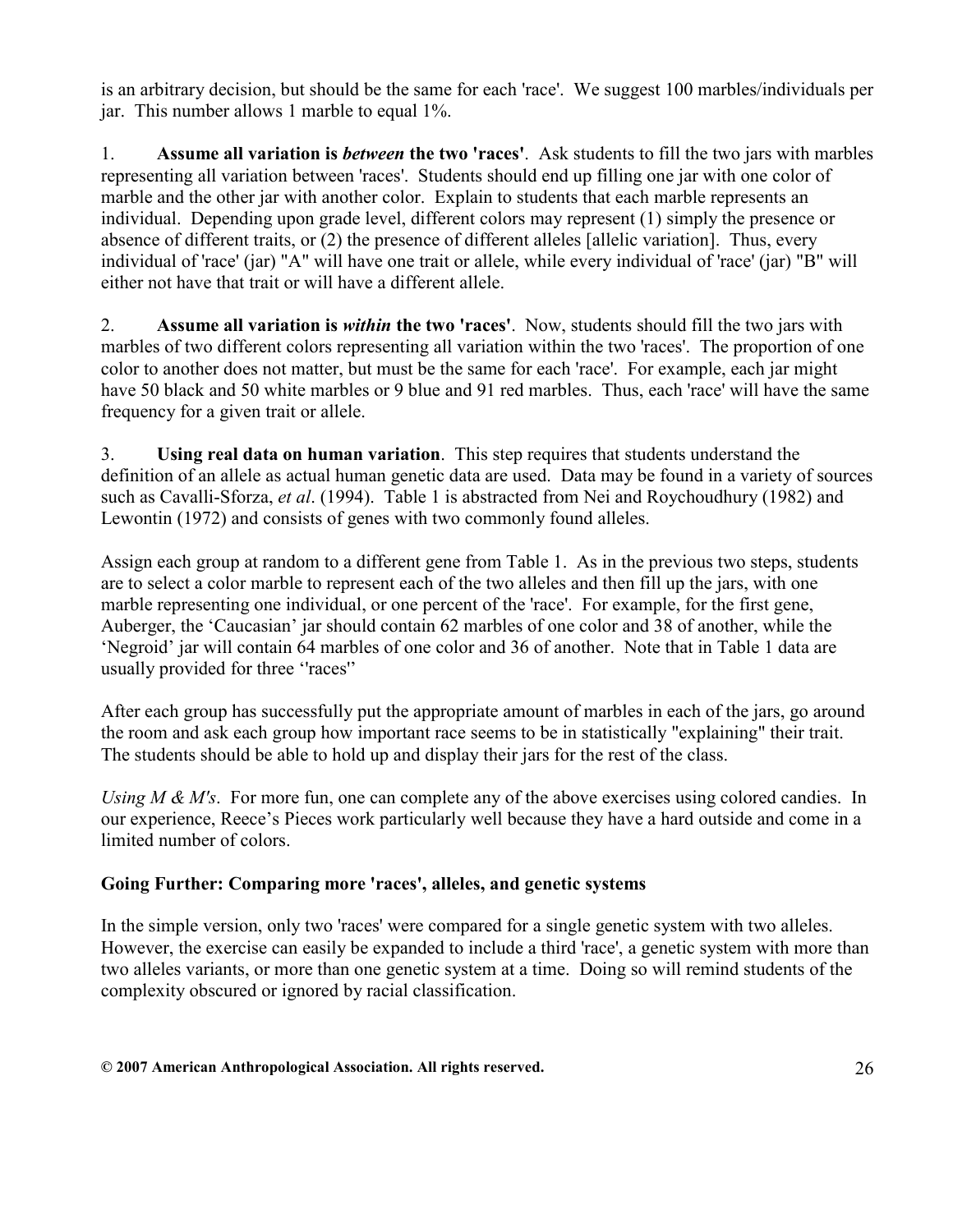is an arbitrary decision, but should be the same for each 'race'. We suggest 100 marbles/individuals per jar. This number allows 1 marble to equal 1%.

1. Assume all variation is between the two 'races'. Ask students to fill the two jars with marbles representing all variation between 'races'. Students should end up filling one jar with one color of marble and the other jar with another color. Explain to students that each marble represents an individual. Depending upon grade level, different colors may represent (1) simply the presence or absence of different traits, or (2) the presence of different alleles [allelic variation]. Thus, every individual of 'race' (jar) "A" will have one trait or allele, while every individual of 'race' (jar) "B" will either not have that trait or will have a different allele.

2. Assume all variation is *within* the two 'races'. Now, students should fill the two jars with marbles of two different colors representing all variation within the two 'races'. The proportion of one color to another does not matter, but must be the same for each 'race'. For example, each jar might have 50 black and 50 white marbles or 9 blue and 91 red marbles. Thus, each 'race' will have the same frequency for a given trait or allele.

3. Using real data on human variation. This step requires that students understand the definition of an allele as actual human genetic data are used. Data may be found in a variety of sources such as Cavalli-Sforza, *et al.* (1994). Table 1 is abstracted from Nei and Roychoudhury (1982) and Lewontin (1972) and consists of genes with two commonly found alleles.

Assign each group at random to a different gene from Table 1. As in the previous two steps, students are to select a color marble to represent each of the two alleles and then fill up the jars, with one marble representing one individual, or one percent of the 'race'. For example, for the first gene, Auberger, the 'Caucasian' jar should contain 62 marbles of one color and 38 of another, while the 'Negroid' jar will contain 64 marbles of one color and 36 of another. Note that in Table 1 data are usually provided for three ''races''

After each group has successfully put the appropriate amount of marbles in each of the jars, go around the room and ask each group how important race seems to be in statistically "explaining" their trait. The students should be able to hold up and display their jars for the rest of the class.

Using  $M \& M$ 's. For more fun, one can complete any of the above exercises using colored candies. In our experience, Reece's Pieces work particularly well because they have a hard outside and come in a limited number of colors.

# Going Further: Comparing more 'races', alleles, and genetic systems

In the simple version, only two 'races' were compared for a single genetic system with two alleles. However, the exercise can easily be expanded to include a third 'race', a genetic system with more than two alleles variants, or more than one genetic system at a time. Doing so will remind students of the complexity obscured or ignored by racial classification.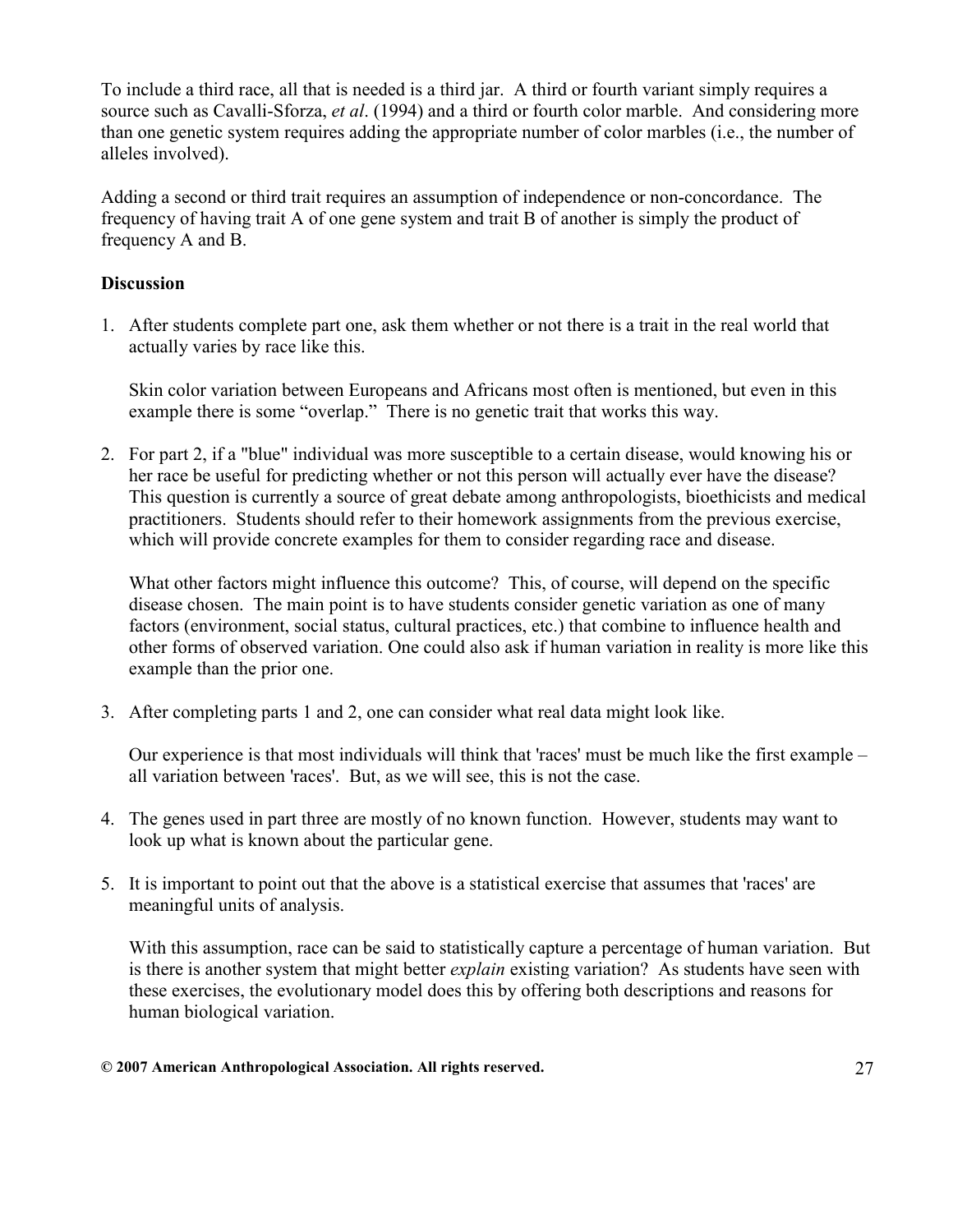To include a third race, all that is needed is a third jar. A third or fourth variant simply requires a source such as Cavalli-Sforza, et al. (1994) and a third or fourth color marble. And considering more than one genetic system requires adding the appropriate number of color marbles (i.e., the number of alleles involved).

Adding a second or third trait requires an assumption of independence or non-concordance. The frequency of having trait A of one gene system and trait B of another is simply the product of frequency A and B.

## **Discussion**

1. After students complete part one, ask them whether or not there is a trait in the real world that actually varies by race like this.

Skin color variation between Europeans and Africans most often is mentioned, but even in this example there is some "overlap." There is no genetic trait that works this way.

2. For part 2, if a "blue" individual was more susceptible to a certain disease, would knowing his or her race be useful for predicting whether or not this person will actually ever have the disease? This question is currently a source of great debate among anthropologists, bioethicists and medical practitioners. Students should refer to their homework assignments from the previous exercise, which will provide concrete examples for them to consider regarding race and disease.

What other factors might influence this outcome? This, of course, will depend on the specific disease chosen. The main point is to have students consider genetic variation as one of many factors (environment, social status, cultural practices, etc.) that combine to influence health and other forms of observed variation. One could also ask if human variation in reality is more like this example than the prior one.

3. After completing parts 1 and 2, one can consider what real data might look like.

 Our experience is that most individuals will think that 'races' must be much like the first example – all variation between 'races'. But, as we will see, this is not the case.

- 4. The genes used in part three are mostly of no known function. However, students may want to look up what is known about the particular gene.
- 5. It is important to point out that the above is a statistical exercise that assumes that 'races' are meaningful units of analysis.

With this assumption, race can be said to statistically capture a percentage of human variation. But is there is another system that might better explain existing variation? As students have seen with these exercises, the evolutionary model does this by offering both descriptions and reasons for human biological variation.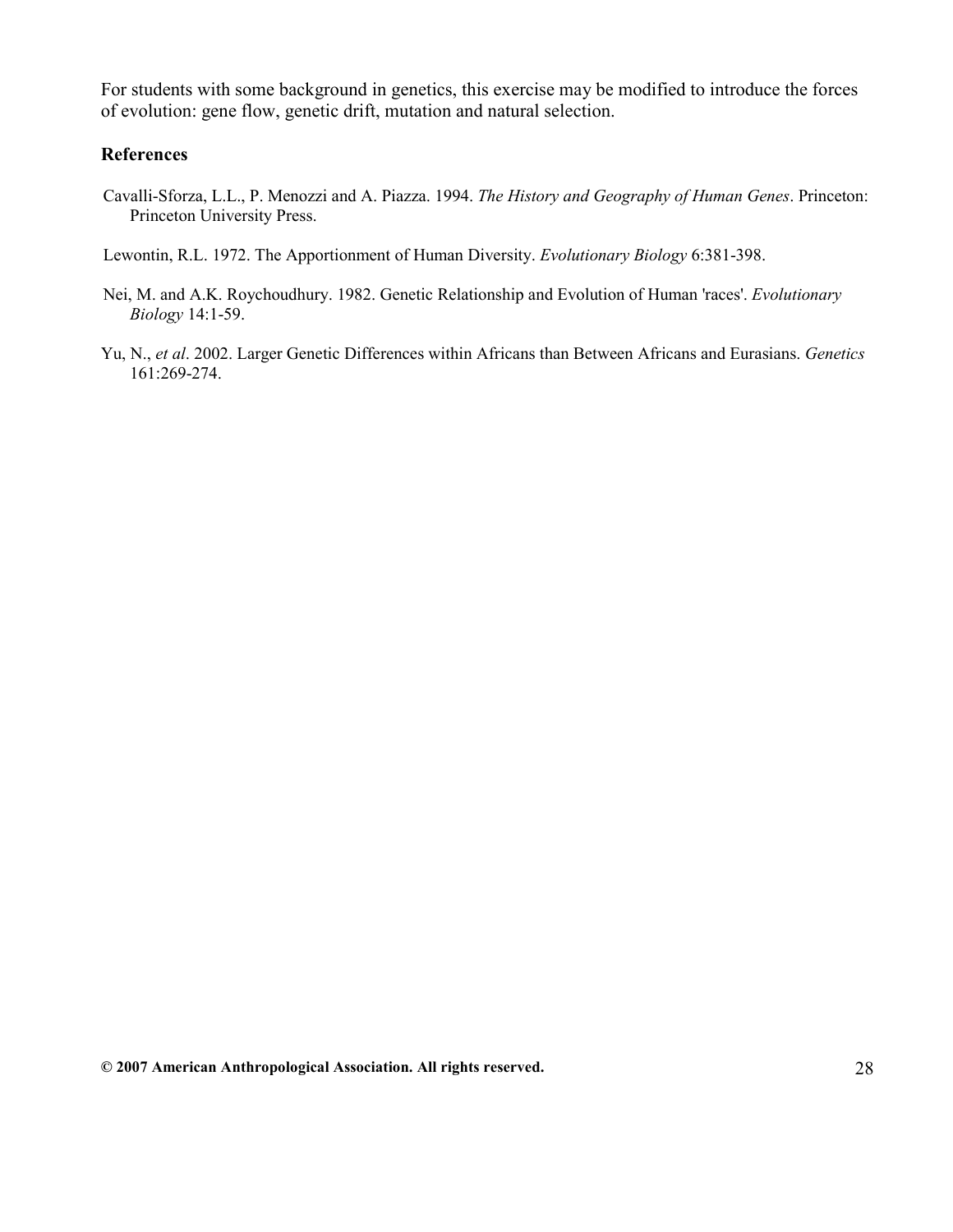For students with some background in genetics, this exercise may be modified to introduce the forces of evolution: gene flow, genetic drift, mutation and natural selection.

#### References

Cavalli-Sforza, L.L., P. Menozzi and A. Piazza. 1994. The History and Geography of Human Genes. Princeton: Princeton University Press.

Lewontin, R.L. 1972. The Apportionment of Human Diversity. Evolutionary Biology 6:381-398.

- Nei, M. and A.K. Roychoudhury. 1982. Genetic Relationship and Evolution of Human 'races'. Evolutionary Biology 14:1-59.
- Yu, N., et al. 2002. Larger Genetic Differences within Africans than Between Africans and Eurasians. Genetics 161:269-274.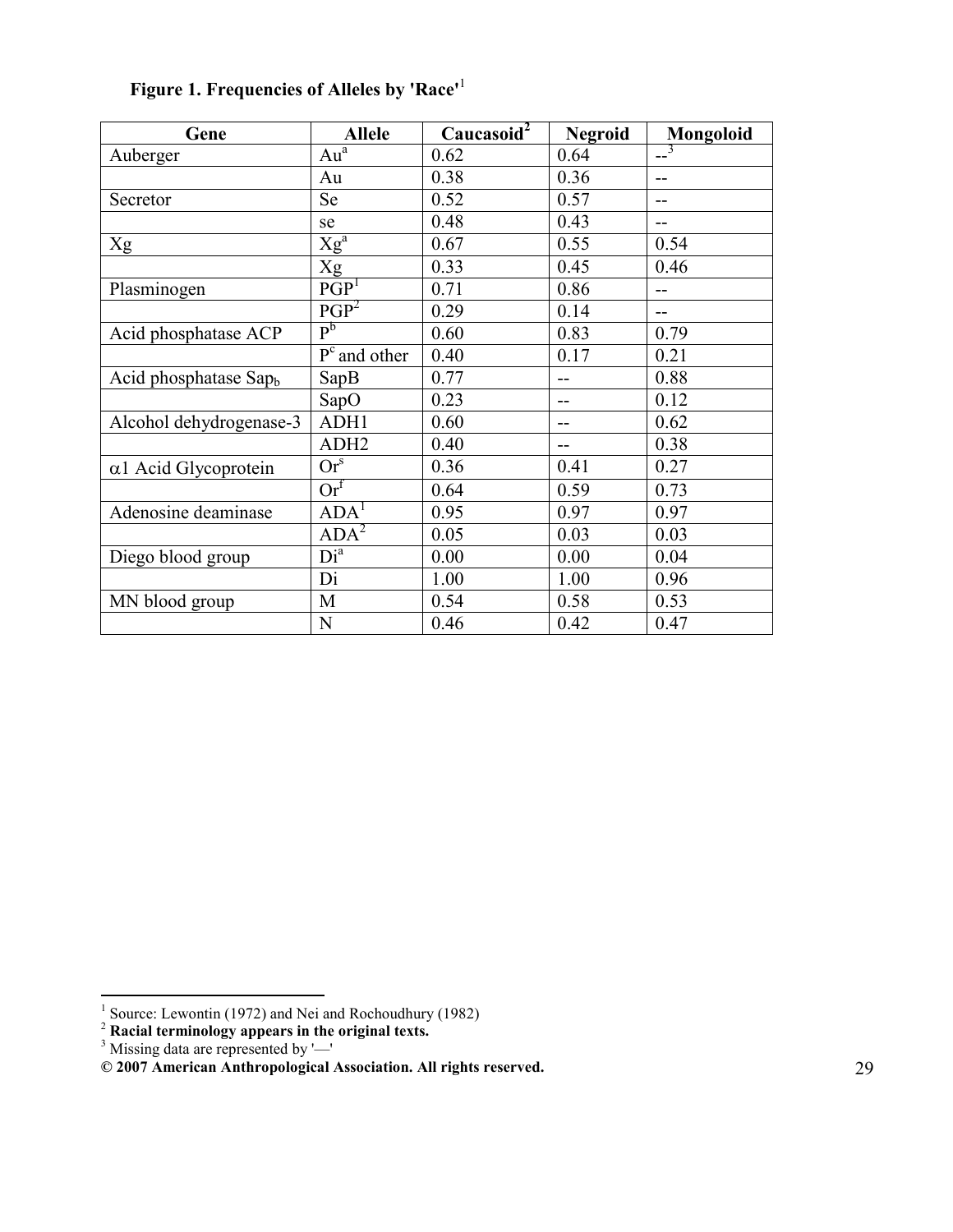| Gene                              | <b>Allele</b>                     | Caucasoid <sup>2</sup> | <b>Negroid</b> | <b>Mongoloid</b> |
|-----------------------------------|-----------------------------------|------------------------|----------------|------------------|
| Auberger                          | Au <sup>a</sup>                   | 0.62                   | 0.64           | $-3$             |
|                                   | Au                                | 0.38                   | 0.36           | $-$              |
| Secretor                          | Se                                | 0.52                   | 0.57           | $-$              |
|                                   | se                                | 0.48                   | 0.43           | $-$              |
| Xg                                | $Xg^a$                            | 0.67                   | 0.55           | 0.54             |
|                                   | Xg                                | 0.33                   | 0.45           | 0.46             |
| Plasminogen                       | $\overline{PGP}^1$                | 0.71                   | 0.86           | $-$              |
|                                   | PGP <sup>2</sup>                  | 0.29                   | 0.14           | $-$              |
| Acid phosphatase ACP              | P <sub>p</sub>                    | 0.60                   | 0.83           | 0.79             |
|                                   | $Pc$ and other                    | 0.40                   | 0.17           | 0.21             |
| Acid phosphatase Sap <sub>b</sub> | SapB                              | 0.77                   | $-$            | 0.88             |
|                                   | SapO                              | 0.23                   | $-$            | 0.12             |
| Alcohol dehydrogenase-3           | ADH1                              | 0.60                   | --             | 0.62             |
|                                   | ADH <sub>2</sub>                  | 0.40                   | --             | 0.38             |
| $\alpha$ 1 Acid Glycoprotein      | $\mathrm{Or}^{\mathrm{s}}$        | 0.36                   | 0.41           | 0.27             |
|                                   | $\overline{\text{Or}}^{\text{f}}$ | 0.64                   | 0.59           | 0.73             |
| Adenosine deaminase               | ADA <sup>T</sup>                  | 0.95                   | 0.97           | 0.97             |
|                                   | ADA <sup>2</sup>                  | 0.05                   | 0.03           | 0.03             |
| Diego blood group                 | $Di^{a}$                          | 0.00                   | 0.00           | 0.04             |
|                                   | Di                                | 1.00                   | 1.00           | 0.96             |
| MN blood group                    | M                                 | 0.54                   | 0.58           | 0.53             |
|                                   | N                                 | 0.46                   | 0.42           | 0.47             |

# Figure 1. Frequencies of Alleles by 'Race'<sup>1</sup>

 1 Source: Lewontin (1972) and Nei and Rochoudhury (1982)

<sup>&</sup>lt;sup>2</sup> Racial terminology appears in the original texts.<br><sup>3</sup> Missing data are represented by '—'

<sup>© 2007</sup> American Anthropological Association. All rights reserved. 29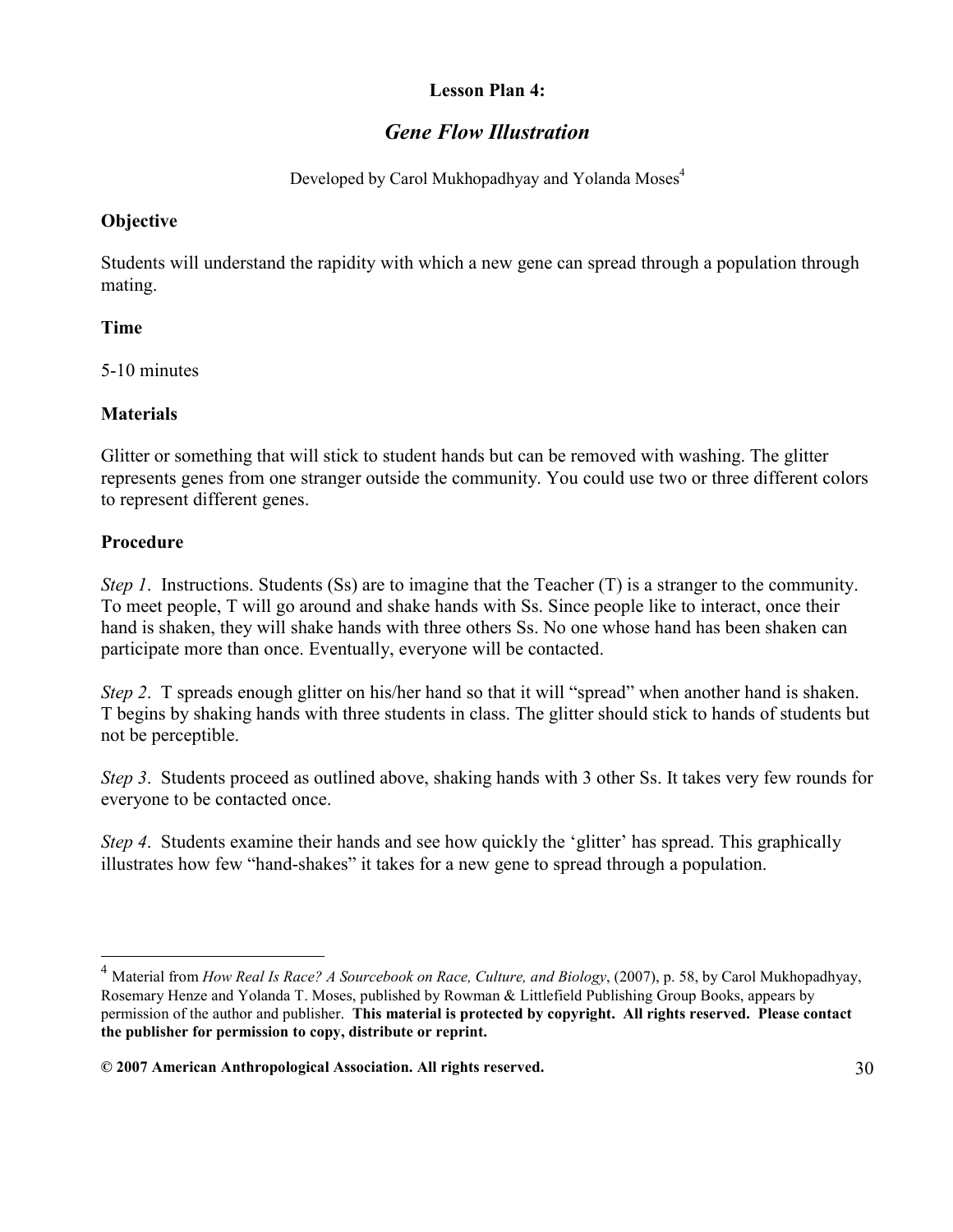#### Lesson Plan 4:

# Gene Flow Illustration

Developed by Carol Mukhopadhyay and Yolanda Moses<sup>4</sup>

#### **Objective**

Students will understand the rapidity with which a new gene can spread through a population through mating.

#### Time

5-10 minutes

## **Materials**

Glitter or something that will stick to student hands but can be removed with washing. The glitter represents genes from one stranger outside the community. You could use two or three different colors to represent different genes.

#### Procedure

-

Step 1. Instructions. Students (Ss) are to imagine that the Teacher (T) is a stranger to the community. To meet people, T will go around and shake hands with Ss. Since people like to interact, once their hand is shaken, they will shake hands with three others Ss. No one whose hand has been shaken can participate more than once. Eventually, everyone will be contacted.

Step 2. T spreads enough glitter on his/her hand so that it will "spread" when another hand is shaken. T begins by shaking hands with three students in class. The glitter should stick to hands of students but not be perceptible.

Step 3. Students proceed as outlined above, shaking hands with 3 other Ss. It takes very few rounds for everyone to be contacted once.

Step 4. Students examine their hands and see how quickly the 'glitter' has spread. This graphically illustrates how few "hand-shakes" it takes for a new gene to spread through a population.

Material from How Real Is Race? A Sourcebook on Race, Culture, and Biology, (2007), p. 58, by Carol Mukhopadhyay, Rosemary Henze and Yolanda T. Moses, published by Rowman & Littlefield Publishing Group Books, appears by permission of the author and publisher. This material is protected by copyright. All rights reserved. Please contact the publisher for permission to copy, distribute or reprint.

<sup>© 2007</sup> American Anthropological Association. All rights reserved. 30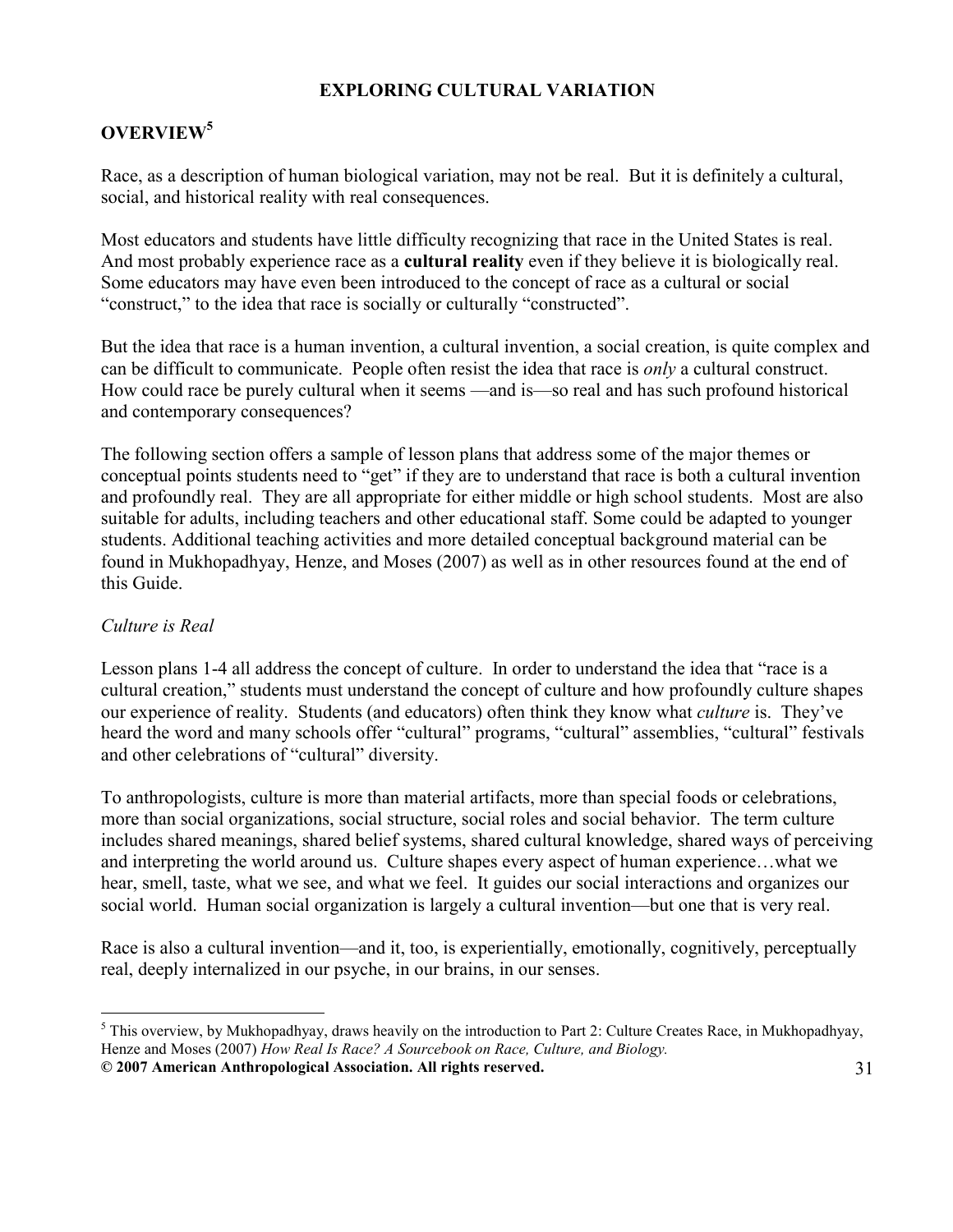#### EXPLORING CULTURAL VARIATION

# OVERVIEW<sup>5</sup>

Race, as a description of human biological variation, may not be real. But it is definitely a cultural, social, and historical reality with real consequences.

Most educators and students have little difficulty recognizing that race in the United States is real. And most probably experience race as a **cultural reality** even if they believe it is biologically real. Some educators may have even been introduced to the concept of race as a cultural or social "construct," to the idea that race is socially or culturally "constructed".

But the idea that race is a human invention, a cultural invention, a social creation, is quite complex and can be difficult to communicate. People often resist the idea that race is only a cultural construct. How could race be purely cultural when it seems —and is—so real and has such profound historical and contemporary consequences?

The following section offers a sample of lesson plans that address some of the major themes or conceptual points students need to "get" if they are to understand that race is both a cultural invention and profoundly real. They are all appropriate for either middle or high school students. Most are also suitable for adults, including teachers and other educational staff. Some could be adapted to younger students. Additional teaching activities and more detailed conceptual background material can be found in Mukhopadhyay, Henze, and Moses (2007) as well as in other resources found at the end of this Guide.

#### Culture is Real

Lesson plans 1-4 all address the concept of culture. In order to understand the idea that "race is a cultural creation," students must understand the concept of culture and how profoundly culture shapes our experience of reality. Students (and educators) often think they know what culture is. They've heard the word and many schools offer "cultural" programs, "cultural" assemblies, "cultural" festivals and other celebrations of "cultural" diversity.

To anthropologists, culture is more than material artifacts, more than special foods or celebrations, more than social organizations, social structure, social roles and social behavior. The term culture includes shared meanings, shared belief systems, shared cultural knowledge, shared ways of perceiving and interpreting the world around us. Culture shapes every aspect of human experience…what we hear, smell, taste, what we see, and what we feel. It guides our social interactions and organizes our social world. Human social organization is largely a cultural invention—but one that is very real.

Race is also a cultural invention—and it, too, is experientially, emotionally, cognitively, perceptually real, deeply internalized in our psyche, in our brains, in our senses.

<sup>© 2007</sup> American Anthropological Association. All rights reserved. 31 <sup>5</sup> This overview, by Mukhopadhyay, draws heavily on the introduction to Part 2: Culture Creates Race, in Mukhopadhyay, Henze and Moses (2007) How Real Is Race? A Sourcebook on Race, Culture, and Biology.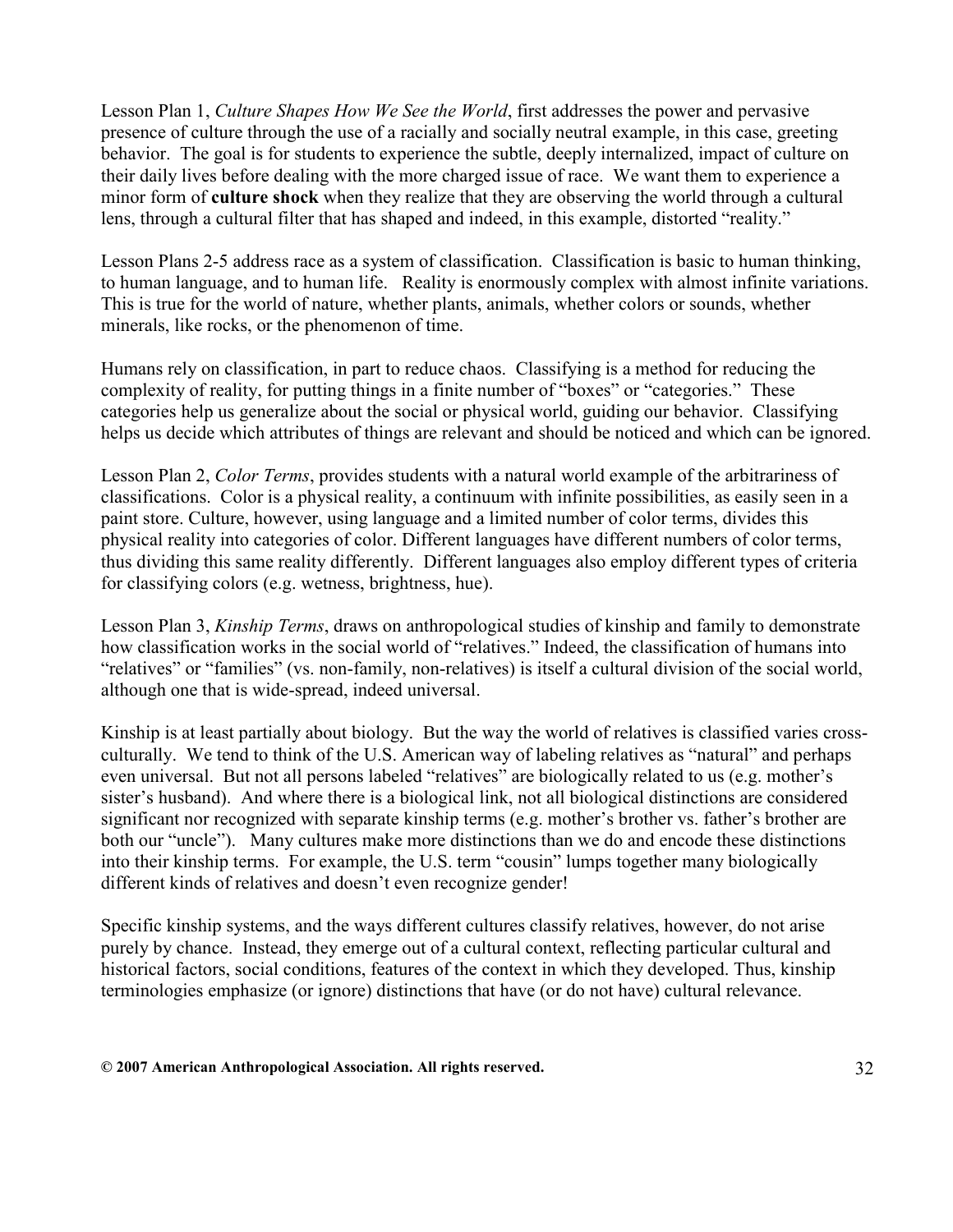Lesson Plan 1, Culture Shapes How We See the World, first addresses the power and pervasive presence of culture through the use of a racially and socially neutral example, in this case, greeting behavior. The goal is for students to experience the subtle, deeply internalized, impact of culture on their daily lives before dealing with the more charged issue of race. We want them to experience a minor form of culture shock when they realize that they are observing the world through a cultural lens, through a cultural filter that has shaped and indeed, in this example, distorted "reality."

Lesson Plans 2-5 address race as a system of classification. Classification is basic to human thinking, to human language, and to human life. Reality is enormously complex with almost infinite variations. This is true for the world of nature, whether plants, animals, whether colors or sounds, whether minerals, like rocks, or the phenomenon of time.

Humans rely on classification, in part to reduce chaos. Classifying is a method for reducing the complexity of reality, for putting things in a finite number of "boxes" or "categories." These categories help us generalize about the social or physical world, guiding our behavior. Classifying helps us decide which attributes of things are relevant and should be noticed and which can be ignored.

Lesson Plan 2, *Color Terms*, provides students with a natural world example of the arbitrariness of classifications. Color is a physical reality, a continuum with infinite possibilities, as easily seen in a paint store. Culture, however, using language and a limited number of color terms, divides this physical reality into categories of color. Different languages have different numbers of color terms, thus dividing this same reality differently. Different languages also employ different types of criteria for classifying colors (e.g. wetness, brightness, hue).

Lesson Plan 3, Kinship Terms, draws on anthropological studies of kinship and family to demonstrate how classification works in the social world of "relatives." Indeed, the classification of humans into "relatives" or "families" (vs. non-family, non-relatives) is itself a cultural division of the social world, although one that is wide-spread, indeed universal.

Kinship is at least partially about biology. But the way the world of relatives is classified varies crossculturally. We tend to think of the U.S. American way of labeling relatives as "natural" and perhaps even universal. But not all persons labeled "relatives" are biologically related to us (e.g. mother's sister's husband). And where there is a biological link, not all biological distinctions are considered significant nor recognized with separate kinship terms (e.g. mother's brother vs. father's brother are both our "uncle"). Many cultures make more distinctions than we do and encode these distinctions into their kinship terms. For example, the U.S. term "cousin" lumps together many biologically different kinds of relatives and doesn't even recognize gender!

Specific kinship systems, and the ways different cultures classify relatives, however, do not arise purely by chance. Instead, they emerge out of a cultural context, reflecting particular cultural and historical factors, social conditions, features of the context in which they developed. Thus, kinship terminologies emphasize (or ignore) distinctions that have (or do not have) cultural relevance.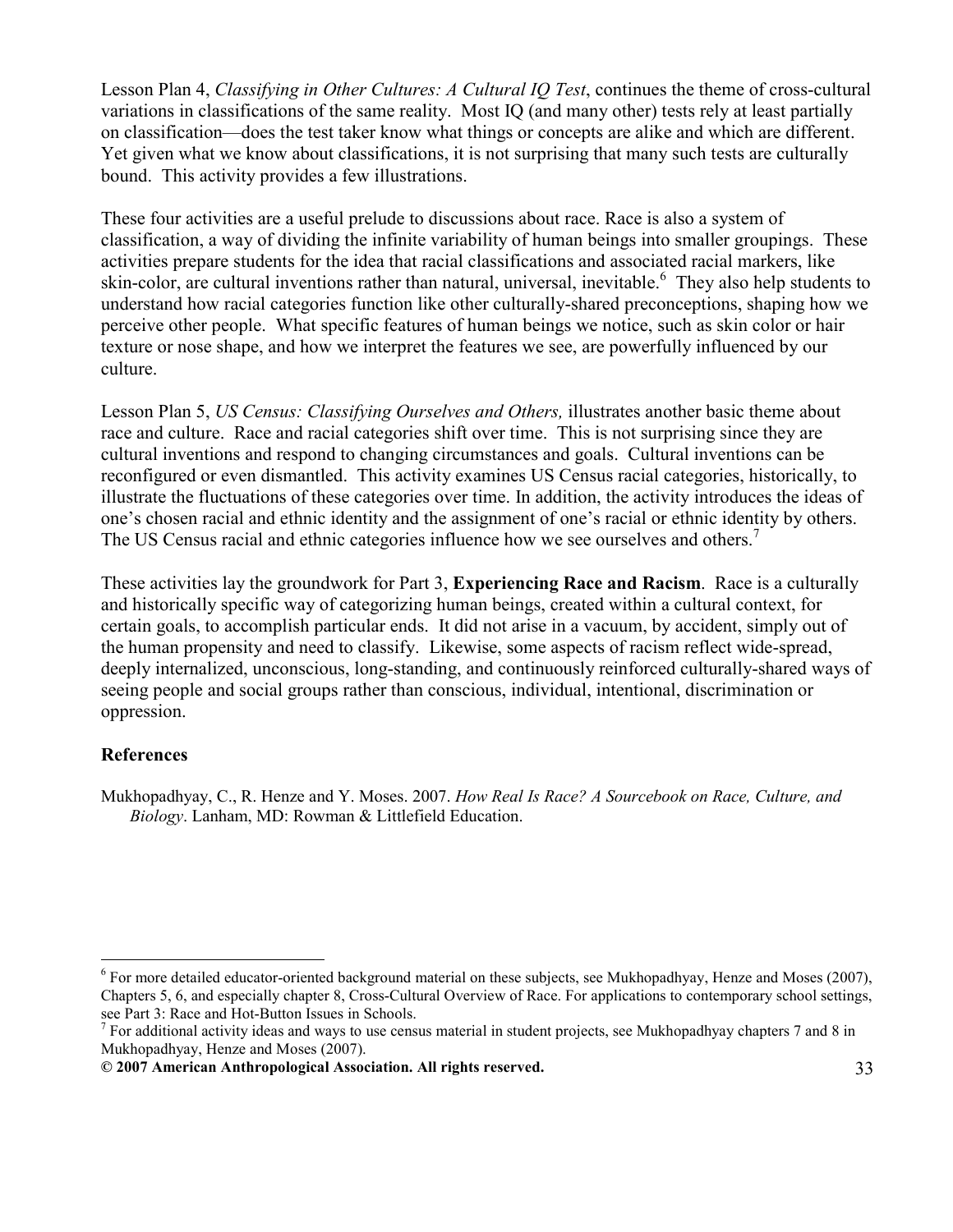Lesson Plan 4, Classifying in Other Cultures: A Cultural IQ Test, continues the theme of cross-cultural variations in classifications of the same reality. Most IQ (and many other) tests rely at least partially on classification—does the test taker know what things or concepts are alike and which are different. Yet given what we know about classifications, it is not surprising that many such tests are culturally bound. This activity provides a few illustrations.

These four activities are a useful prelude to discussions about race. Race is also a system of classification, a way of dividing the infinite variability of human beings into smaller groupings. These activities prepare students for the idea that racial classifications and associated racial markers, like skin-color, are cultural inventions rather than natural, universal, inevitable.<sup>6</sup> They also help students to understand how racial categories function like other culturally-shared preconceptions, shaping how we perceive other people. What specific features of human beings we notice, such as skin color or hair texture or nose shape, and how we interpret the features we see, are powerfully influenced by our culture.

Lesson Plan 5, US Census: Classifying Ourselves and Others, illustrates another basic theme about race and culture. Race and racial categories shift over time. This is not surprising since they are cultural inventions and respond to changing circumstances and goals. Cultural inventions can be reconfigured or even dismantled. This activity examines US Census racial categories, historically, to illustrate the fluctuations of these categories over time. In addition, the activity introduces the ideas of one's chosen racial and ethnic identity and the assignment of one's racial or ethnic identity by others. The US Census racial and ethnic categories influence how we see ourselves and others.<sup>7</sup>

These activities lay the groundwork for Part 3, **Experiencing Race and Racism**. Race is a culturally and historically specific way of categorizing human beings, created within a cultural context, for certain goals, to accomplish particular ends. It did not arise in a vacuum, by accident, simply out of the human propensity and need to classify. Likewise, some aspects of racism reflect wide-spread, deeply internalized, unconscious, long-standing, and continuously reinforced culturally-shared ways of seeing people and social groups rather than conscious, individual, intentional, discrimination or oppression.

#### References

-

Mukhopadhyay, C., R. Henze and Y. Moses. 2007. How Real Is Race? A Sourcebook on Race, Culture, and Biology. Lanham, MD: Rowman & Littlefield Education.

 $6$  For more detailed educator-oriented background material on these subjects, see Mukhopadhyay, Henze and Moses (2007), Chapters 5, 6, and especially chapter 8, Cross-Cultural Overview of Race. For applications to contemporary school settings, see Part 3: Race and Hot-Button Issues in Schools.

 $<sup>7</sup>$  For additional activity ideas and ways to use census material in student projects, see Mukhopadhyay chapters 7 and 8 in</sup> Mukhopadhyay, Henze and Moses (2007).

<sup>© 2007</sup> American Anthropological Association. All rights reserved. 33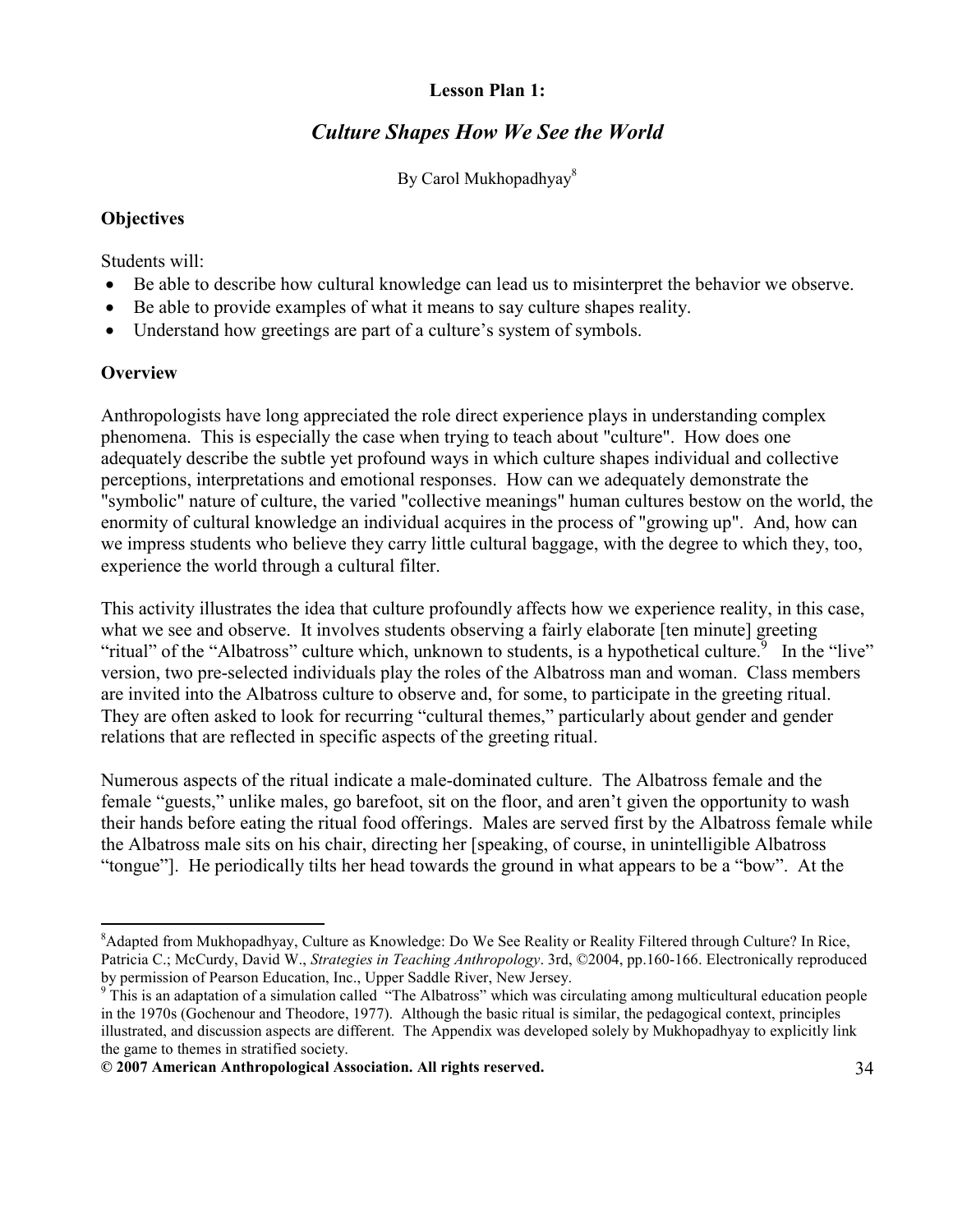#### Lesson Plan 1:

# Culture Shapes How We See the World

By Carol Mukhopadhyay<sup>8</sup>

#### **Objectives**

Students will:

- Be able to describe how cultural knowledge can lead us to misinterpret the behavior we observe.
- Be able to provide examples of what it means to say culture shapes reality.
- Understand how greetings are part of a culture's system of symbols.

## **Overview**

-

Anthropologists have long appreciated the role direct experience plays in understanding complex phenomena. This is especially the case when trying to teach about "culture". How does one adequately describe the subtle yet profound ways in which culture shapes individual and collective perceptions, interpretations and emotional responses. How can we adequately demonstrate the "symbolic" nature of culture, the varied "collective meanings" human cultures bestow on the world, the enormity of cultural knowledge an individual acquires in the process of "growing up". And, how can we impress students who believe they carry little cultural baggage, with the degree to which they, too, experience the world through a cultural filter.

This activity illustrates the idea that culture profoundly affects how we experience reality, in this case, what we see and observe. It involves students observing a fairly elaborate [ten minute] greeting "ritual" of the "Albatross" culture which, unknown to students, is a hypothetical culture. In the "live" version, two pre-selected individuals play the roles of the Albatross man and woman. Class members are invited into the Albatross culture to observe and, for some, to participate in the greeting ritual. They are often asked to look for recurring "cultural themes," particularly about gender and gender relations that are reflected in specific aspects of the greeting ritual.

Numerous aspects of the ritual indicate a male-dominated culture. The Albatross female and the female "guests," unlike males, go barefoot, sit on the floor, and aren't given the opportunity to wash their hands before eating the ritual food offerings. Males are served first by the Albatross female while the Albatross male sits on his chair, directing her [speaking, of course, in unintelligible Albatross "tongue"]. He periodically tilts her head towards the ground in what appears to be a "bow". At the

<sup>&</sup>lt;sup>8</sup>Adapted from Mukhopadhyay, Culture as Knowledge: Do We See Reality or Reality Filtered through Culture? In Rice, Patricia C.; McCurdy, David W., Strategies in Teaching Anthropology. 3rd, ©2004, pp.160-166. Electronically reproduced by permission of Pearson Education, Inc., Upper Saddle River, New Jersey.

<sup>&</sup>lt;sup>9</sup> This is an adaptation of a simulation called "The Albatross" which was circulating among multicultural education people in the 1970s (Gochenour and Theodore, 1977). Although the basic ritual is similar, the pedagogical context, principles illustrated, and discussion aspects are different. The Appendix was developed solely by Mukhopadhyay to explicitly link the game to themes in stratified society.

<sup>© 2007</sup> American Anthropological Association. All rights reserved. 34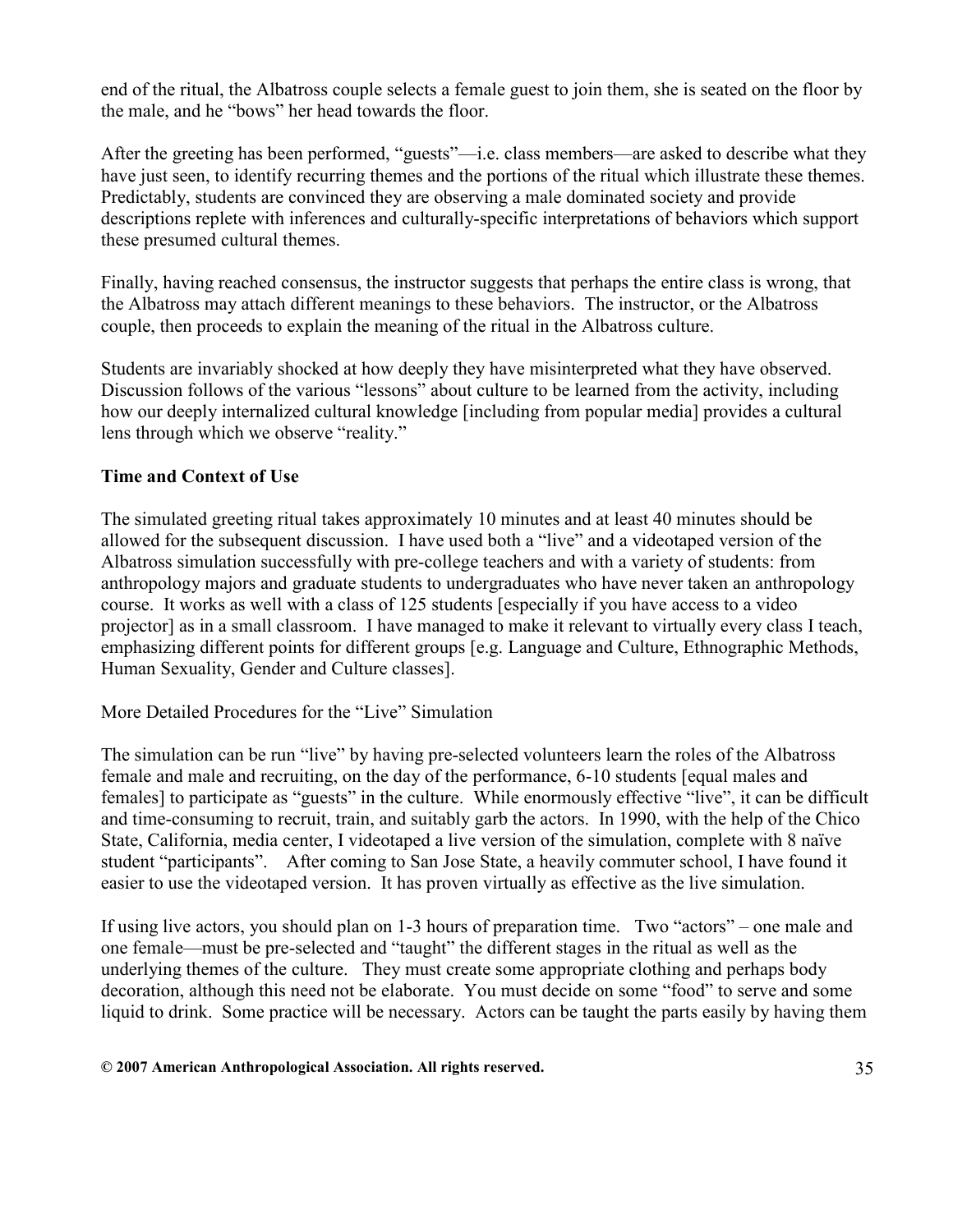end of the ritual, the Albatross couple selects a female guest to join them, she is seated on the floor by the male, and he "bows" her head towards the floor.

After the greeting has been performed, "guests"—i.e. class members—are asked to describe what they have just seen, to identify recurring themes and the portions of the ritual which illustrate these themes. Predictably, students are convinced they are observing a male dominated society and provide descriptions replete with inferences and culturally-specific interpretations of behaviors which support these presumed cultural themes.

Finally, having reached consensus, the instructor suggests that perhaps the entire class is wrong, that the Albatross may attach different meanings to these behaviors. The instructor, or the Albatross couple, then proceeds to explain the meaning of the ritual in the Albatross culture.

Students are invariably shocked at how deeply they have misinterpreted what they have observed. Discussion follows of the various "lessons" about culture to be learned from the activity, including how our deeply internalized cultural knowledge [including from popular media] provides a cultural lens through which we observe "reality."

#### Time and Context of Use

The simulated greeting ritual takes approximately 10 minutes and at least 40 minutes should be allowed for the subsequent discussion. I have used both a "live" and a videotaped version of the Albatross simulation successfully with pre-college teachers and with a variety of students: from anthropology majors and graduate students to undergraduates who have never taken an anthropology course. It works as well with a class of 125 students [especially if you have access to a video projector] as in a small classroom. I have managed to make it relevant to virtually every class I teach, emphasizing different points for different groups [e.g. Language and Culture, Ethnographic Methods, Human Sexuality, Gender and Culture classes].

More Detailed Procedures for the "Live" Simulation

The simulation can be run "live" by having pre-selected volunteers learn the roles of the Albatross female and male and recruiting, on the day of the performance, 6-10 students [equal males and females] to participate as "guests" in the culture. While enormously effective "live", it can be difficult and time-consuming to recruit, train, and suitably garb the actors. In 1990, with the help of the Chico State, California, media center, I videotaped a live version of the simulation, complete with 8 naïve student "participants". After coming to San Jose State, a heavily commuter school, I have found it easier to use the videotaped version. It has proven virtually as effective as the live simulation.

If using live actors, you should plan on 1-3 hours of preparation time. Two "actors" – one male and one female—must be pre-selected and "taught" the different stages in the ritual as well as the underlying themes of the culture. They must create some appropriate clothing and perhaps body decoration, although this need not be elaborate. You must decide on some "food" to serve and some liquid to drink. Some practice will be necessary. Actors can be taught the parts easily by having them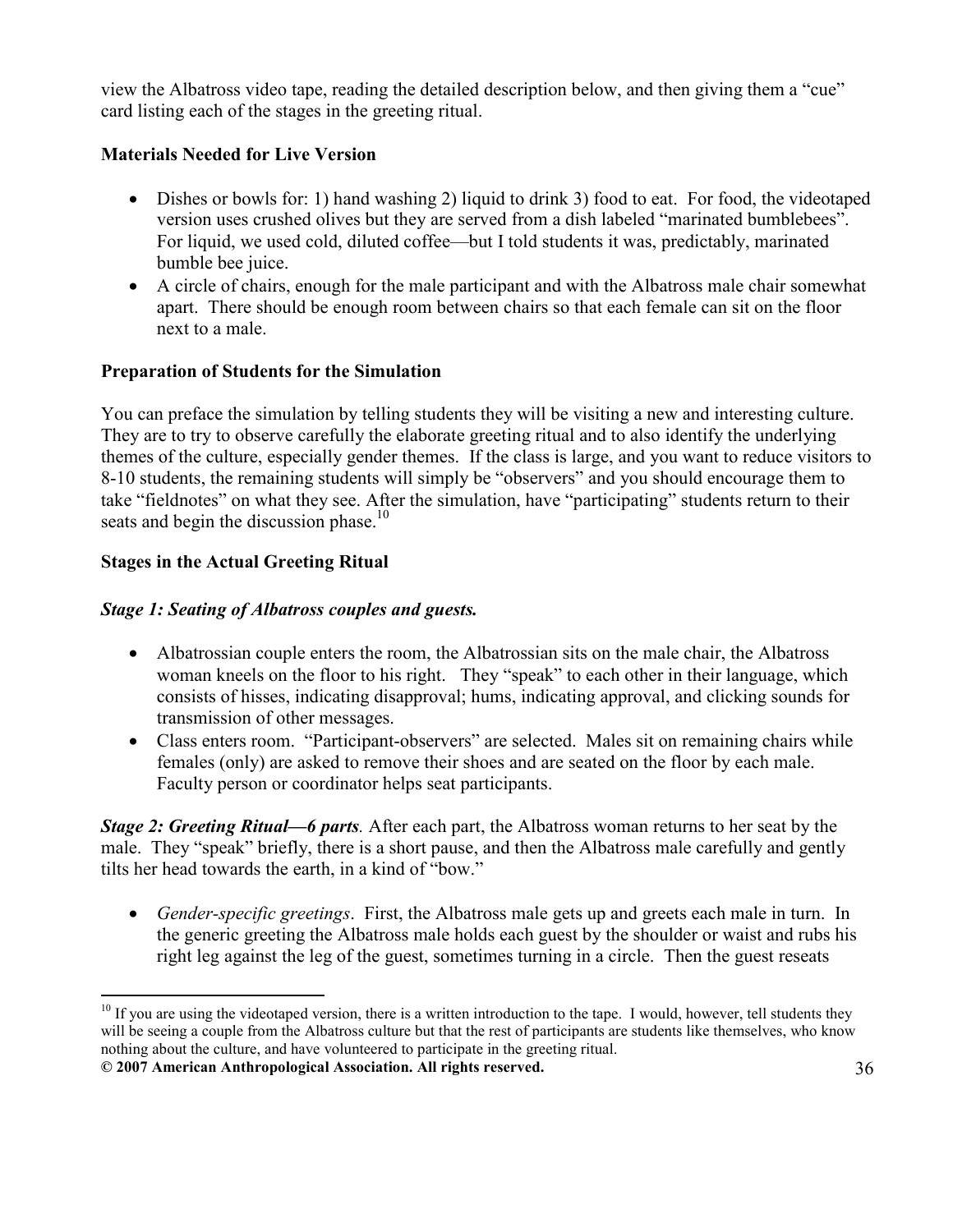view the Albatross video tape, reading the detailed description below, and then giving them a "cue" card listing each of the stages in the greeting ritual.

# Materials Needed for Live Version

- Dishes or bowls for: 1) hand washing 2) liquid to drink 3) food to eat. For food, the videotaped version uses crushed olives but they are served from a dish labeled "marinated bumblebees". For liquid, we used cold, diluted coffee—but I told students it was, predictably, marinated bumble bee juice.
- A circle of chairs, enough for the male participant and with the Albatross male chair somewhat apart. There should be enough room between chairs so that each female can sit on the floor next to a male.

## Preparation of Students for the Simulation

You can preface the simulation by telling students they will be visiting a new and interesting culture. They are to try to observe carefully the elaborate greeting ritual and to also identify the underlying themes of the culture, especially gender themes. If the class is large, and you want to reduce visitors to 8-10 students, the remaining students will simply be "observers" and you should encourage them to take "fieldnotes" on what they see. After the simulation, have "participating" students return to their seats and begin the discussion phase.<sup>10</sup>

## Stages in the Actual Greeting Ritual

## Stage 1: Seating of Albatross couples and guests.

- Albatrossian couple enters the room, the Albatrossian sits on the male chair, the Albatross woman kneels on the floor to his right. They "speak" to each other in their language, which consists of hisses, indicating disapproval; hums, indicating approval, and clicking sounds for transmission of other messages.
- Class enters room. "Participant-observers" are selected. Males sit on remaining chairs while females (only) are asked to remove their shoes and are seated on the floor by each male. Faculty person or coordinator helps seat participants.

**Stage 2: Greeting Ritual—6 parts.** After each part, the Albatross woman returns to her seat by the male. They "speak" briefly, there is a short pause, and then the Albatross male carefully and gently tilts her head towards the earth, in a kind of "bow."

• Gender-specific greetings. First, the Albatross male gets up and greets each male in turn. In the generic greeting the Albatross male holds each guest by the shoulder or waist and rubs his right leg against the leg of the guest, sometimes turning in a circle. Then the guest reseats

<sup>© 2007</sup> American Anthropological Association. All rights reserved. 36 <u>.</u>  $10$  If you are using the videotaped version, there is a written introduction to the tape. I would, however, tell students they will be seeing a couple from the Albatross culture but that the rest of participants are students like themselves, who know nothing about the culture, and have volunteered to participate in the greeting ritual.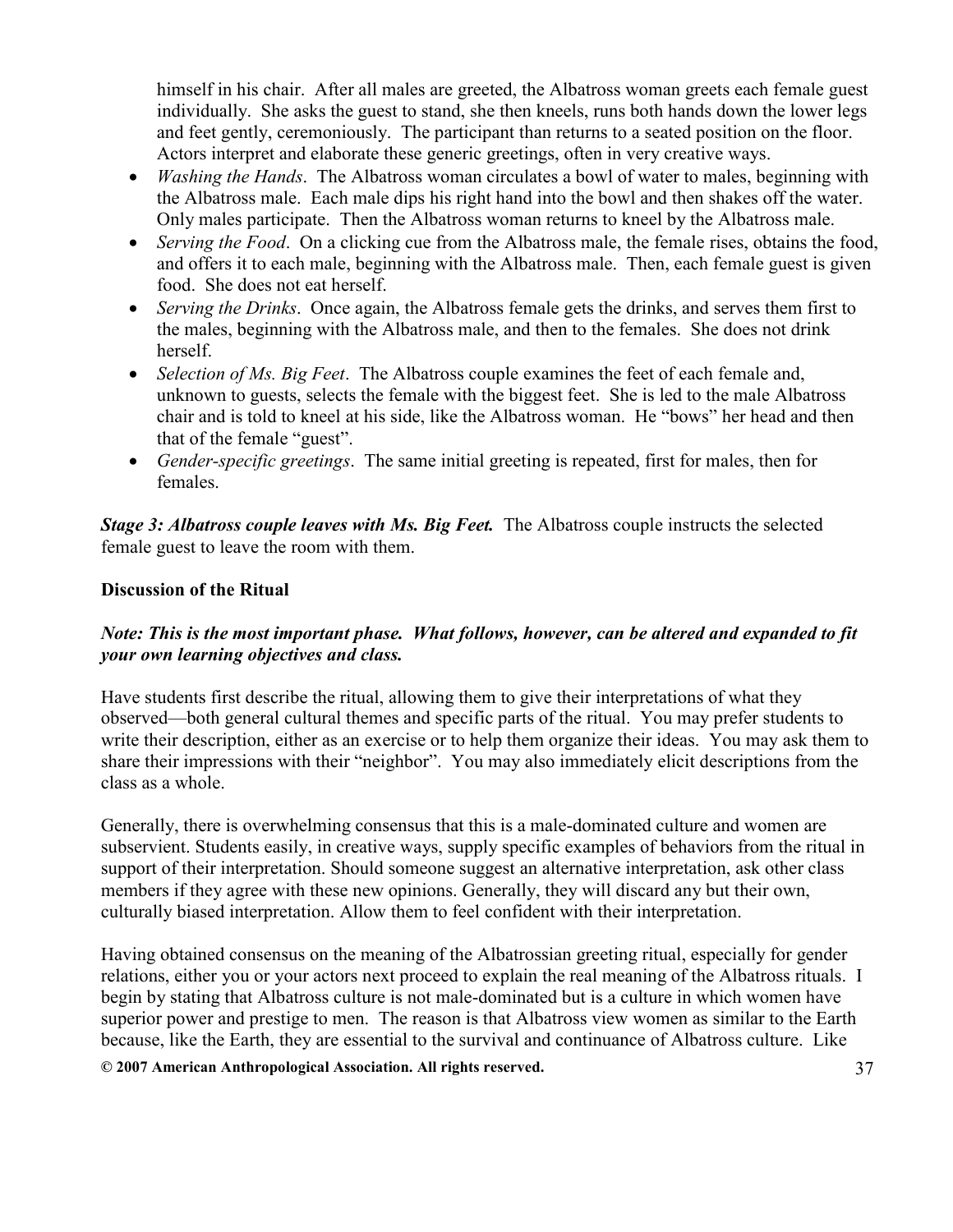himself in his chair. After all males are greeted, the Albatross woman greets each female guest individually. She asks the guest to stand, she then kneels, runs both hands down the lower legs and feet gently, ceremoniously. The participant than returns to a seated position on the floor. Actors interpret and elaborate these generic greetings, often in very creative ways.

- *Washing the Hands*. The Albatross woman circulates a bowl of water to males, beginning with the Albatross male. Each male dips his right hand into the bowl and then shakes off the water. Only males participate. Then the Albatross woman returns to kneel by the Albatross male.
- Serving the Food. On a clicking cue from the Albatross male, the female rises, obtains the food, and offers it to each male, beginning with the Albatross male. Then, each female guest is given food. She does not eat herself.
- Serving the Drinks. Once again, the Albatross female gets the drinks, and serves them first to the males, beginning with the Albatross male, and then to the females. She does not drink herself.
- Selection of Ms. Big Feet. The Albatross couple examines the feet of each female and, unknown to guests, selects the female with the biggest feet. She is led to the male Albatross chair and is told to kneel at his side, like the Albatross woman. He "bows" her head and then that of the female "guest".
- Gender-specific greetings. The same initial greeting is repeated, first for males, then for females.

Stage 3: Albatross couple leaves with Ms. Big Feet. The Albatross couple instructs the selected female guest to leave the room with them.

## Discussion of the Ritual

## Note: This is the most important phase. What follows, however, can be altered and expanded to fit your own learning objectives and class.

Have students first describe the ritual, allowing them to give their interpretations of what they observed—both general cultural themes and specific parts of the ritual. You may prefer students to write their description, either as an exercise or to help them organize their ideas. You may ask them to share their impressions with their "neighbor". You may also immediately elicit descriptions from the class as a whole.

Generally, there is overwhelming consensus that this is a male-dominated culture and women are subservient. Students easily, in creative ways, supply specific examples of behaviors from the ritual in support of their interpretation. Should someone suggest an alternative interpretation, ask other class members if they agree with these new opinions. Generally, they will discard any but their own, culturally biased interpretation. Allow them to feel confident with their interpretation.

Having obtained consensus on the meaning of the Albatrossian greeting ritual, especially for gender relations, either you or your actors next proceed to explain the real meaning of the Albatross rituals. I begin by stating that Albatross culture is not male-dominated but is a culture in which women have superior power and prestige to men. The reason is that Albatross view women as similar to the Earth because, like the Earth, they are essential to the survival and continuance of Albatross culture. Like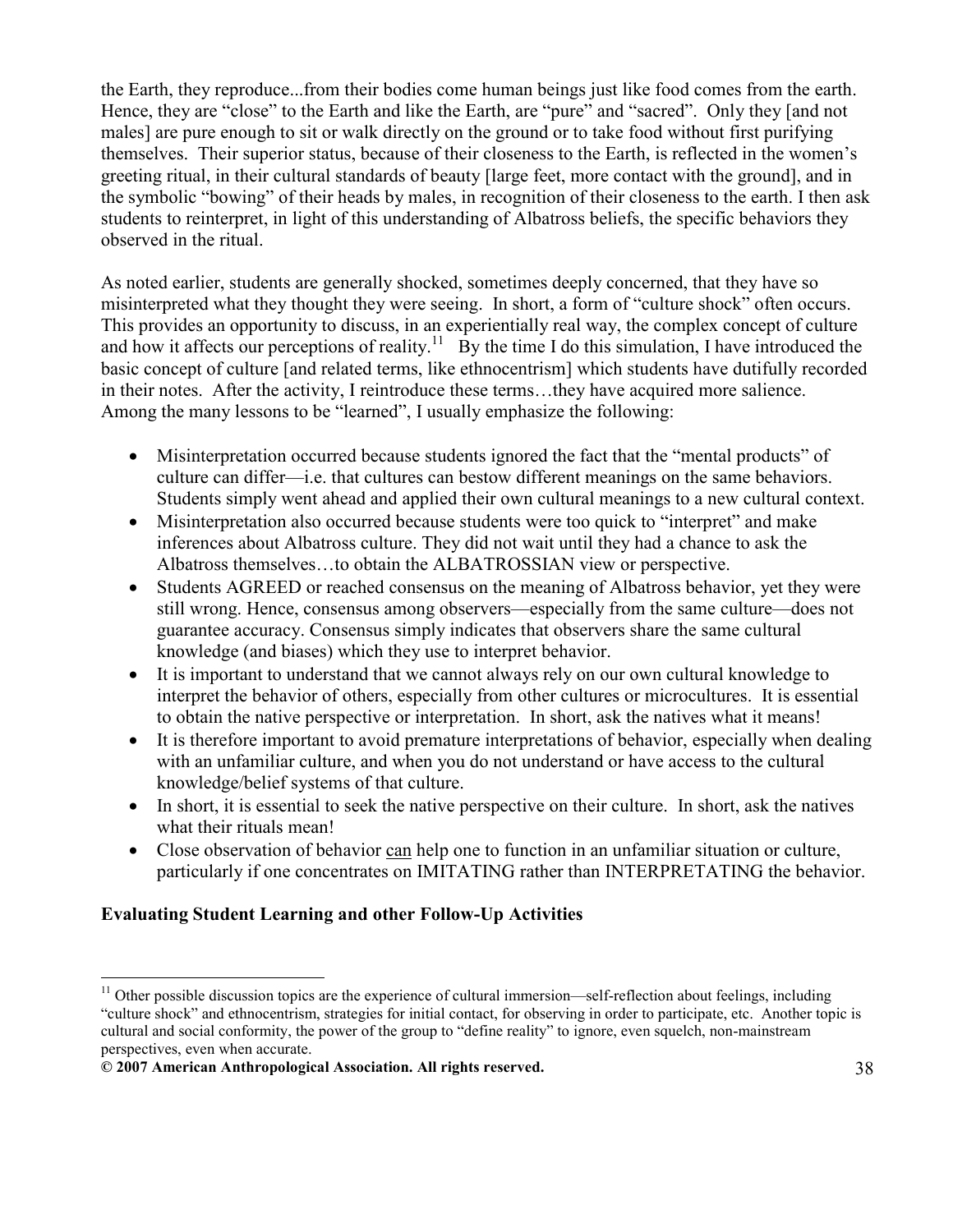the Earth, they reproduce...from their bodies come human beings just like food comes from the earth. Hence, they are "close" to the Earth and like the Earth, are "pure" and "sacred". Only they [and not males] are pure enough to sit or walk directly on the ground or to take food without first purifying themselves. Their superior status, because of their closeness to the Earth, is reflected in the women's greeting ritual, in their cultural standards of beauty [large feet, more contact with the ground], and in the symbolic "bowing" of their heads by males, in recognition of their closeness to the earth. I then ask students to reinterpret, in light of this understanding of Albatross beliefs, the specific behaviors they observed in the ritual.

As noted earlier, students are generally shocked, sometimes deeply concerned, that they have so misinterpreted what they thought they were seeing. In short, a form of "culture shock" often occurs. This provides an opportunity to discuss, in an experientially real way, the complex concept of culture and how it affects our perceptions of reality.<sup>11</sup> By the time I do this simulation, I have introduced the basic concept of culture [and related terms, like ethnocentrism] which students have dutifully recorded in their notes. After the activity, I reintroduce these terms…they have acquired more salience. Among the many lessons to be "learned", I usually emphasize the following:

- Misinterpretation occurred because students ignored the fact that the "mental products" of culture can differ—i.e. that cultures can bestow different meanings on the same behaviors. Students simply went ahead and applied their own cultural meanings to a new cultural context.
- Misinterpretation also occurred because students were too quick to "interpret" and make inferences about Albatross culture. They did not wait until they had a chance to ask the Albatross themselves…to obtain the ALBATROSSIAN view or perspective.
- Students AGREED or reached consensus on the meaning of Albatross behavior, yet they were still wrong. Hence, consensus among observers—especially from the same culture—does not guarantee accuracy. Consensus simply indicates that observers share the same cultural knowledge (and biases) which they use to interpret behavior.
- It is important to understand that we cannot always rely on our own cultural knowledge to interpret the behavior of others, especially from other cultures or microcultures. It is essential to obtain the native perspective or interpretation. In short, ask the natives what it means!
- It is therefore important to avoid premature interpretations of behavior, especially when dealing with an unfamiliar culture, and when you do not understand or have access to the cultural knowledge/belief systems of that culture.
- In short, it is essential to seek the native perspective on their culture. In short, ask the natives what their rituals mean!
- Close observation of behavior can help one to function in an unfamiliar situation or culture, particularly if one concentrates on IMITATING rather than INTERPRETATING the behavior.

# Evaluating Student Learning and other Follow-Up Activities

-

 $11$  Other possible discussion topics are the experience of cultural immersion—self-reflection about feelings, including "culture shock" and ethnocentrism, strategies for initial contact, for observing in order to participate, etc. Another topic is cultural and social conformity, the power of the group to "define reality" to ignore, even squelch, non-mainstream perspectives, even when accurate.

<sup>© 2007</sup> American Anthropological Association. All rights reserved. 38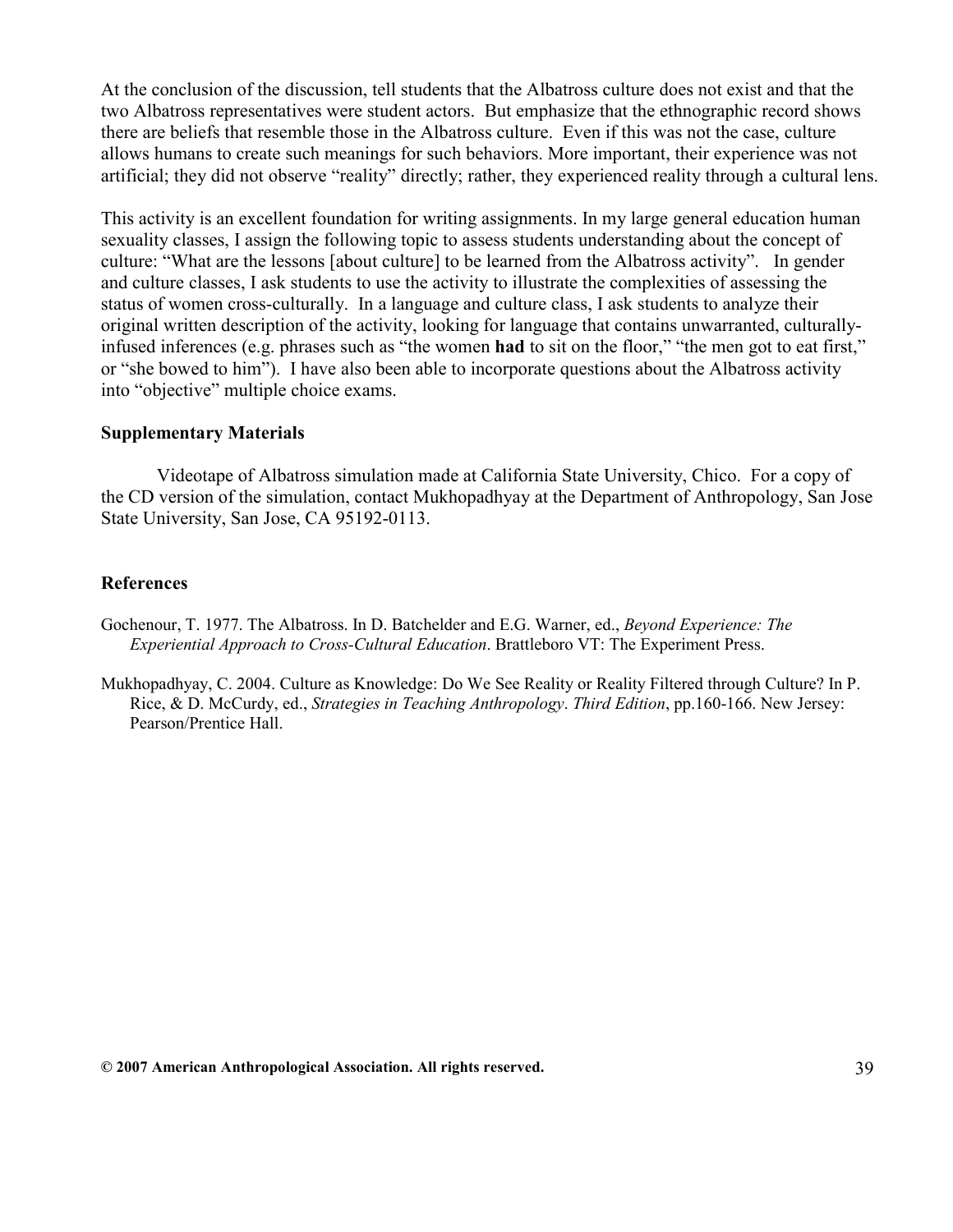At the conclusion of the discussion, tell students that the Albatross culture does not exist and that the two Albatross representatives were student actors. But emphasize that the ethnographic record shows there are beliefs that resemble those in the Albatross culture. Even if this was not the case, culture allows humans to create such meanings for such behaviors. More important, their experience was not artificial; they did not observe "reality" directly; rather, they experienced reality through a cultural lens.

This activity is an excellent foundation for writing assignments. In my large general education human sexuality classes, I assign the following topic to assess students understanding about the concept of culture: "What are the lessons [about culture] to be learned from the Albatross activity". In gender and culture classes, I ask students to use the activity to illustrate the complexities of assessing the status of women cross-culturally. In a language and culture class, I ask students to analyze their original written description of the activity, looking for language that contains unwarranted, culturallyinfused inferences (e.g. phrases such as "the women had to sit on the floor," "the men got to eat first," or "she bowed to him"). I have also been able to incorporate questions about the Albatross activity into "objective" multiple choice exams.

#### Supplementary Materials

Videotape of Albatross simulation made at California State University, Chico. For a copy of the CD version of the simulation, contact Mukhopadhyay at the Department of Anthropology, San Jose State University, San Jose, CA 95192-0113.

#### References

Gochenour, T. 1977. The Albatross. In D. Batchelder and E.G. Warner, ed., Beyond Experience: The Experiential Approach to Cross-Cultural Education. Brattleboro VT: The Experiment Press.

Mukhopadhyay, C. 2004. Culture as Knowledge: Do We See Reality or Reality Filtered through Culture? In P. Rice, & D. McCurdy, ed., Strategies in Teaching Anthropology. Third Edition, pp.160-166. New Jersey: Pearson/Prentice Hall.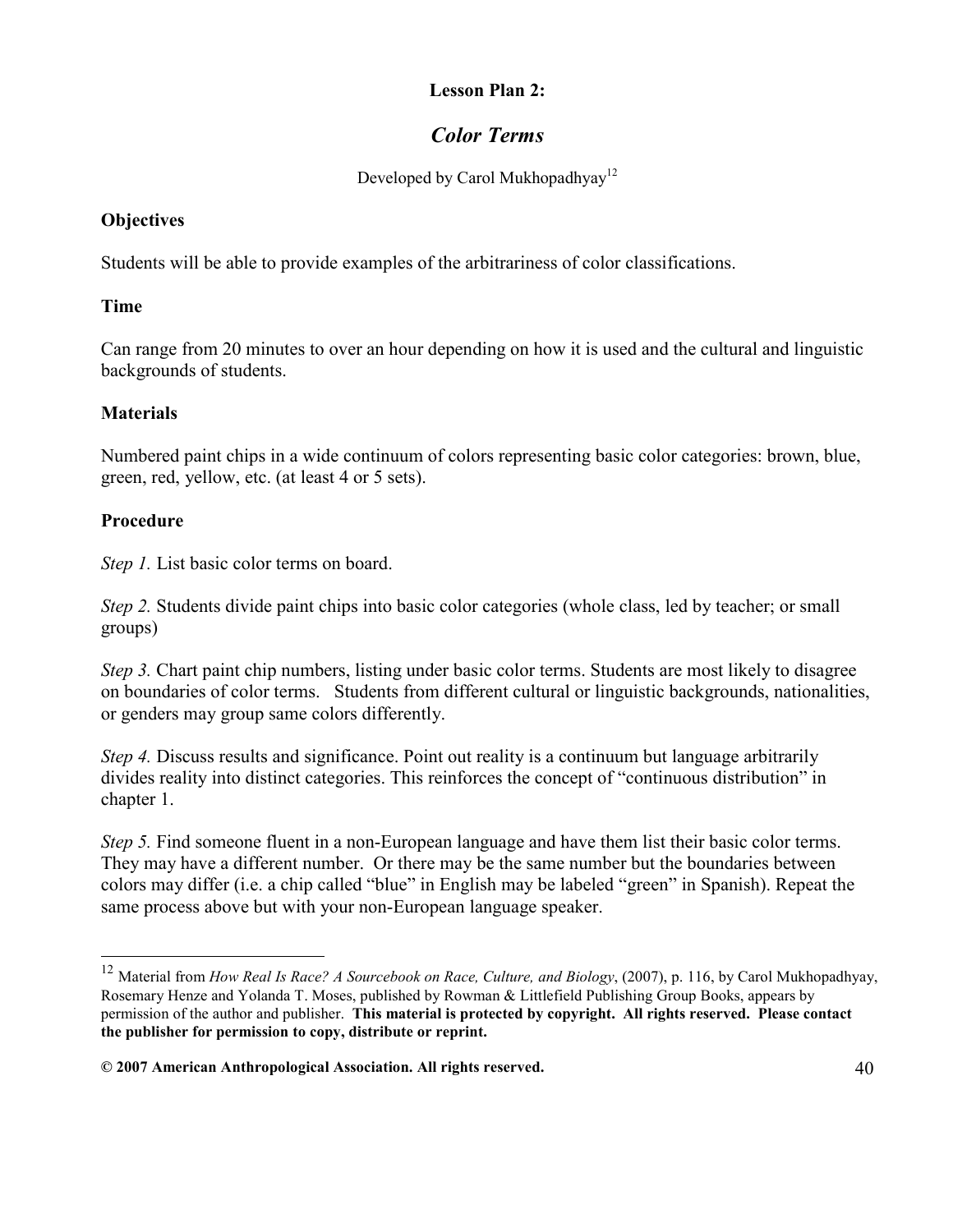#### Lesson Plan 2:

# Color Terms

Developed by Carol Mukhopadhyay<sup>12</sup>

# **Objectives**

Students will be able to provide examples of the arbitrariness of color classifications.

## Time

Can range from 20 minutes to over an hour depending on how it is used and the cultural and linguistic backgrounds of students.

# **Materials**

Numbered paint chips in a wide continuum of colors representing basic color categories: brown, blue, green, red, yellow, etc. (at least 4 or 5 sets).

# Procedure

-

Step 1. List basic color terms on board.

Step 2. Students divide paint chips into basic color categories (whole class, led by teacher; or small groups)

Step 3. Chart paint chip numbers, listing under basic color terms. Students are most likely to disagree on boundaries of color terms. Students from different cultural or linguistic backgrounds, nationalities, or genders may group same colors differently.

Step 4. Discuss results and significance. Point out reality is a continuum but language arbitrarily divides reality into distinct categories. This reinforces the concept of "continuous distribution" in chapter 1.

Step 5. Find someone fluent in a non-European language and have them list their basic color terms. They may have a different number. Or there may be the same number but the boundaries between colors may differ (i.e. a chip called "blue" in English may be labeled "green" in Spanish). Repeat the same process above but with your non-European language speaker.

 $12$  Material from How Real Is Race? A Sourcebook on Race, Culture, and Biology, (2007), p. 116, by Carol Mukhopadhyay, Rosemary Henze and Yolanda T. Moses, published by Rowman & Littlefield Publishing Group Books, appears by permission of the author and publisher. This material is protected by copyright. All rights reserved. Please contact the publisher for permission to copy, distribute or reprint.

 $@$  2007 American Anthropological Association. All rights reserved.  $40 \hspace{1.5cm} 40$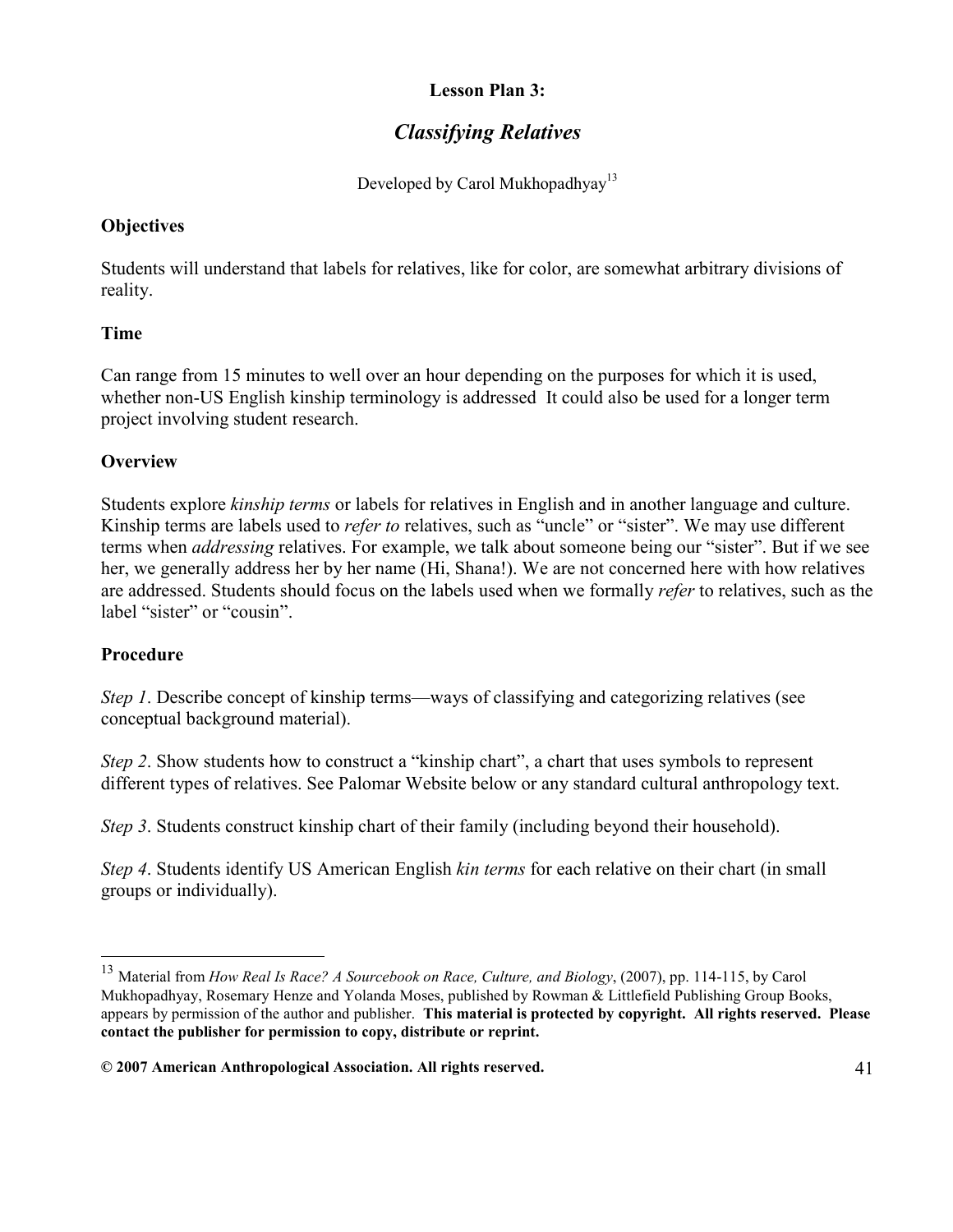## Lesson Plan 3:

# Classifying Relatives

Developed by Carol Mukhopadhyay<sup>13</sup>

# **Objectives**

Students will understand that labels for relatives, like for color, are somewhat arbitrary divisions of reality.

## Time

Can range from 15 minutes to well over an hour depending on the purposes for which it is used, whether non-US English kinship terminology is addressed It could also be used for a longer term project involving student research.

# **Overview**

Students explore kinship terms or labels for relatives in English and in another language and culture. Kinship terms are labels used to *refer to* relatives, such as "uncle" or "sister". We may use different terms when *addressing* relatives. For example, we talk about someone being our "sister". But if we see her, we generally address her by her name (Hi, Shana!). We are not concerned here with how relatives are addressed. Students should focus on the labels used when we formally refer to relatives, such as the label "sister" or "cousin".

# Procedure

Step 1. Describe concept of kinship terms—ways of classifying and categorizing relatives (see conceptual background material).

Step 2. Show students how to construct a "kinship chart", a chart that uses symbols to represent different types of relatives. See Palomar Website below or any standard cultural anthropology text.

Step 3. Students construct kinship chart of their family (including beyond their household).

Step 4. Students identify US American English kin terms for each relative on their chart (in small groups or individually).

<sup>13</sup> Material from How Real Is Race? A Sourcebook on Race, Culture, and Biology, (2007), pp. 114-115, by Carol Mukhopadhyay, Rosemary Henze and Yolanda Moses, published by Rowman & Littlefield Publishing Group Books, appears by permission of the author and publisher. This material is protected by copyright. All rights reserved. Please contact the publisher for permission to copy, distribute or reprint.

<sup>© 2007</sup> American Anthropological Association. All rights reserved. 41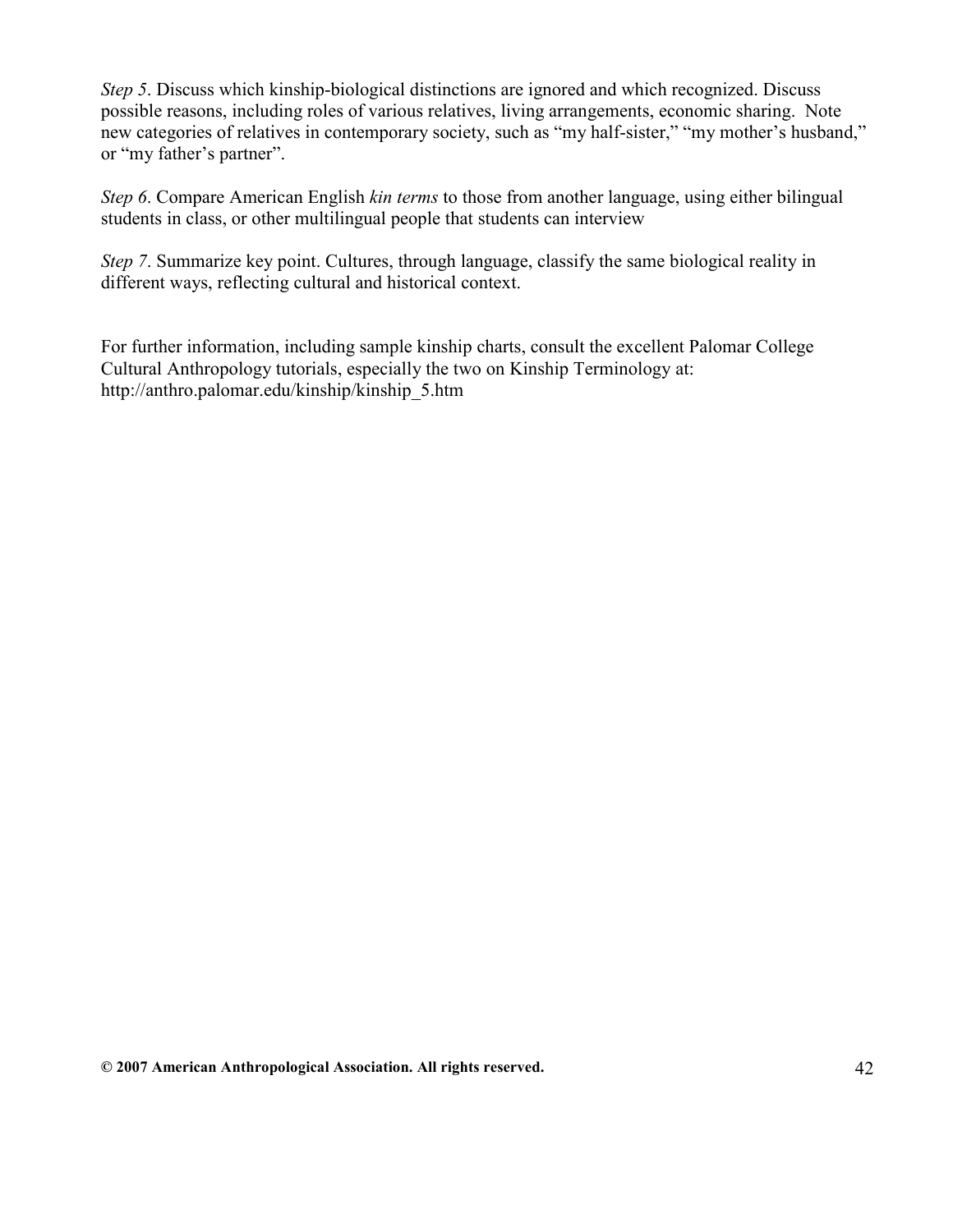Step 5. Discuss which kinship-biological distinctions are ignored and which recognized. Discuss possible reasons, including roles of various relatives, living arrangements, economic sharing. Note new categories of relatives in contemporary society, such as "my half-sister," "my mother's husband," or "my father's partner".

Step 6. Compare American English kin terms to those from another language, using either bilingual students in class, or other multilingual people that students can interview

Step 7. Summarize key point. Cultures, through language, classify the same biological reality in different ways, reflecting cultural and historical context.

For further information, including sample kinship charts, consult the excellent Palomar College Cultural Anthropology tutorials, especially the two on Kinship Terminology at: http://anthro.palomar.edu/kinship/kinship\_5.htm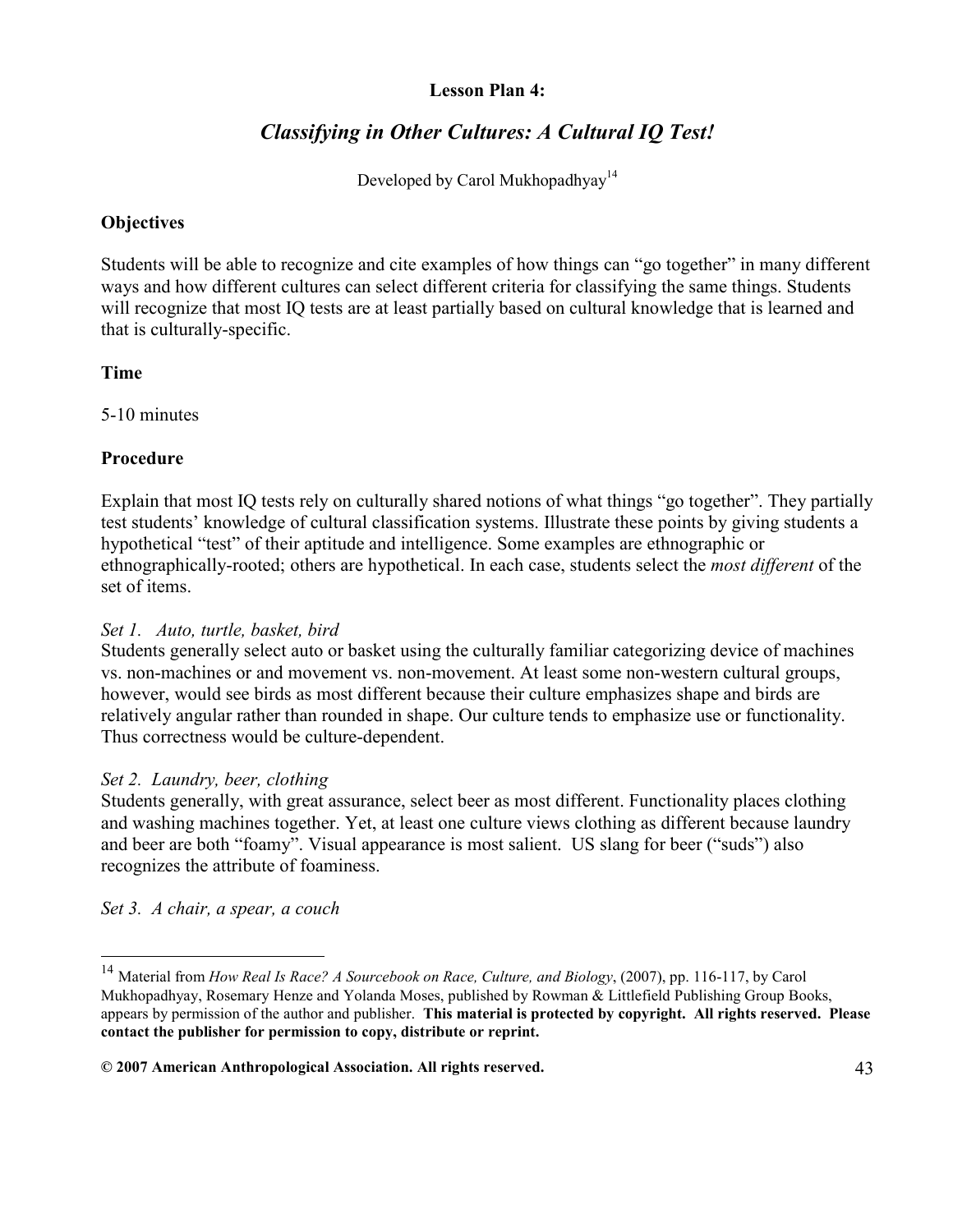#### Lesson Plan 4:

# Classifying in Other Cultures: A Cultural IQ Test!

Developed by Carol Mukhopadhyay<sup>14</sup>

#### **Objectives**

Students will be able to recognize and cite examples of how things can "go together" in many different ways and how different cultures can select different criteria for classifying the same things. Students will recognize that most IQ tests are at least partially based on cultural knowledge that is learned and that is culturally-specific.

#### Time

5-10 minutes

# Procedure

Explain that most IQ tests rely on culturally shared notions of what things "go together". They partially test students' knowledge of cultural classification systems. Illustrate these points by giving students a hypothetical "test" of their aptitude and intelligence. Some examples are ethnographic or ethnographically-rooted; others are hypothetical. In each case, students select the most different of the set of items.

#### Set 1. Auto, turtle, basket, bird

Students generally select auto or basket using the culturally familiar categorizing device of machines vs. non-machines or and movement vs. non-movement. At least some non-western cultural groups, however, would see birds as most different because their culture emphasizes shape and birds are relatively angular rather than rounded in shape. Our culture tends to emphasize use or functionality. Thus correctness would be culture-dependent.

#### Set 2. Laundry, beer, clothing

Students generally, with great assurance, select beer as most different. Functionality places clothing and washing machines together. Yet, at least one culture views clothing as different because laundry and beer are both "foamy". Visual appearance is most salient. US slang for beer ("suds") also recognizes the attribute of foaminess.

Set 3. A chair, a spear, a couch

-

<sup>&</sup>lt;sup>14</sup> Material from How Real Is Race? A Sourcebook on Race, Culture, and Biology, (2007), pp. 116-117, by Carol Mukhopadhyay, Rosemary Henze and Yolanda Moses, published by Rowman & Littlefield Publishing Group Books, appears by permission of the author and publisher. This material is protected by copyright. All rights reserved. Please contact the publisher for permission to copy, distribute or reprint.

<sup>© 2007</sup> American Anthropological Association. All rights reserved. 43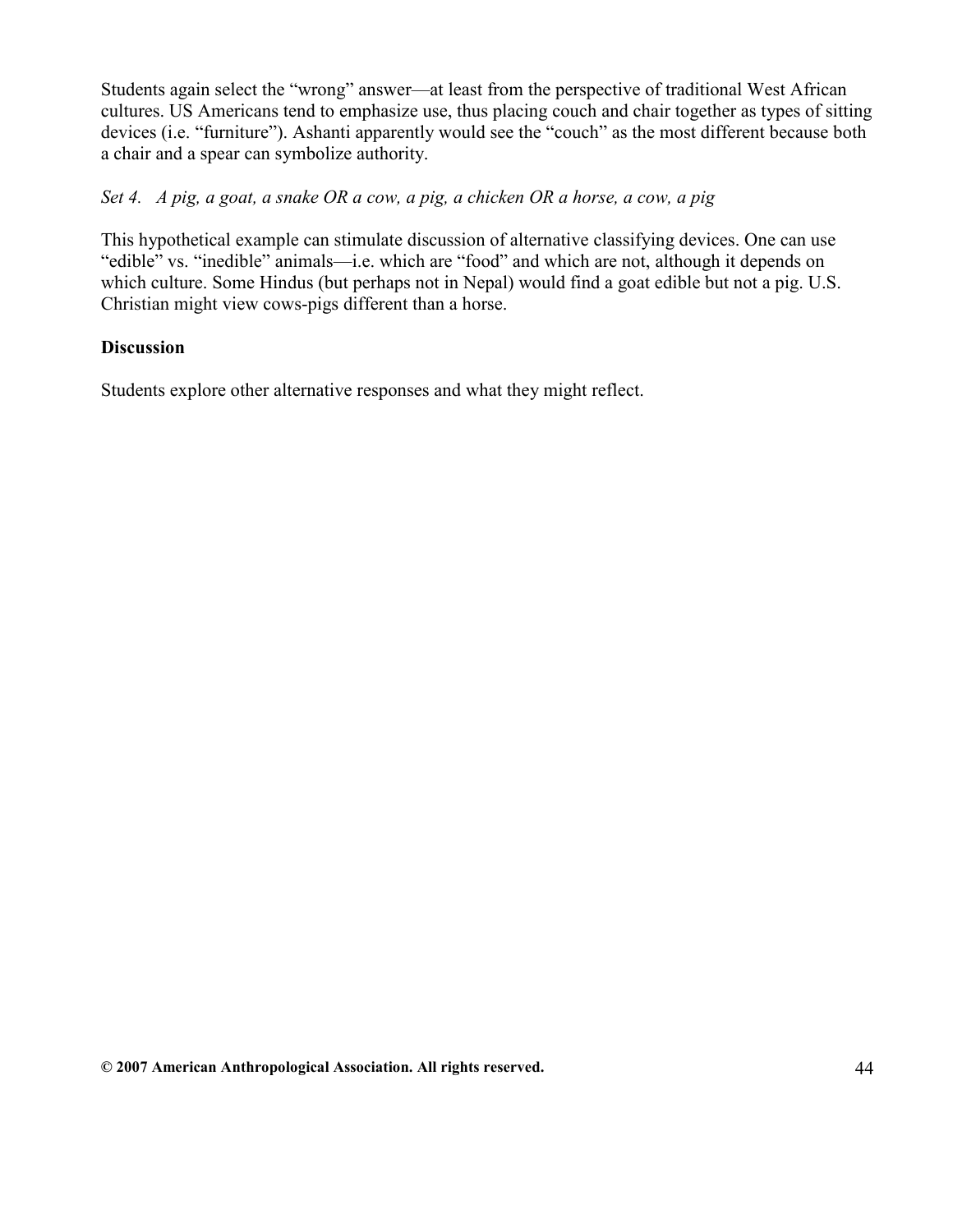Students again select the "wrong" answer—at least from the perspective of traditional West African cultures. US Americans tend to emphasize use, thus placing couch and chair together as types of sitting devices (i.e. "furniture"). Ashanti apparently would see the "couch" as the most different because both a chair and a spear can symbolize authority.

#### Set 4. A pig, a goat, a snake OR a cow, a pig, a chicken OR a horse, a cow, a pig

This hypothetical example can stimulate discussion of alternative classifying devices. One can use "edible" vs. "inedible" animals—i.e. which are "food" and which are not, although it depends on which culture. Some Hindus (but perhaps not in Nepal) would find a goat edible but not a pig. U.S. Christian might view cows-pigs different than a horse.

#### **Discussion**

Students explore other alternative responses and what they might reflect.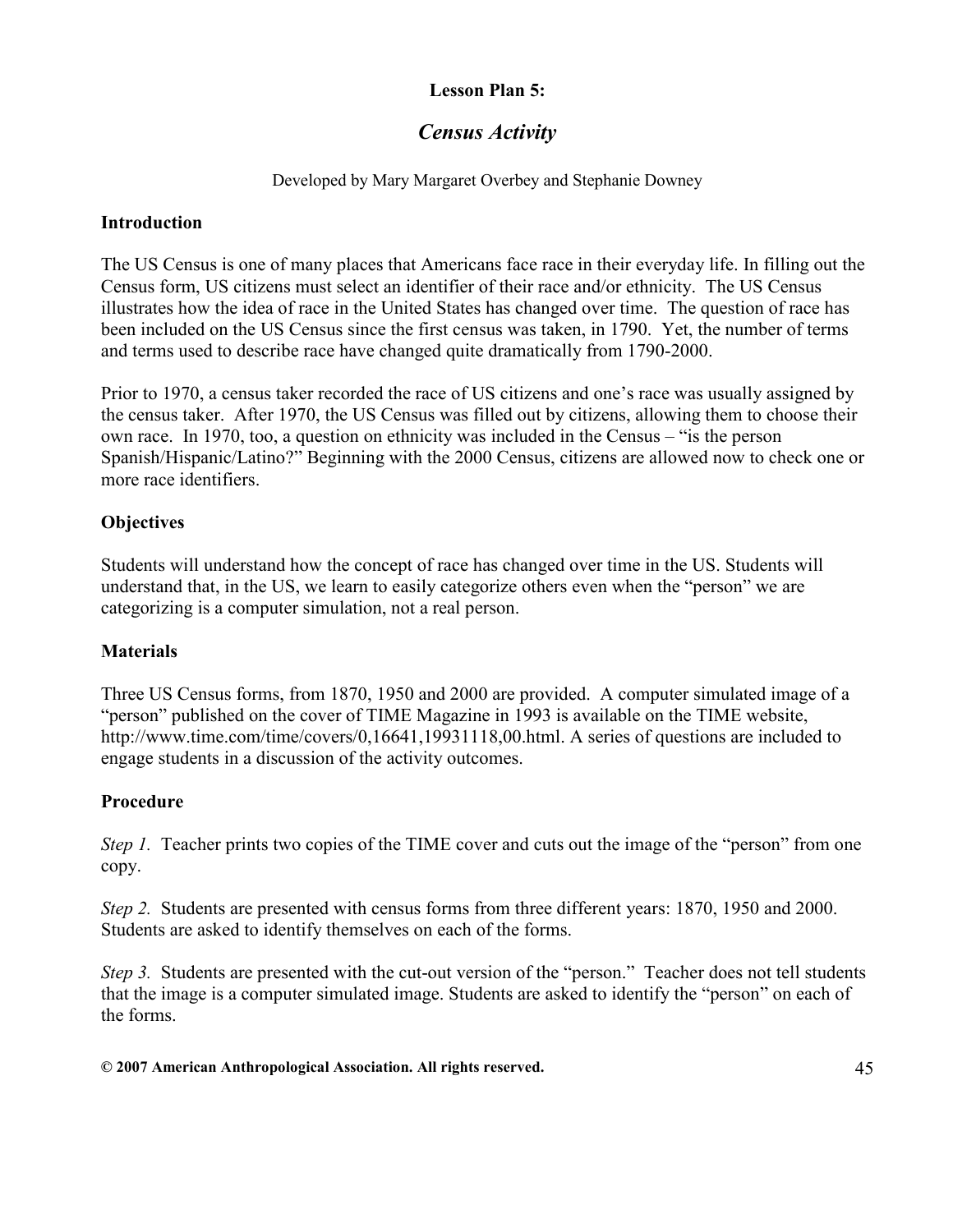# Lesson Plan 5:

# Census Activity

#### Developed by Mary Margaret Overbey and Stephanie Downey

#### Introduction

The US Census is one of many places that Americans face race in their everyday life. In filling out the Census form, US citizens must select an identifier of their race and/or ethnicity. The US Census illustrates how the idea of race in the United States has changed over time. The question of race has been included on the US Census since the first census was taken, in 1790. Yet, the number of terms and terms used to describe race have changed quite dramatically from 1790-2000.

Prior to 1970, a census taker recorded the race of US citizens and one's race was usually assigned by the census taker. After 1970, the US Census was filled out by citizens, allowing them to choose their own race. In 1970, too, a question on ethnicity was included in the Census – "is the person Spanish/Hispanic/Latino?" Beginning with the 2000 Census, citizens are allowed now to check one or more race identifiers.

## **Objectives**

Students will understand how the concept of race has changed over time in the US. Students will understand that, in the US, we learn to easily categorize others even when the "person" we are categorizing is a computer simulation, not a real person.

#### **Materials**

Three US Census forms, from 1870, 1950 and 2000 are provided. A computer simulated image of a "person" published on the cover of TIME Magazine in 1993 is available on the TIME website, http://www.time.com/time/covers/0,16641,19931118,00.html. A series of questions are included to engage students in a discussion of the activity outcomes.

#### Procedure

Step 1. Teacher prints two copies of the TIME cover and cuts out the image of the "person" from one copy.

Step 2. Students are presented with census forms from three different years: 1870, 1950 and 2000. Students are asked to identify themselves on each of the forms.

Step 3. Students are presented with the cut-out version of the "person." Teacher does not tell students that the image is a computer simulated image. Students are asked to identify the "person" on each of the forms.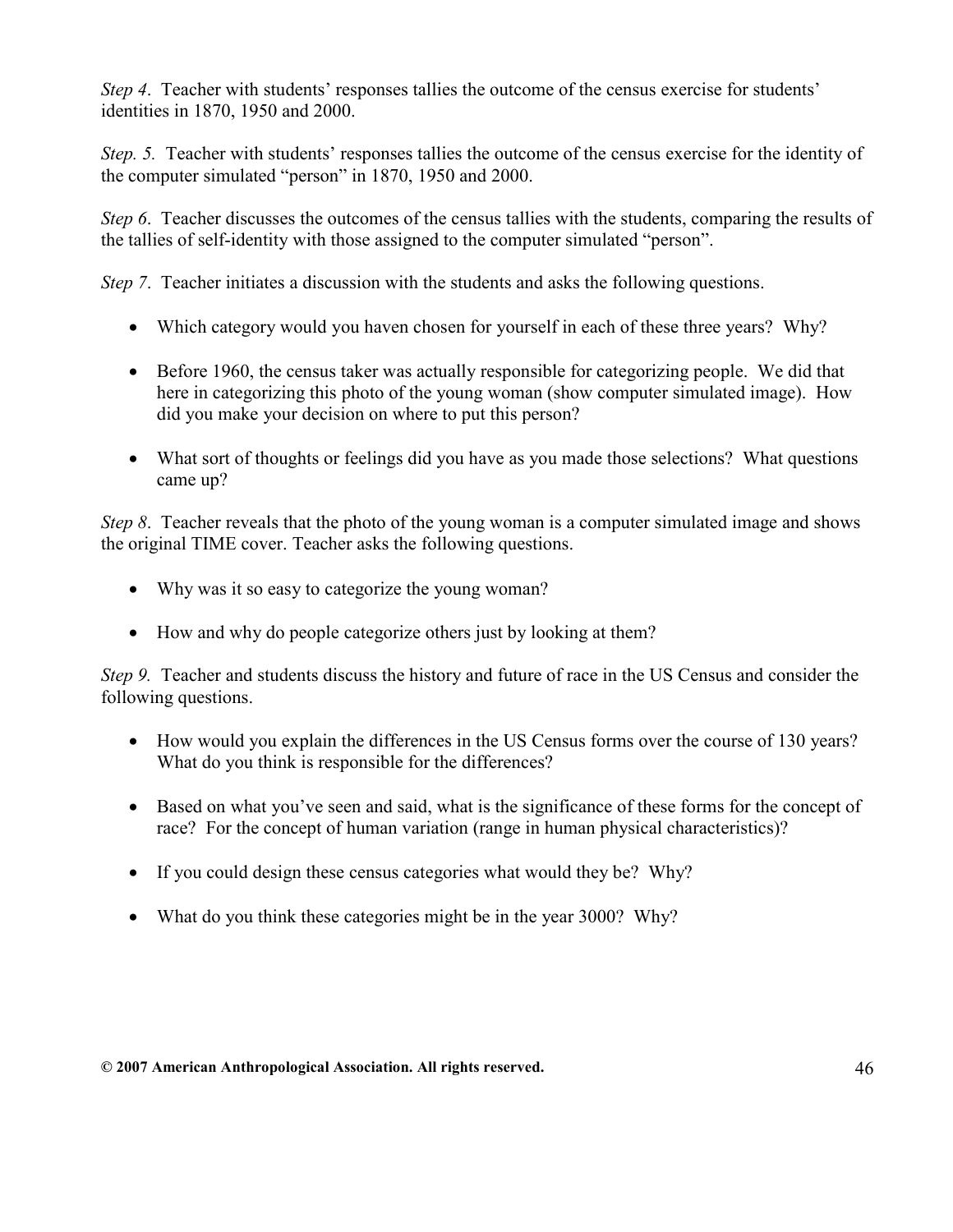Step 4. Teacher with students' responses tallies the outcome of the census exercise for students' identities in 1870, 1950 and 2000.

Step. 5. Teacher with students' responses tallies the outcome of the census exercise for the identity of the computer simulated "person" in 1870, 1950 and 2000.

Step 6. Teacher discusses the outcomes of the census tallies with the students, comparing the results of the tallies of self-identity with those assigned to the computer simulated "person".

Step 7. Teacher initiates a discussion with the students and asks the following questions.

- Which category would you haven chosen for yourself in each of these three years? Why?
- Before 1960, the census taker was actually responsible for categorizing people. We did that here in categorizing this photo of the young woman (show computer simulated image). How did you make your decision on where to put this person?
- What sort of thoughts or feelings did you have as you made those selections? What questions came up?

Step 8. Teacher reveals that the photo of the young woman is a computer simulated image and shows the original TIME cover. Teacher asks the following questions.

- Why was it so easy to categorize the young woman?
- How and why do people categorize others just by looking at them?

Step 9. Teacher and students discuss the history and future of race in the US Census and consider the following questions.

- How would you explain the differences in the US Census forms over the course of 130 years? What do you think is responsible for the differences?
- Based on what you've seen and said, what is the significance of these forms for the concept of race? For the concept of human variation (range in human physical characteristics)?
- If you could design these census categories what would they be? Why?
- What do you think these categories might be in the year 3000? Why?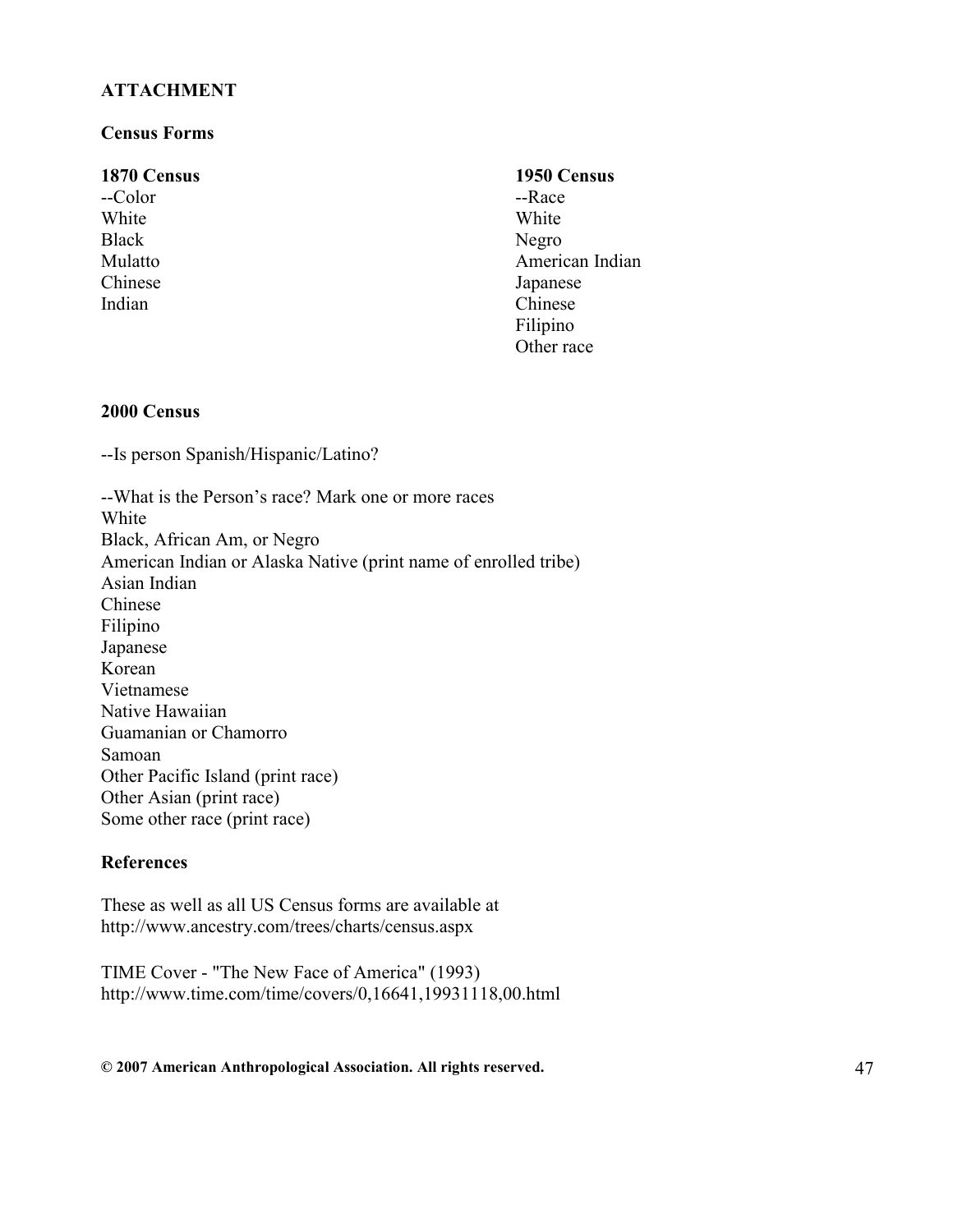#### **ATTACHMENT**

#### Census Forms

#### 1870 Census

--Color **White** Black Mulatto Chinese Indian

# 1950 Census

--Race White Negro American Indian Japanese Chinese Filipino Other race

#### 2000 Census

--Is person Spanish/Hispanic/Latino?

--What is the Person's race? Mark one or more races White Black, African Am, or Negro American Indian or Alaska Native (print name of enrolled tribe) Asian Indian Chinese Filipino Japanese Korean Vietnamese Native Hawaiian Guamanian or Chamorro Samoan Other Pacific Island (print race) Other Asian (print race) Some other race (print race)

#### **References**

These as well as all US Census forms are available at http://www.ancestry.com/trees/charts/census.aspx

TIME Cover - "The New Face of America" (1993) http://www.time.com/time/covers/0,16641,19931118,00.html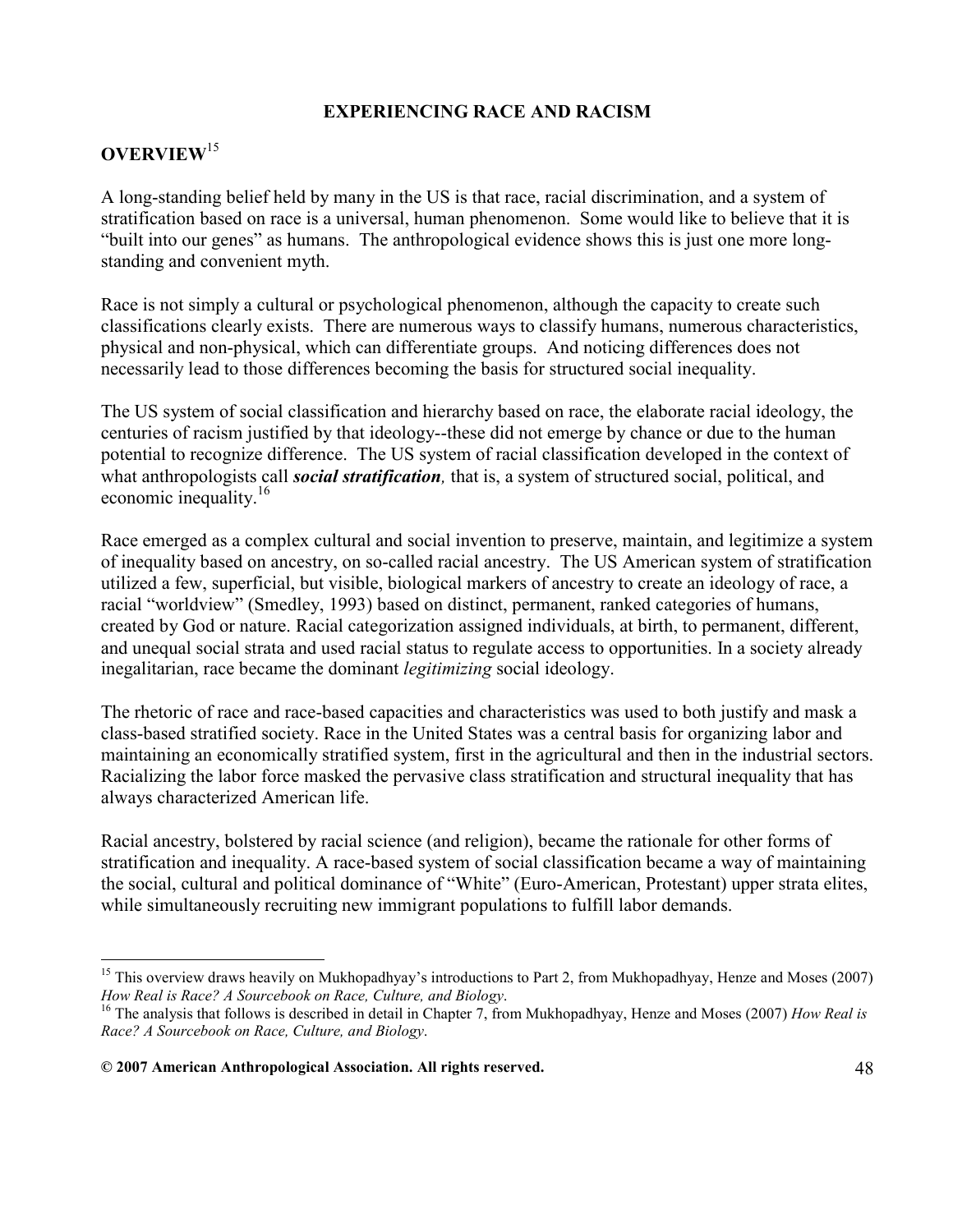#### EXPERIENCING RACE AND RACISM

# OVERVIEW<sup>15</sup>

-

A long-standing belief held by many in the US is that race, racial discrimination, and a system of stratification based on race is a universal, human phenomenon. Some would like to believe that it is "built into our genes" as humans. The anthropological evidence shows this is just one more longstanding and convenient myth.

Race is not simply a cultural or psychological phenomenon, although the capacity to create such classifications clearly exists. There are numerous ways to classify humans, numerous characteristics, physical and non-physical, which can differentiate groups. And noticing differences does not necessarily lead to those differences becoming the basis for structured social inequality.

The US system of social classification and hierarchy based on race, the elaborate racial ideology, the centuries of racism justified by that ideology--these did not emerge by chance or due to the human potential to recognize difference. The US system of racial classification developed in the context of what anthropologists call *social stratification*, that is, a system of structured social, political, and economic inequality.<sup>16</sup>

Race emerged as a complex cultural and social invention to preserve, maintain, and legitimize a system of inequality based on ancestry, on so-called racial ancestry. The US American system of stratification utilized a few, superficial, but visible, biological markers of ancestry to create an ideology of race, a racial "worldview" (Smedley, 1993) based on distinct, permanent, ranked categories of humans, created by God or nature. Racial categorization assigned individuals, at birth, to permanent, different, and unequal social strata and used racial status to regulate access to opportunities. In a society already inegalitarian, race became the dominant legitimizing social ideology.

The rhetoric of race and race-based capacities and characteristics was used to both justify and mask a class-based stratified society. Race in the United States was a central basis for organizing labor and maintaining an economically stratified system, first in the agricultural and then in the industrial sectors. Racializing the labor force masked the pervasive class stratification and structural inequality that has always characterized American life.

Racial ancestry, bolstered by racial science (and religion), became the rationale for other forms of stratification and inequality. A race-based system of social classification became a way of maintaining the social, cultural and political dominance of "White" (Euro-American, Protestant) upper strata elites, while simultaneously recruiting new immigrant populations to fulfill labor demands.

<sup>&</sup>lt;sup>15</sup> This overview draws heavily on Mukhopadhyay's introductions to Part 2, from Mukhopadhyay, Henze and Moses (2007) How Real is Race? A Sourcebook on Race, Culture, and Biology.

<sup>&</sup>lt;sup>16</sup> The analysis that follows is described in detail in Chapter 7, from Mukhopadhyay, Henze and Moses (2007) How Real is Race? A Sourcebook on Race, Culture, and Biology.

<sup>© 2007</sup> American Anthropological Association. All rights reserved. 48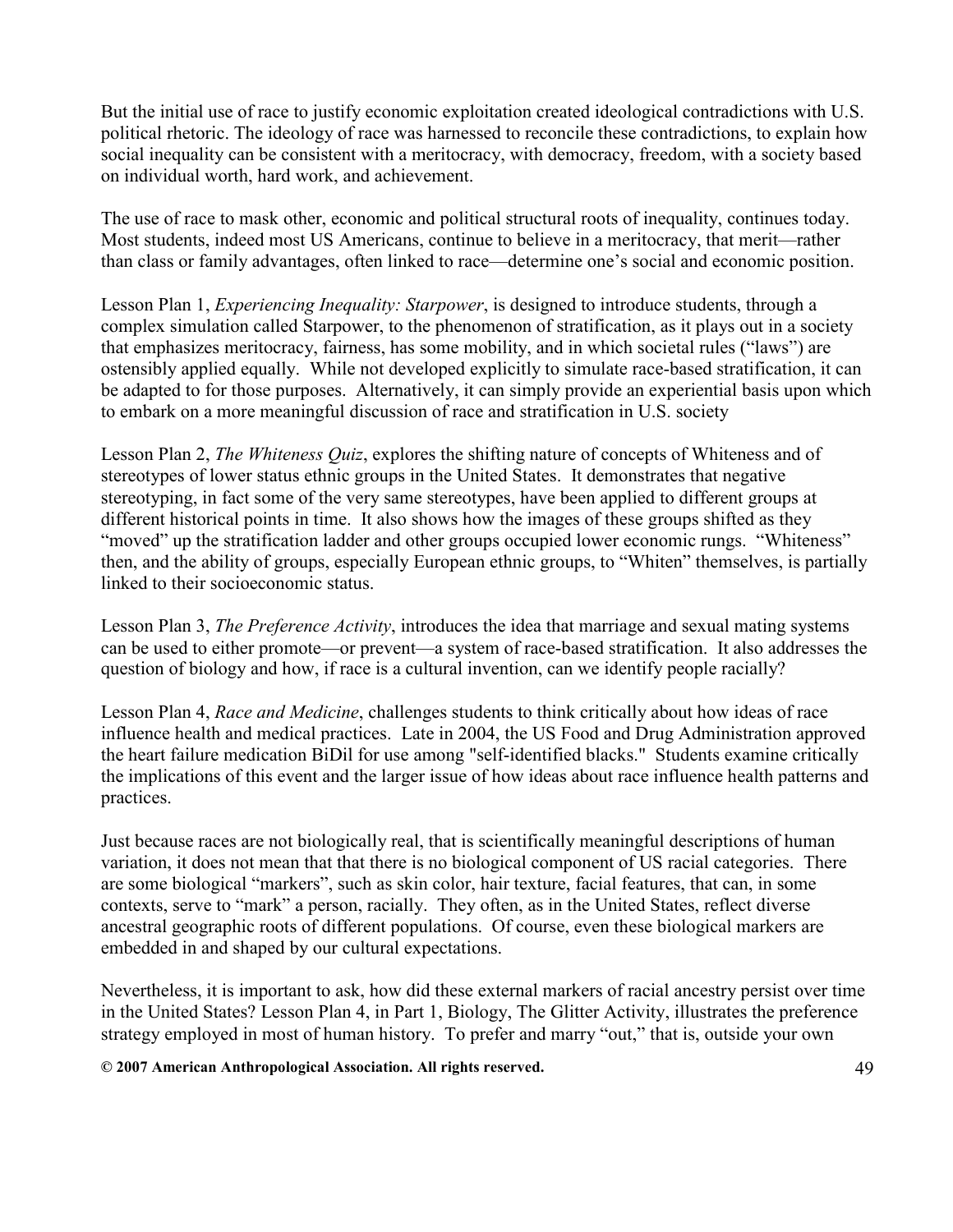But the initial use of race to justify economic exploitation created ideological contradictions with U.S. political rhetoric. The ideology of race was harnessed to reconcile these contradictions, to explain how social inequality can be consistent with a meritocracy, with democracy, freedom, with a society based on individual worth, hard work, and achievement.

The use of race to mask other, economic and political structural roots of inequality, continues today. Most students, indeed most US Americans, continue to believe in a meritocracy, that merit—rather than class or family advantages, often linked to race—determine one's social and economic position.

Lesson Plan 1, *Experiencing Inequality: Starpower*, is designed to introduce students, through a complex simulation called Starpower, to the phenomenon of stratification, as it plays out in a society that emphasizes meritocracy, fairness, has some mobility, and in which societal rules ("laws") are ostensibly applied equally. While not developed explicitly to simulate race-based stratification, it can be adapted to for those purposes. Alternatively, it can simply provide an experiential basis upon which to embark on a more meaningful discussion of race and stratification in U.S. society

Lesson Plan 2, The Whiteness Quiz, explores the shifting nature of concepts of Whiteness and of stereotypes of lower status ethnic groups in the United States. It demonstrates that negative stereotyping, in fact some of the very same stereotypes, have been applied to different groups at different historical points in time. It also shows how the images of these groups shifted as they "moved" up the stratification ladder and other groups occupied lower economic rungs. "Whiteness" then, and the ability of groups, especially European ethnic groups, to "Whiten" themselves, is partially linked to their socioeconomic status.

Lesson Plan 3, The Preference Activity, introduces the idea that marriage and sexual mating systems can be used to either promote—or prevent—a system of race-based stratification. It also addresses the question of biology and how, if race is a cultural invention, can we identify people racially?

Lesson Plan 4, Race and Medicine, challenges students to think critically about how ideas of race influence health and medical practices. Late in 2004, the US Food and Drug Administration approved the heart failure medication BiDil for use among "self-identified blacks." Students examine critically the implications of this event and the larger issue of how ideas about race influence health patterns and practices.

Just because races are not biologically real, that is scientifically meaningful descriptions of human variation, it does not mean that that there is no biological component of US racial categories. There are some biological "markers", such as skin color, hair texture, facial features, that can, in some contexts, serve to "mark" a person, racially. They often, as in the United States, reflect diverse ancestral geographic roots of different populations. Of course, even these biological markers are embedded in and shaped by our cultural expectations.

Nevertheless, it is important to ask, how did these external markers of racial ancestry persist over time in the United States? Lesson Plan 4, in Part 1, Biology, The Glitter Activity, illustrates the preference strategy employed in most of human history. To prefer and marry "out," that is, outside your own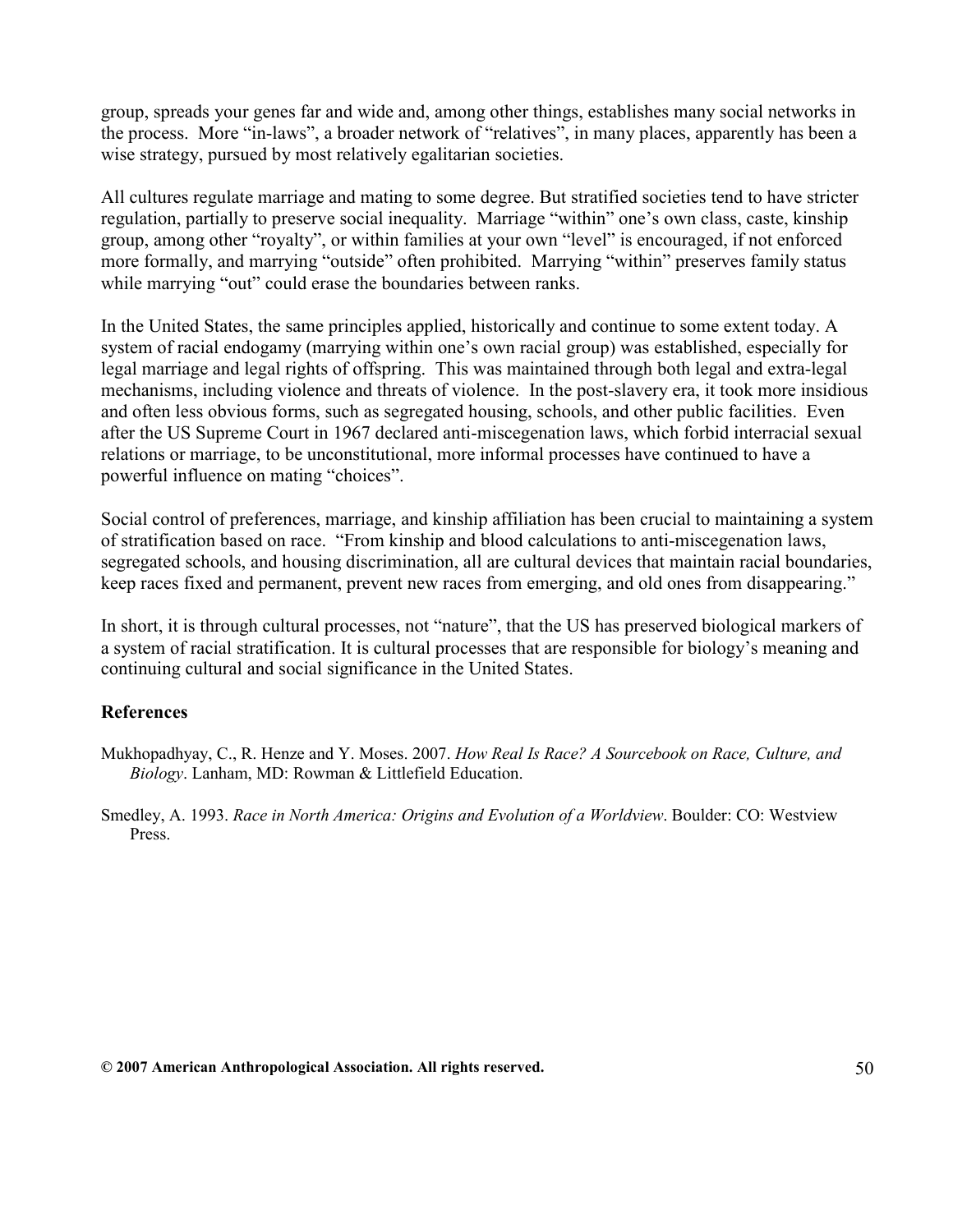group, spreads your genes far and wide and, among other things, establishes many social networks in the process. More "in-laws", a broader network of "relatives", in many places, apparently has been a wise strategy, pursued by most relatively egalitarian societies.

All cultures regulate marriage and mating to some degree. But stratified societies tend to have stricter regulation, partially to preserve social inequality. Marriage "within" one's own class, caste, kinship group, among other "royalty", or within families at your own "level" is encouraged, if not enforced more formally, and marrying "outside" often prohibited. Marrying "within" preserves family status while marrying "out" could erase the boundaries between ranks.

In the United States, the same principles applied, historically and continue to some extent today. A system of racial endogamy (marrying within one's own racial group) was established, especially for legal marriage and legal rights of offspring. This was maintained through both legal and extra-legal mechanisms, including violence and threats of violence. In the post-slavery era, it took more insidious and often less obvious forms, such as segregated housing, schools, and other public facilities. Even after the US Supreme Court in 1967 declared anti-miscegenation laws, which forbid interracial sexual relations or marriage, to be unconstitutional, more informal processes have continued to have a powerful influence on mating "choices".

Social control of preferences, marriage, and kinship affiliation has been crucial to maintaining a system of stratification based on race. "From kinship and blood calculations to anti-miscegenation laws, segregated schools, and housing discrimination, all are cultural devices that maintain racial boundaries, keep races fixed and permanent, prevent new races from emerging, and old ones from disappearing."

In short, it is through cultural processes, not "nature", that the US has preserved biological markers of a system of racial stratification. It is cultural processes that are responsible for biology's meaning and continuing cultural and social significance in the United States.

#### References

Mukhopadhyay, C., R. Henze and Y. Moses. 2007. How Real Is Race? A Sourcebook on Race, Culture, and Biology. Lanham, MD: Rowman & Littlefield Education.

Smedley, A. 1993. Race in North America: Origins and Evolution of a Worldview. Boulder: CO: Westview Press.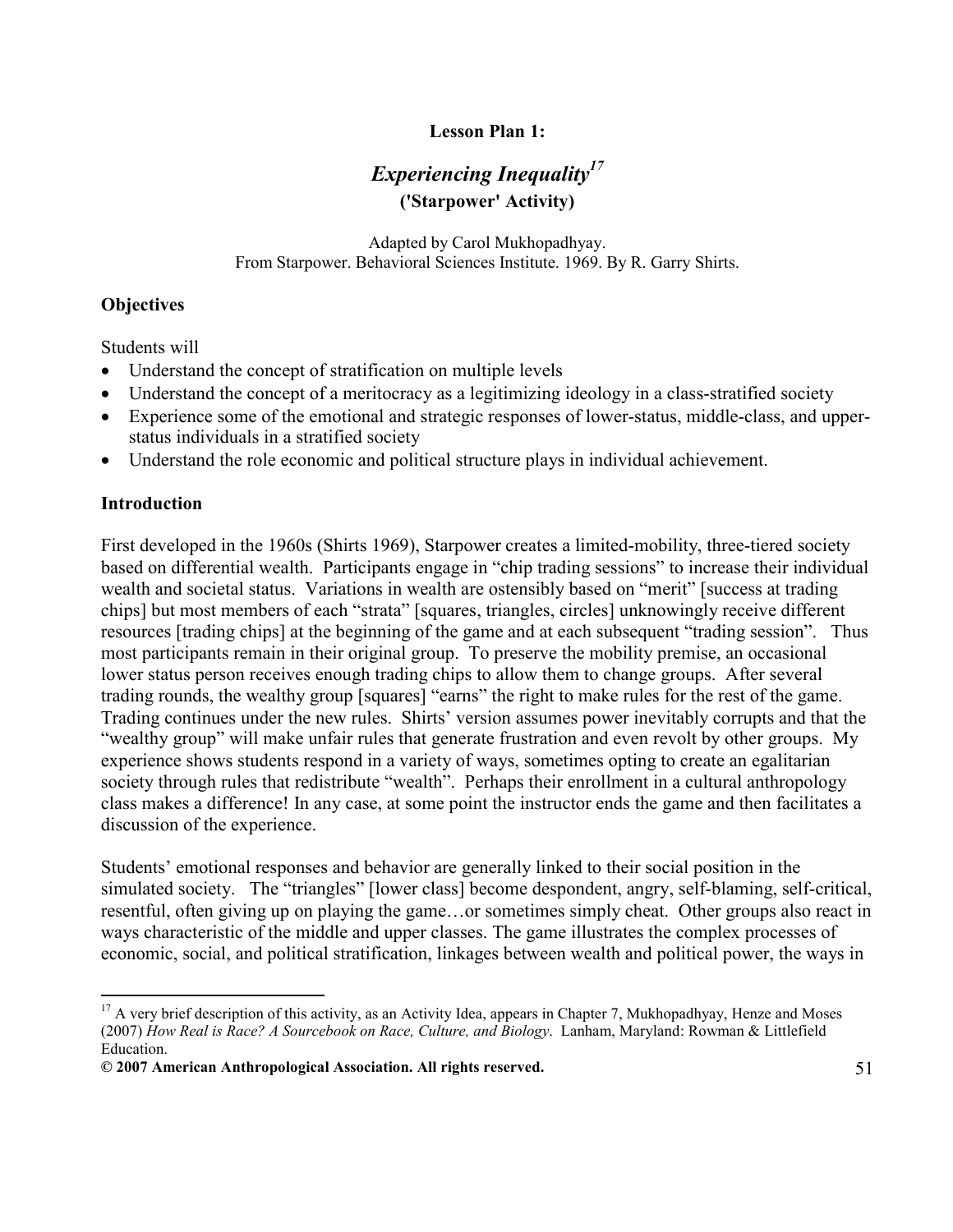# Lesson Plan 1:

# Experiencing Inequality<sup>17</sup> ('Starpower' Activity)

Adapted by Carol Mukhopadhyay. From Starpower. Behavioral Sciences Institute. 1969. By R. Garry Shirts.

# **Objectives**

Students will

- Understand the concept of stratification on multiple levels
- Understand the concept of a meritocracy as a legitimizing ideology in a class-stratified society
- Experience some of the emotional and strategic responses of lower-status, middle-class, and upperstatus individuals in a stratified society
- Understand the role economic and political structure plays in individual achievement.

# Introduction

First developed in the 1960s (Shirts 1969), Starpower creates a limited-mobility, three-tiered society based on differential wealth. Participants engage in "chip trading sessions" to increase their individual wealth and societal status. Variations in wealth are ostensibly based on "merit" [success at trading chips] but most members of each "strata" [squares, triangles, circles] unknowingly receive different resources [trading chips] at the beginning of the game and at each subsequent "trading session". Thus most participants remain in their original group. To preserve the mobility premise, an occasional lower status person receives enough trading chips to allow them to change groups. After several trading rounds, the wealthy group [squares] "earns" the right to make rules for the rest of the game. Trading continues under the new rules. Shirts' version assumes power inevitably corrupts and that the "wealthy group" will make unfair rules that generate frustration and even revolt by other groups. My experience shows students respond in a variety of ways, sometimes opting to create an egalitarian society through rules that redistribute "wealth". Perhaps their enrollment in a cultural anthropology class makes a difference! In any case, at some point the instructor ends the game and then facilitates a discussion of the experience.

Students' emotional responses and behavior are generally linked to their social position in the simulated society. The "triangles" [lower class] become despondent, angry, self-blaming, self-critical, resentful, often giving up on playing the game…or sometimes simply cheat. Other groups also react in ways characteristic of the middle and upper classes. The game illustrates the complex processes of economic, social, and political stratification, linkages between wealth and political power, the ways in

<sup>&</sup>lt;u>.</u>  $17$  A very brief description of this activity, as an Activity Idea, appears in Chapter 7, Mukhopadhyay, Henze and Moses (2007) How Real is Race? A Sourcebook on Race, Culture, and Biology. Lanham, Maryland: Rowman & Littlefield Education.

<sup>© 2007</sup> American Anthropological Association. All rights reserved. 51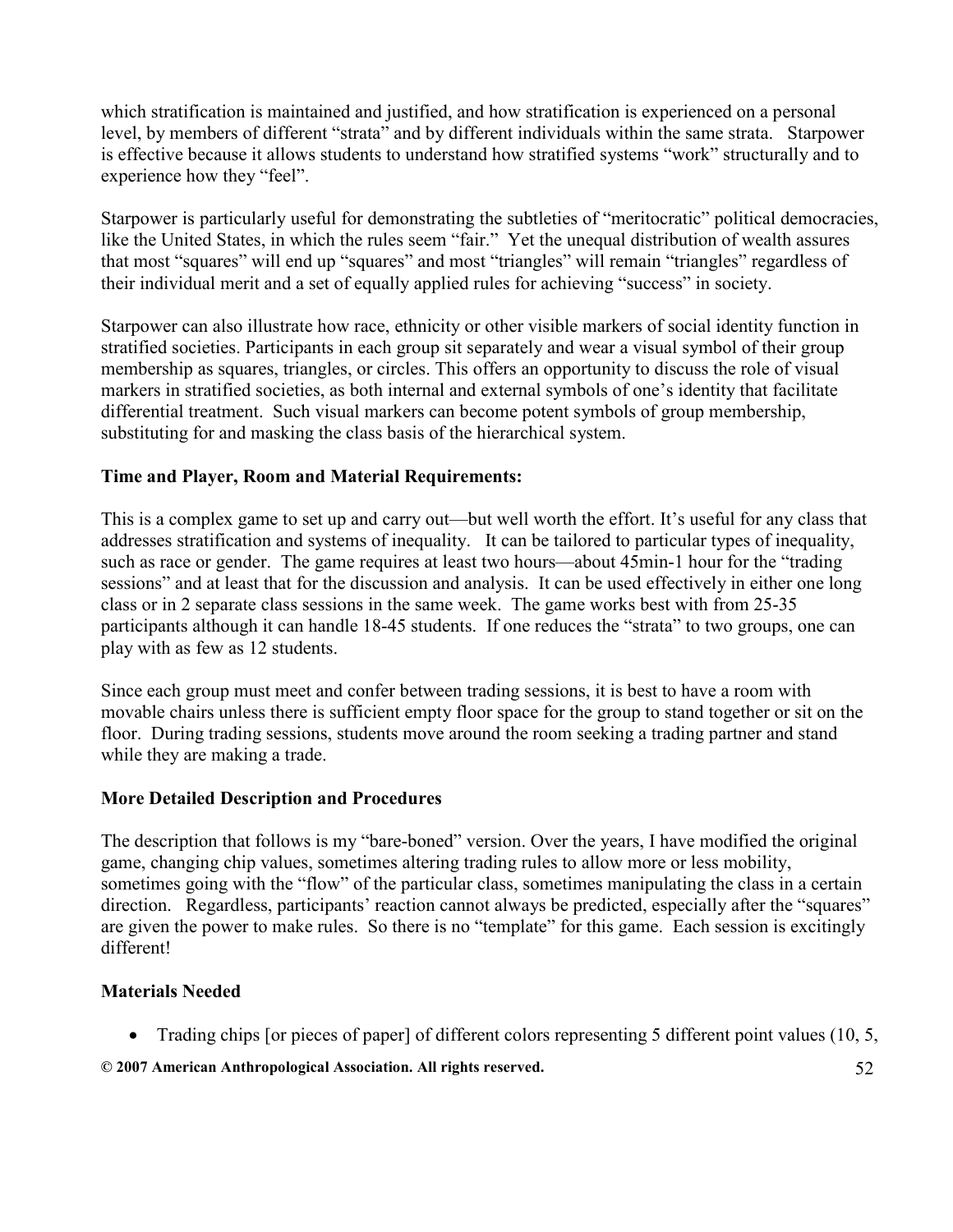which stratification is maintained and justified, and how stratification is experienced on a personal level, by members of different "strata" and by different individuals within the same strata. Starpower is effective because it allows students to understand how stratified systems "work" structurally and to experience how they "feel".

Starpower is particularly useful for demonstrating the subtleties of "meritocratic" political democracies, like the United States, in which the rules seem "fair." Yet the unequal distribution of wealth assures that most "squares" will end up "squares" and most "triangles" will remain "triangles" regardless of their individual merit and a set of equally applied rules for achieving "success" in society.

Starpower can also illustrate how race, ethnicity or other visible markers of social identity function in stratified societies. Participants in each group sit separately and wear a visual symbol of their group membership as squares, triangles, or circles. This offers an opportunity to discuss the role of visual markers in stratified societies, as both internal and external symbols of one's identity that facilitate differential treatment. Such visual markers can become potent symbols of group membership, substituting for and masking the class basis of the hierarchical system.

#### Time and Player, Room and Material Requirements:

This is a complex game to set up and carry out—but well worth the effort. It's useful for any class that addresses stratification and systems of inequality. It can be tailored to particular types of inequality, such as race or gender. The game requires at least two hours—about 45min-1 hour for the "trading sessions" and at least that for the discussion and analysis. It can be used effectively in either one long class or in 2 separate class sessions in the same week. The game works best with from 25-35 participants although it can handle 18-45 students. If one reduces the "strata" to two groups, one can play with as few as 12 students.

Since each group must meet and confer between trading sessions, it is best to have a room with movable chairs unless there is sufficient empty floor space for the group to stand together or sit on the floor. During trading sessions, students move around the room seeking a trading partner and stand while they are making a trade.

#### More Detailed Description and Procedures

The description that follows is my "bare-boned" version. Over the years, I have modified the original game, changing chip values, sometimes altering trading rules to allow more or less mobility, sometimes going with the "flow" of the particular class, sometimes manipulating the class in a certain direction. Regardless, participants' reaction cannot always be predicted, especially after the "squares" are given the power to make rules. So there is no "template" for this game. Each session is excitingly different!

#### Materials Needed

• Trading chips [or pieces of paper] of different colors representing 5 different point values (10, 5,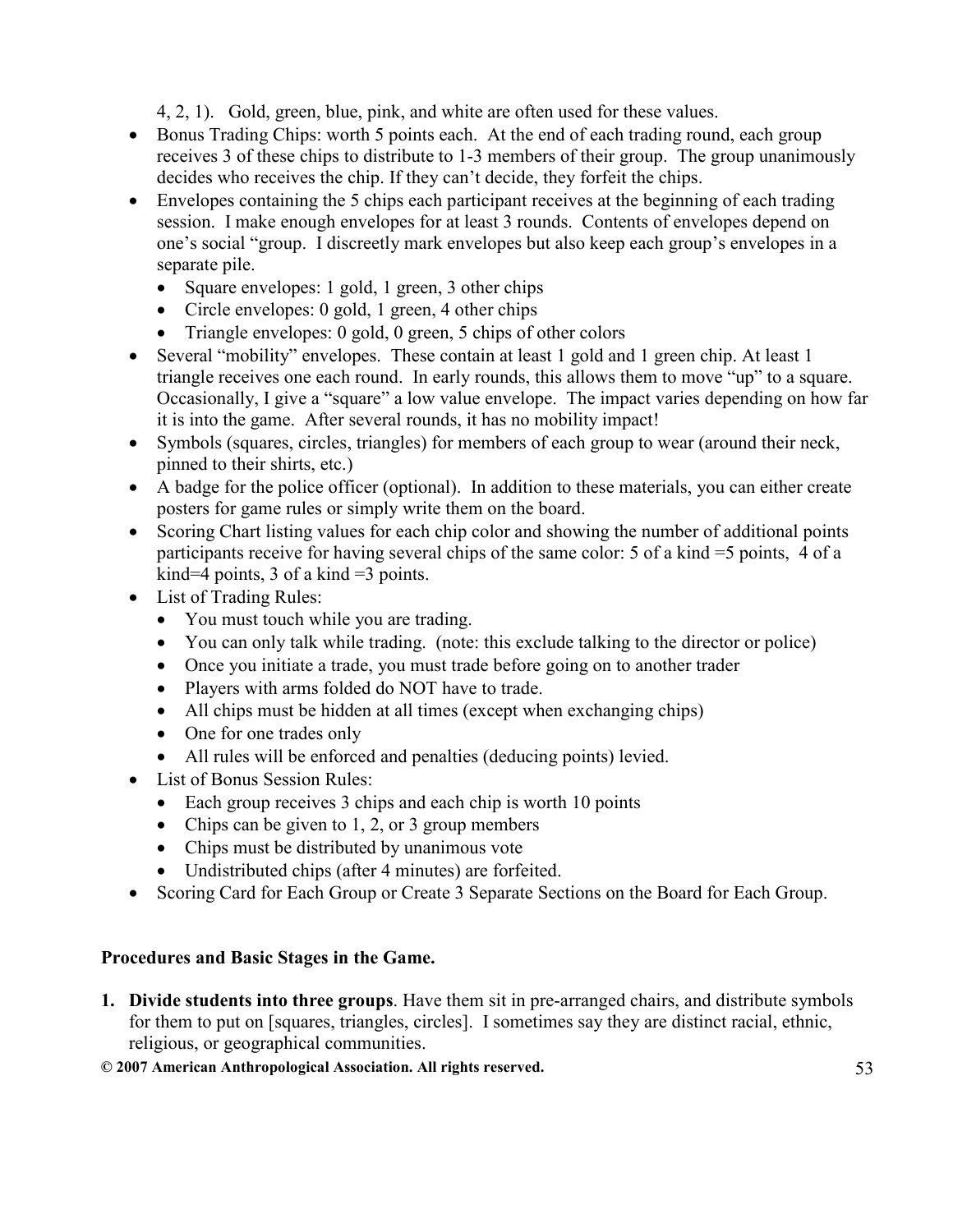4, 2, 1). Gold, green, blue, pink, and white are often used for these values.

- Bonus Trading Chips: worth 5 points each. At the end of each trading round, each group receives 3 of these chips to distribute to 1-3 members of their group. The group unanimously decides who receives the chip. If they can't decide, they forfeit the chips.
- Envelopes containing the 5 chips each participant receives at the beginning of each trading session. I make enough envelopes for at least 3 rounds. Contents of envelopes depend on one's social "group. I discreetly mark envelopes but also keep each group's envelopes in a separate pile.
	- Square envelopes: 1 gold, 1 green, 3 other chips
	- Circle envelopes: 0 gold, 1 green, 4 other chips
	- Triangle envelopes: 0 gold, 0 green, 5 chips of other colors
- Several "mobility" envelopes. These contain at least 1 gold and 1 green chip. At least 1 triangle receives one each round. In early rounds, this allows them to move "up" to a square. Occasionally, I give a "square" a low value envelope. The impact varies depending on how far it is into the game. After several rounds, it has no mobility impact!
- Symbols (squares, circles, triangles) for members of each group to wear (around their neck, pinned to their shirts, etc.)
- A badge for the police officer (optional). In addition to these materials, you can either create posters for game rules or simply write them on the board.
- Scoring Chart listing values for each chip color and showing the number of additional points participants receive for having several chips of the same color: 5 of a kind =5 points, 4 of a kind=4 points, 3 of a kind  $=$ 3 points.
- List of Trading Rules:
	- You must touch while you are trading.
	- You can only talk while trading. (note: this exclude talking to the director or police)
	- Once you initiate a trade, you must trade before going on to another trader
	- Players with arms folded do NOT have to trade.
	- All chips must be hidden at all times (except when exchanging chips)
	- One for one trades only
	- All rules will be enforced and penalties (deducing points) levied.
- List of Bonus Session Rules:
	- Each group receives 3 chips and each chip is worth 10 points
	- Chips can be given to 1, 2, or 3 group members
	- Chips must be distributed by unanimous vote
	- Undistributed chips (after 4 minutes) are forfeited.
- Scoring Card for Each Group or Create 3 Separate Sections on the Board for Each Group.

# Procedures and Basic Stages in the Game.

1. Divide students into three groups. Have them sit in pre-arranged chairs, and distribute symbols for them to put on [squares, triangles, circles]. I sometimes say they are distinct racial, ethnic, religious, or geographical communities.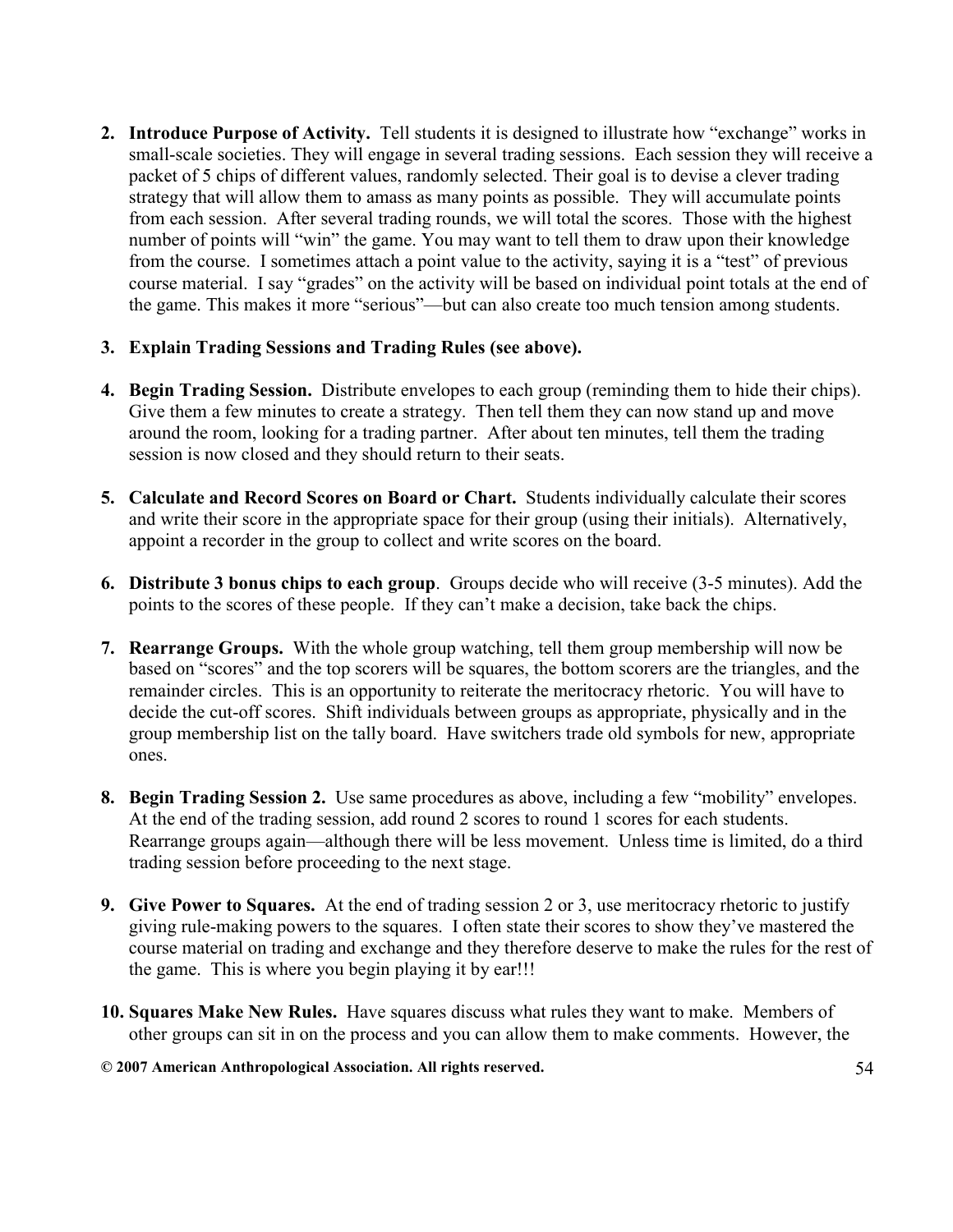- 2. Introduce Purpose of Activity. Tell students it is designed to illustrate how "exchange" works in small-scale societies. They will engage in several trading sessions. Each session they will receive a packet of 5 chips of different values, randomly selected. Their goal is to devise a clever trading strategy that will allow them to amass as many points as possible. They will accumulate points from each session. After several trading rounds, we will total the scores. Those with the highest number of points will "win" the game. You may want to tell them to draw upon their knowledge from the course. I sometimes attach a point value to the activity, saying it is a "test" of previous course material. I say "grades" on the activity will be based on individual point totals at the end of the game. This makes it more "serious"—but can also create too much tension among students.
- 3. Explain Trading Sessions and Trading Rules (see above).
- 4. Begin Trading Session. Distribute envelopes to each group (reminding them to hide their chips). Give them a few minutes to create a strategy. Then tell them they can now stand up and move around the room, looking for a trading partner. After about ten minutes, tell them the trading session is now closed and they should return to their seats.
- 5. Calculate and Record Scores on Board or Chart. Students individually calculate their scores and write their score in the appropriate space for their group (using their initials). Alternatively, appoint a recorder in the group to collect and write scores on the board.
- 6. Distribute 3 bonus chips to each group. Groups decide who will receive (3-5 minutes). Add the points to the scores of these people. If they can't make a decision, take back the chips.
- 7. Rearrange Groups. With the whole group watching, tell them group membership will now be based on "scores" and the top scorers will be squares, the bottom scorers are the triangles, and the remainder circles. This is an opportunity to reiterate the meritocracy rhetoric. You will have to decide the cut-off scores. Shift individuals between groups as appropriate, physically and in the group membership list on the tally board. Have switchers trade old symbols for new, appropriate ones.
- 8. Begin Trading Session 2. Use same procedures as above, including a few "mobility" envelopes. At the end of the trading session, add round 2 scores to round 1 scores for each students. Rearrange groups again—although there will be less movement. Unless time is limited, do a third trading session before proceeding to the next stage.
- 9. Give Power to Squares. At the end of trading session 2 or 3, use meritocracy rhetoric to justify giving rule-making powers to the squares. I often state their scores to show they've mastered the course material on trading and exchange and they therefore deserve to make the rules for the rest of the game. This is where you begin playing it by ear!!!
- 10. Squares Make New Rules. Have squares discuss what rules they want to make. Members of other groups can sit in on the process and you can allow them to make comments. However, the
- © 2007 American Anthropological Association. All rights reserved. 54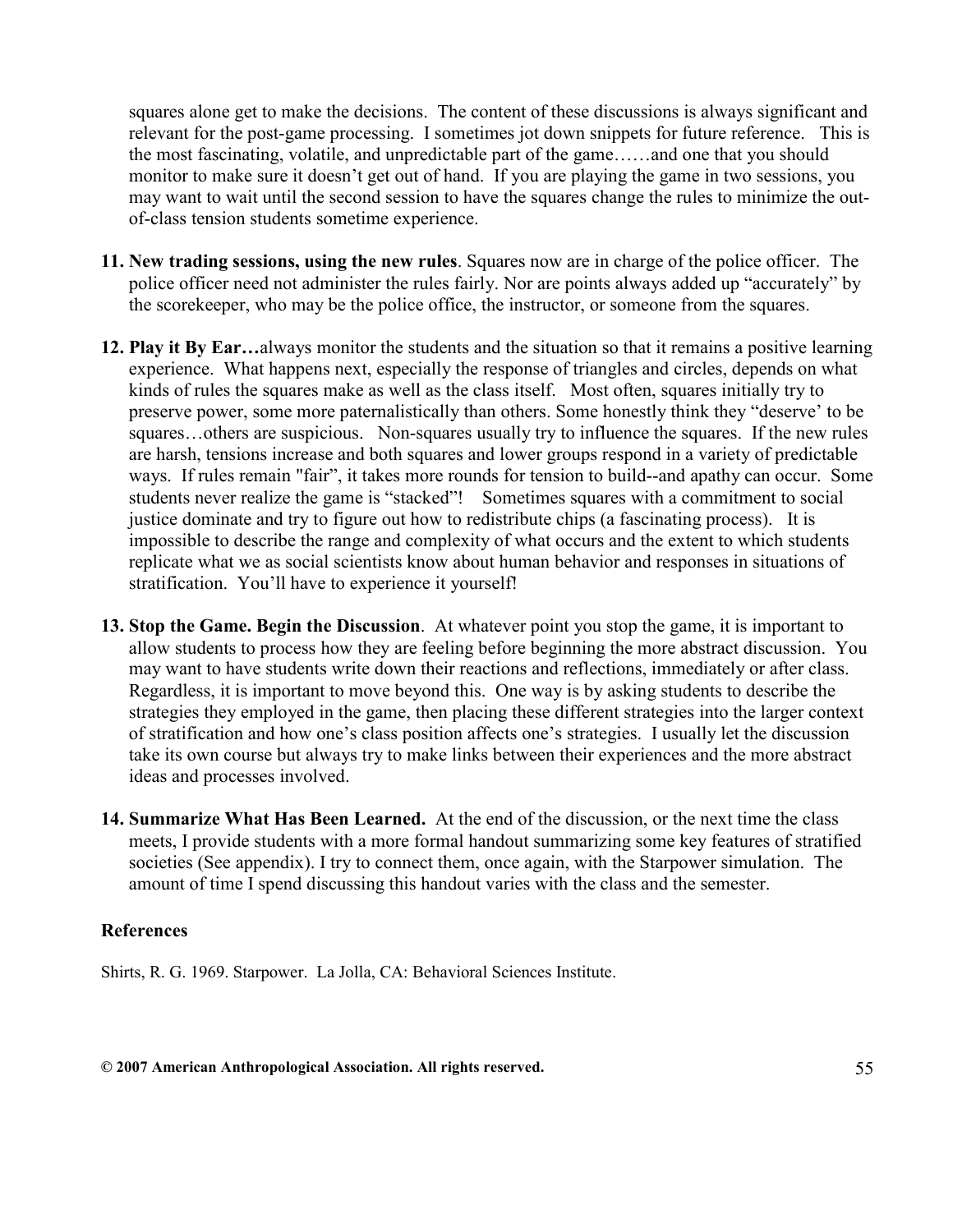squares alone get to make the decisions. The content of these discussions is always significant and relevant for the post-game processing. I sometimes jot down snippets for future reference. This is the most fascinating, volatile, and unpredictable part of the game……and one that you should monitor to make sure it doesn't get out of hand. If you are playing the game in two sessions, you may want to wait until the second session to have the squares change the rules to minimize the outof-class tension students sometime experience.

- 11. New trading sessions, using the new rules. Squares now are in charge of the police officer. The police officer need not administer the rules fairly. Nor are points always added up "accurately" by the scorekeeper, who may be the police office, the instructor, or someone from the squares.
- 12. Play it By Ear...always monitor the students and the situation so that it remains a positive learning experience. What happens next, especially the response of triangles and circles, depends on what kinds of rules the squares make as well as the class itself. Most often, squares initially try to preserve power, some more paternalistically than others. Some honestly think they "deserve' to be squares...others are suspicious. Non-squares usually try to influence the squares. If the new rules are harsh, tensions increase and both squares and lower groups respond in a variety of predictable ways. If rules remain "fair", it takes more rounds for tension to build--and apathy can occur. Some students never realize the game is "stacked"! Sometimes squares with a commitment to social justice dominate and try to figure out how to redistribute chips (a fascinating process). It is impossible to describe the range and complexity of what occurs and the extent to which students replicate what we as social scientists know about human behavior and responses in situations of stratification. You'll have to experience it yourself!
- 13. Stop the Game. Begin the Discussion. At whatever point you stop the game, it is important to allow students to process how they are feeling before beginning the more abstract discussion. You may want to have students write down their reactions and reflections, immediately or after class. Regardless, it is important to move beyond this. One way is by asking students to describe the strategies they employed in the game, then placing these different strategies into the larger context of stratification and how one's class position affects one's strategies. I usually let the discussion take its own course but always try to make links between their experiences and the more abstract ideas and processes involved.
- 14. Summarize What Has Been Learned. At the end of the discussion, or the next time the class meets, I provide students with a more formal handout summarizing some key features of stratified societies (See appendix). I try to connect them, once again, with the Starpower simulation. The amount of time I spend discussing this handout varies with the class and the semester.

#### References

Shirts, R. G. 1969. Starpower. La Jolla, CA: Behavioral Sciences Institute.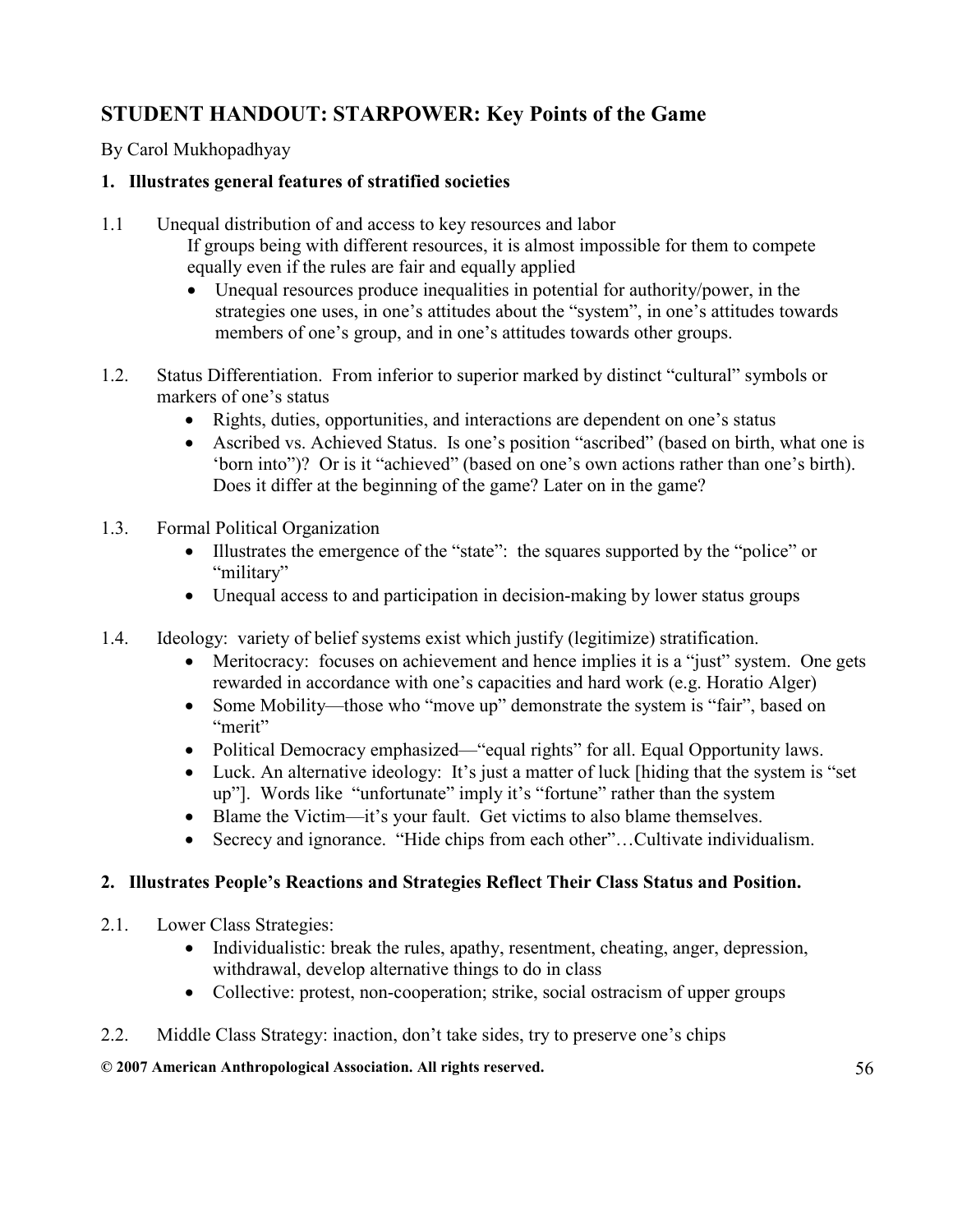# STUDENT HANDOUT: STARPOWER: Key Points of the Game

By Carol Mukhopadhyay

## 1. Illustrates general features of stratified societies

- 1.1 Unequal distribution of and access to key resources and labor If groups being with different resources, it is almost impossible for them to compete equally even if the rules are fair and equally applied
	- Unequal resources produce inequalities in potential for authority/power, in the strategies one uses, in one's attitudes about the "system", in one's attitudes towards members of one's group, and in one's attitudes towards other groups.
- 1.2. Status Differentiation. From inferior to superior marked by distinct "cultural" symbols or markers of one's status
	- Rights, duties, opportunities, and interactions are dependent on one's status
	- Ascribed vs. Achieved Status. Is one's position "ascribed" (based on birth, what one is 'born into")? Or is it "achieved" (based on one's own actions rather than one's birth). Does it differ at the beginning of the game? Later on in the game?
- 1.3. Formal Political Organization
	- Illustrates the emergence of the "state": the squares supported by the "police" or "military"
	- Unequal access to and participation in decision-making by lower status groups
- 1.4. Ideology: variety of belief systems exist which justify (legitimize) stratification.
	- Meritocracy: focuses on achievement and hence implies it is a "just" system. One gets rewarded in accordance with one's capacities and hard work (e.g. Horatio Alger)
	- Some Mobility—those who "move up" demonstrate the system is "fair", based on "merit"
	- Political Democracy emphasized—"equal rights" for all. Equal Opportunity laws.
	- Luck. An alternative ideology: It's just a matter of luck [hiding that the system is "set" up"]. Words like "unfortunate" imply it's "fortune" rather than the system
	- Blame the Victim—it's your fault. Get victims to also blame themselves.
	- Secrecy and ignorance. "Hide chips from each other"...Cultivate individualism.

# 2. Illustrates People's Reactions and Strategies Reflect Their Class Status and Position.

- 2.1. Lower Class Strategies:
	- Individualistic: break the rules, apathy, resentment, cheating, anger, depression, withdrawal, develop alternative things to do in class
	- Collective: protest, non-cooperation; strike, social ostracism of upper groups
- 2.2. Middle Class Strategy: inaction, don't take sides, try to preserve one's chips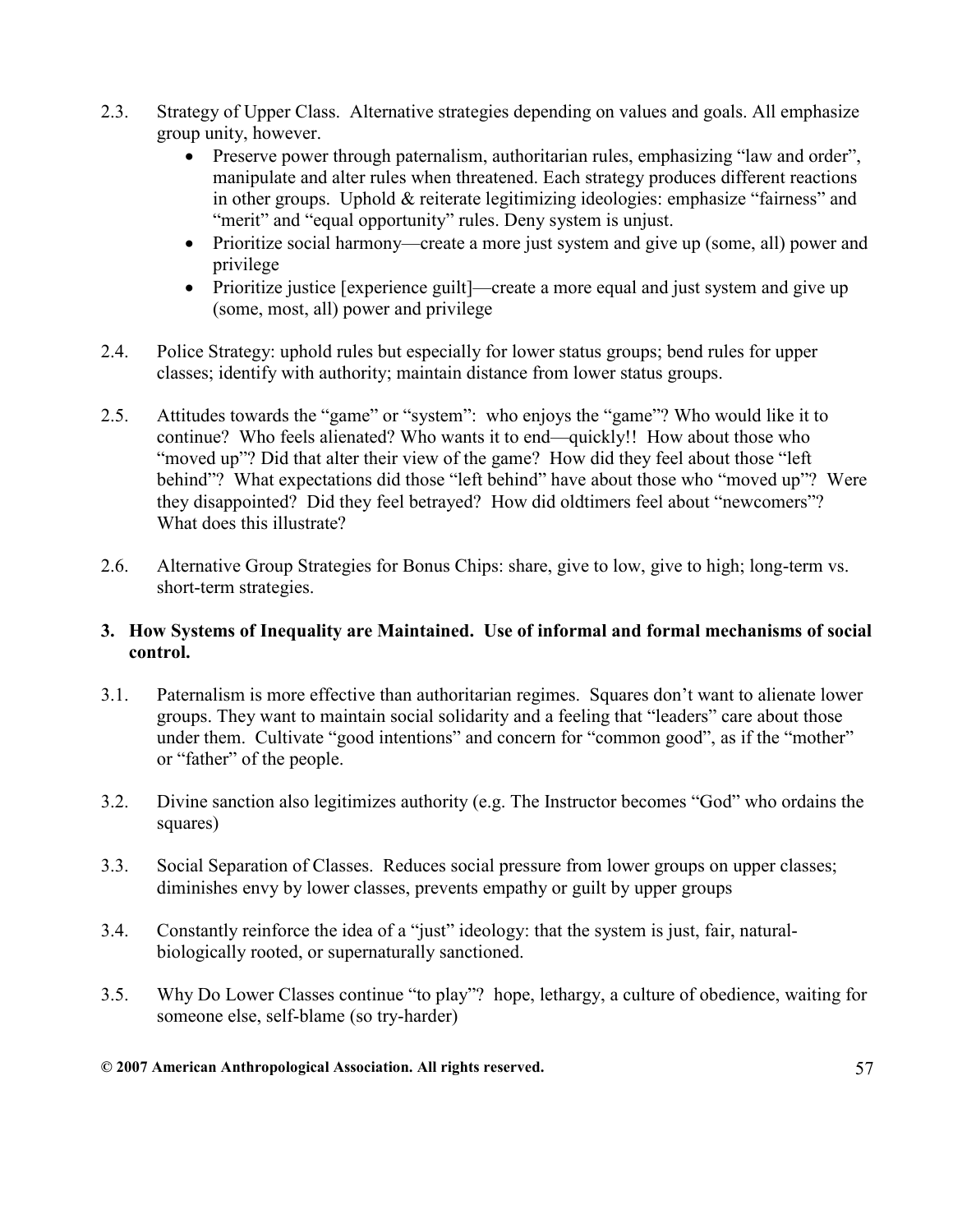- 2.3. Strategy of Upper Class. Alternative strategies depending on values and goals. All emphasize group unity, however.
	- Preserve power through paternalism, authoritarian rules, emphasizing "law and order", manipulate and alter rules when threatened. Each strategy produces different reactions in other groups. Uphold & reiterate legitimizing ideologies: emphasize "fairness" and "merit" and "equal opportunity" rules. Deny system is unjust.
	- Prioritize social harmony—create a more just system and give up (some, all) power and privilege
	- Prioritize justice [experience guilt]—create a more equal and just system and give up (some, most, all) power and privilege
- 2.4. Police Strategy: uphold rules but especially for lower status groups; bend rules for upper classes; identify with authority; maintain distance from lower status groups.
- 2.5. Attitudes towards the "game" or "system": who enjoys the "game"? Who would like it to continue? Who feels alienated? Who wants it to end—quickly!! How about those who "moved up"? Did that alter their view of the game? How did they feel about those "left" behind"? What expectations did those "left behind" have about those who "moved up"? Were they disappointed? Did they feel betrayed? How did oldtimers feel about "newcomers"? What does this illustrate?
- 2.6. Alternative Group Strategies for Bonus Chips: share, give to low, give to high; long-term vs. short-term strategies.

#### 3. How Systems of Inequality are Maintained. Use of informal and formal mechanisms of social control.

- 3.1. Paternalism is more effective than authoritarian regimes. Squares don't want to alienate lower groups. They want to maintain social solidarity and a feeling that "leaders" care about those under them. Cultivate "good intentions" and concern for "common good", as if the "mother" or "father" of the people.
- 3.2. Divine sanction also legitimizes authority (e.g. The Instructor becomes "God" who ordains the squares)
- 3.3. Social Separation of Classes. Reduces social pressure from lower groups on upper classes; diminishes envy by lower classes, prevents empathy or guilt by upper groups
- 3.4. Constantly reinforce the idea of a "just" ideology: that the system is just, fair, naturalbiologically rooted, or supernaturally sanctioned.
- 3.5. Why Do Lower Classes continue "to play"? hope, lethargy, a culture of obedience, waiting for someone else, self-blame (so try-harder)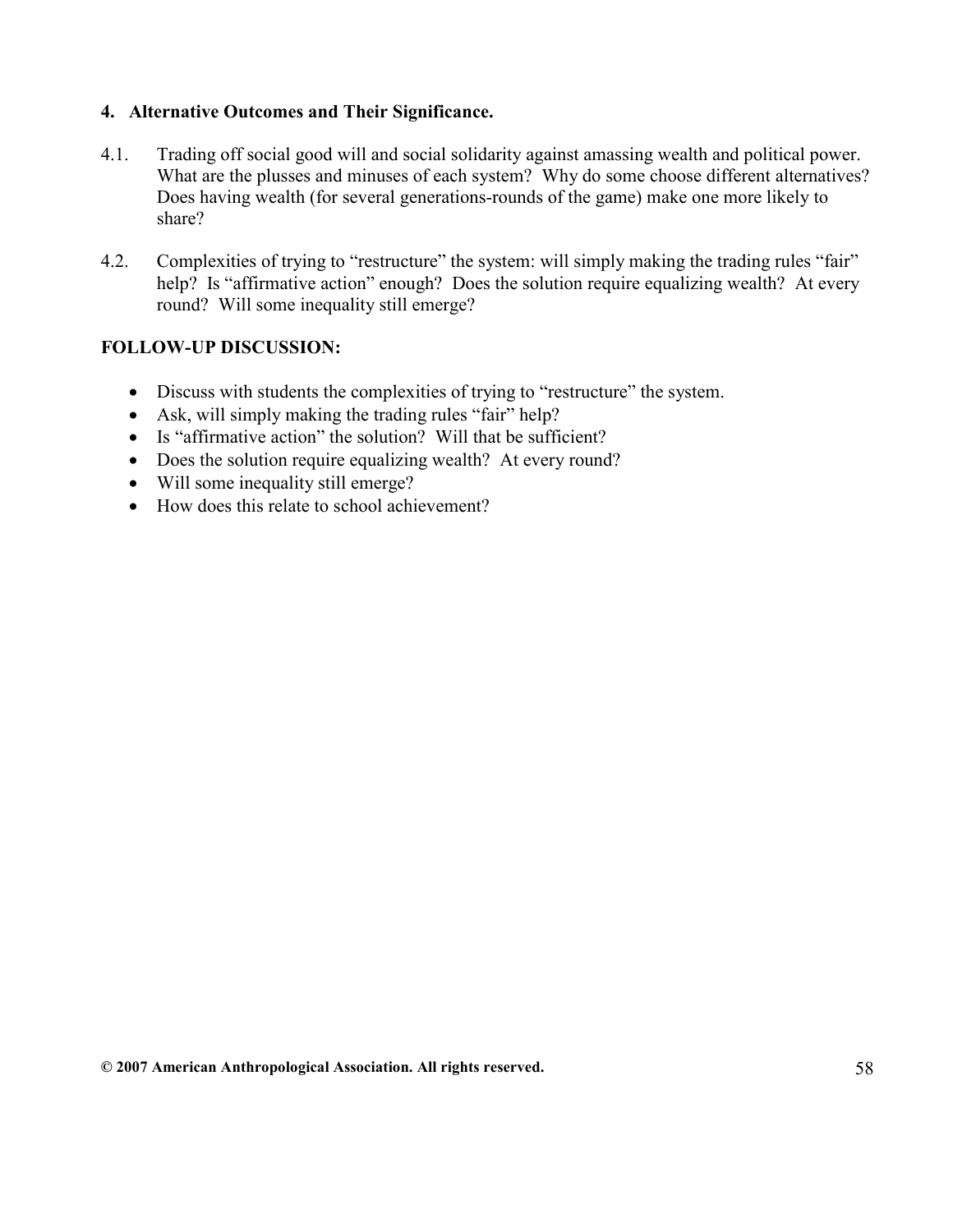#### 4. Alternative Outcomes and Their Significance.

- 4.1. Trading off social good will and social solidarity against amassing wealth and political power. What are the plusses and minuses of each system? Why do some choose different alternatives? Does having wealth (for several generations-rounds of the game) make one more likely to share?
- 4.2. Complexities of trying to "restructure" the system: will simply making the trading rules "fair" help? Is "affirmative action" enough? Does the solution require equalizing wealth? At every round? Will some inequality still emerge?

#### FOLLOW-UP DISCUSSION:

- Discuss with students the complexities of trying to "restructure" the system.
- Ask, will simply making the trading rules "fair" help?
- Is "affirmative action" the solution? Will that be sufficient?
- Does the solution require equalizing wealth? At every round?
- Will some inequality still emerge?
- How does this relate to school achievement?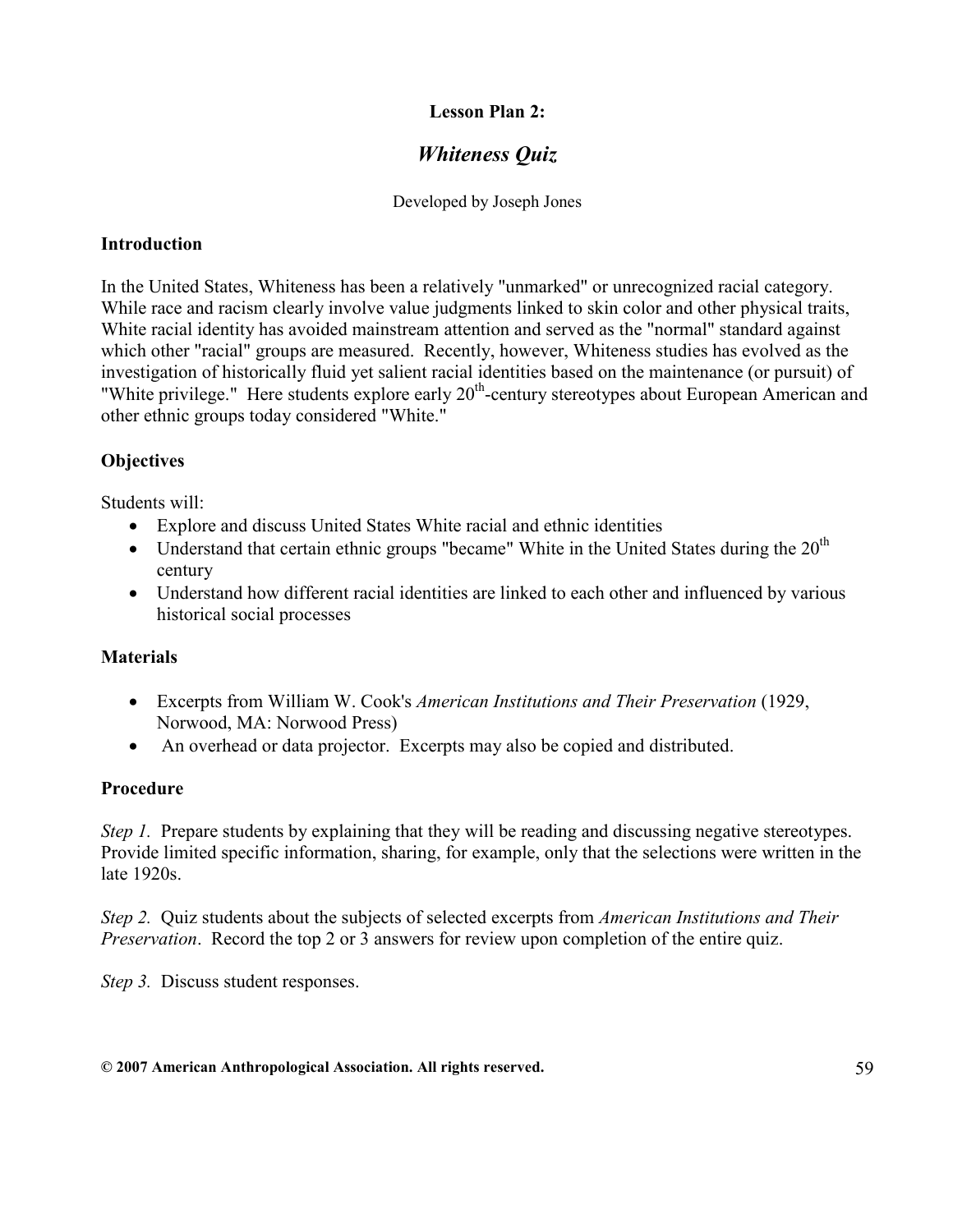#### Lesson Plan 2:

# Whiteness Quiz

Developed by Joseph Jones

#### **Introduction**

In the United States, Whiteness has been a relatively "unmarked" or unrecognized racial category. While race and racism clearly involve value judgments linked to skin color and other physical traits, White racial identity has avoided mainstream attention and served as the "normal" standard against which other "racial" groups are measured. Recently, however, Whiteness studies has evolved as the investigation of historically fluid yet salient racial identities based on the maintenance (or pursuit) of "White privilege." Here students explore early 20<sup>th</sup>-century stereotypes about European American and other ethnic groups today considered "White."

#### **Objectives**

Students will:

- Explore and discuss United States White racial and ethnic identities
- Understand that certain ethnic groups "became" White in the United States during the  $20<sup>th</sup>$ century
- Understand how different racial identities are linked to each other and influenced by various historical social processes

#### **Materials**

- Excerpts from William W. Cook's *American Institutions and Their Preservation* (1929, Norwood, MA: Norwood Press)
- An overhead or data projector. Excerpts may also be copied and distributed.

#### Procedure

Step 1. Prepare students by explaining that they will be reading and discussing negative stereotypes. Provide limited specific information, sharing, for example, only that the selections were written in the late 1920s.

Step 2. Ouiz students about the subjects of selected excerpts from American Institutions and Their Preservation. Record the top 2 or 3 answers for review upon completion of the entire quiz.

Step 3. Discuss student responses.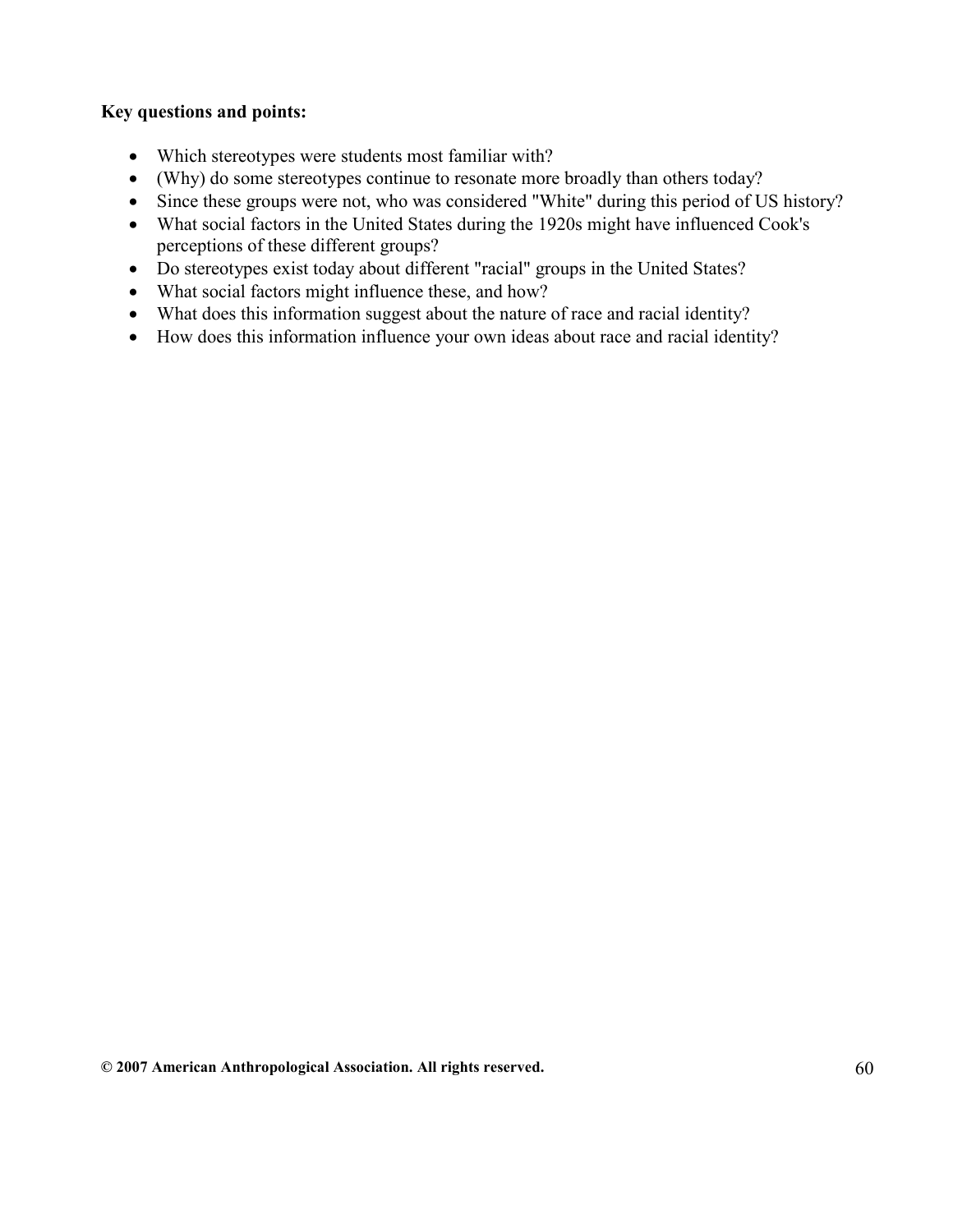#### Key questions and points:

- Which stereotypes were students most familiar with?
- (Why) do some stereotypes continue to resonate more broadly than others today?
- Since these groups were not, who was considered "White" during this period of US history?
- What social factors in the United States during the 1920s might have influenced Cook's perceptions of these different groups?
- Do stereotypes exist today about different "racial" groups in the United States?
- What social factors might influence these, and how?
- What does this information suggest about the nature of race and racial identity?
- How does this information influence your own ideas about race and racial identity?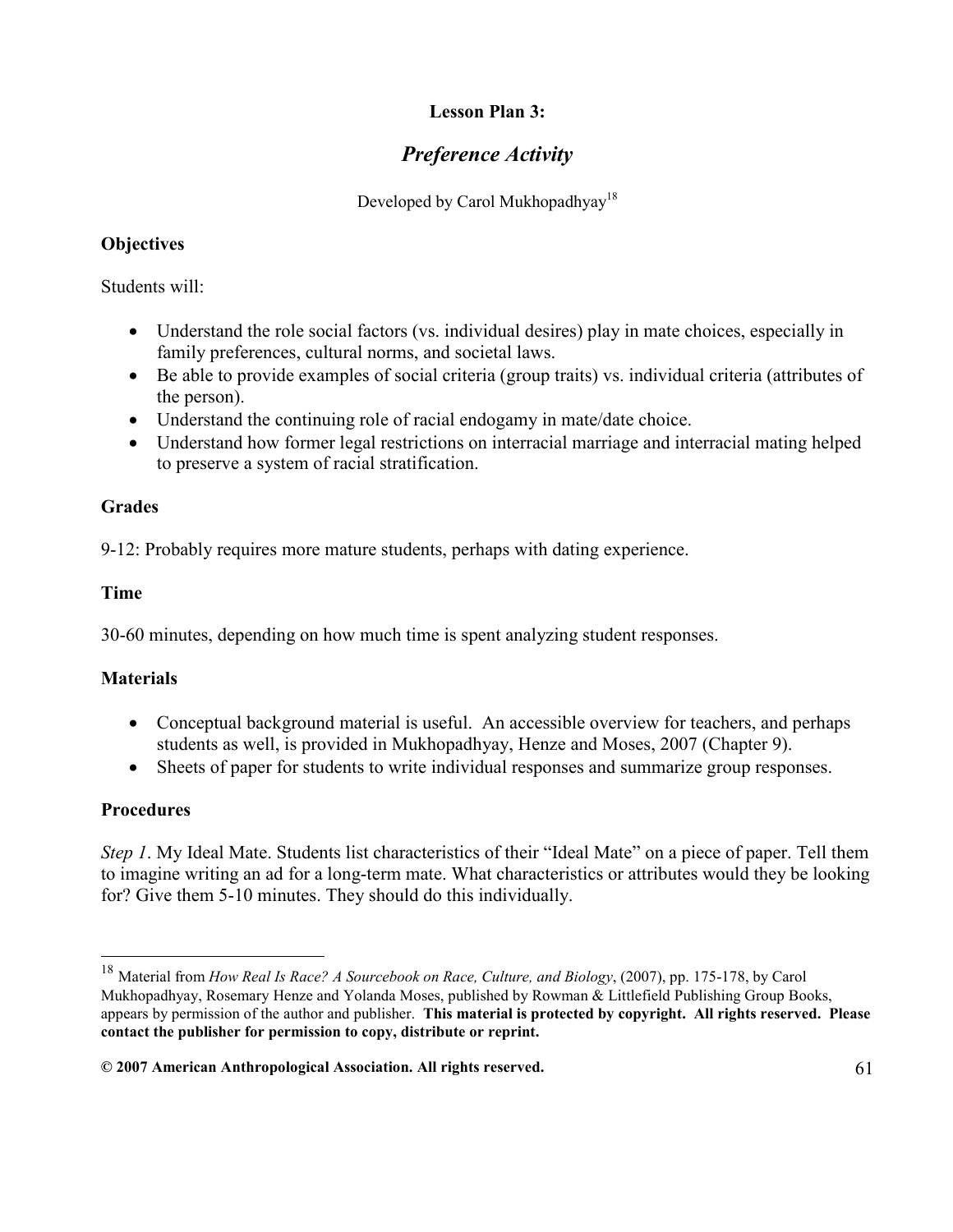# Lesson Plan 3:

# Preference Activity

Developed by Carol Mukhopadhyay<sup>18</sup>

# **Objectives**

Students will:

- Understand the role social factors (vs. individual desires) play in mate choices, especially in family preferences, cultural norms, and societal laws.
- Be able to provide examples of social criteria (group traits) vs. individual criteria (attributes of the person).
- Understand the continuing role of racial endogamy in mate/date choice.
- Understand how former legal restrictions on interracial marriage and interracial mating helped to preserve a system of racial stratification.

# Grades

9-12: Probably requires more mature students, perhaps with dating experience.

# Time

30-60 minutes, depending on how much time is spent analyzing student responses.

# **Materials**

- Conceptual background material is useful. An accessible overview for teachers, and perhaps students as well, is provided in Mukhopadhyay, Henze and Moses, 2007 (Chapter 9).
- Sheets of paper for students to write individual responses and summarize group responses.

# **Procedures**

Step 1. My Ideal Mate. Students list characteristics of their "Ideal Mate" on a piece of paper. Tell them to imagine writing an ad for a long-term mate. What characteristics or attributes would they be looking for? Give them 5-10 minutes. They should do this individually.

 $18\,$ Material from How Real Is Race? A Sourcebook on Race, Culture, and Biology, (2007), pp. 175-178, by Carol Mukhopadhyay, Rosemary Henze and Yolanda Moses, published by Rowman & Littlefield Publishing Group Books, appears by permission of the author and publisher. This material is protected by copyright. All rights reserved. Please contact the publisher for permission to copy, distribute or reprint.

 $@$  2007 American Anthropological Association. All rights reserved.  $61$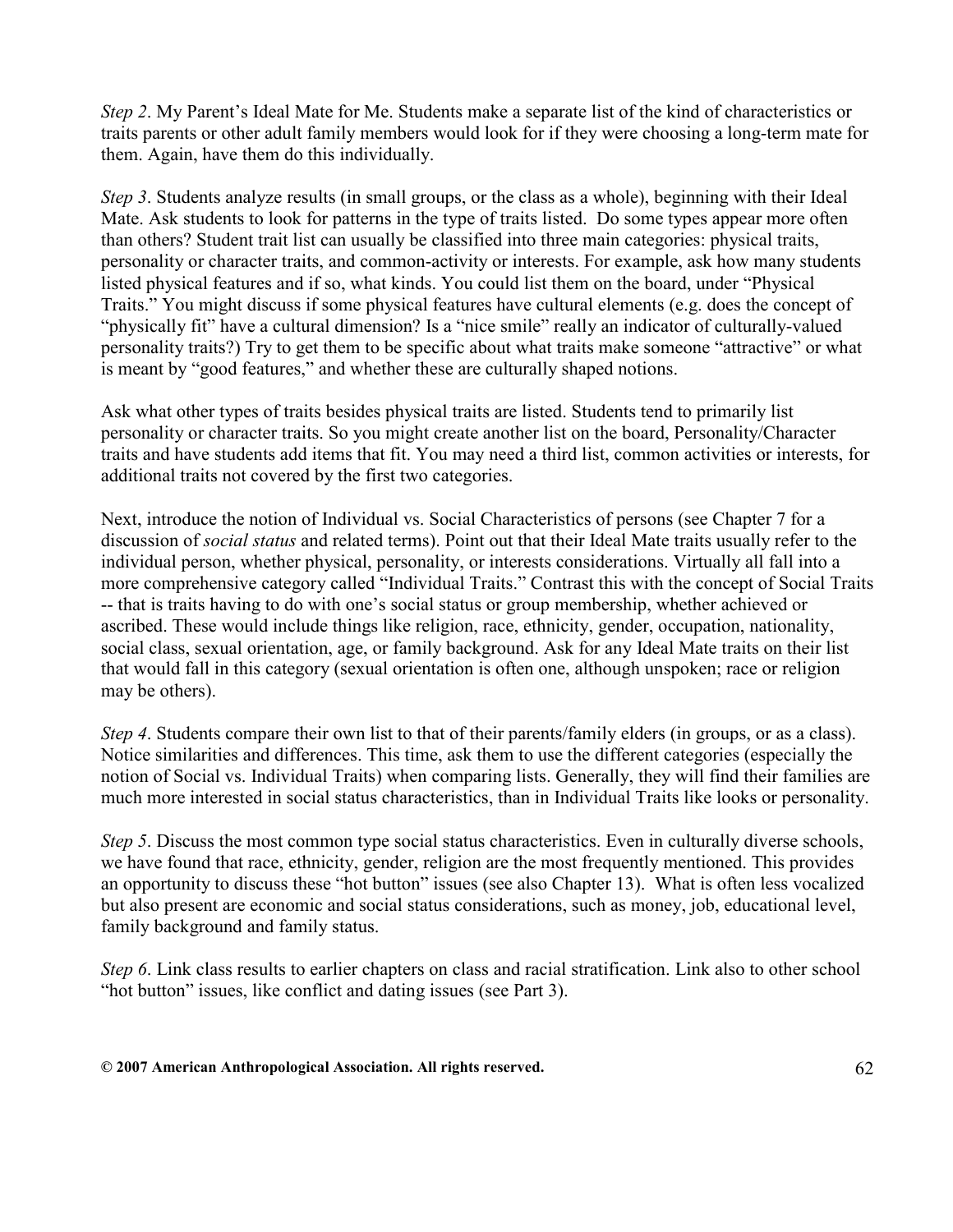Step 2. My Parent's Ideal Mate for Me. Students make a separate list of the kind of characteristics or traits parents or other adult family members would look for if they were choosing a long-term mate for them. Again, have them do this individually.

Step 3. Students analyze results (in small groups, or the class as a whole), beginning with their Ideal Mate. Ask students to look for patterns in the type of traits listed. Do some types appear more often than others? Student trait list can usually be classified into three main categories: physical traits, personality or character traits, and common-activity or interests. For example, ask how many students listed physical features and if so, what kinds. You could list them on the board, under "Physical Traits." You might discuss if some physical features have cultural elements (e.g. does the concept of "physically fit" have a cultural dimension? Is a "nice smile" really an indicator of culturally-valued personality traits?) Try to get them to be specific about what traits make someone "attractive" or what is meant by "good features," and whether these are culturally shaped notions.

Ask what other types of traits besides physical traits are listed. Students tend to primarily list personality or character traits. So you might create another list on the board, Personality/Character traits and have students add items that fit. You may need a third list, common activities or interests, for additional traits not covered by the first two categories.

Next, introduce the notion of Individual vs. Social Characteristics of persons (see Chapter 7 for a discussion of social status and related terms). Point out that their Ideal Mate traits usually refer to the individual person, whether physical, personality, or interests considerations. Virtually all fall into a more comprehensive category called "Individual Traits." Contrast this with the concept of Social Traits -- that is traits having to do with one's social status or group membership, whether achieved or ascribed. These would include things like religion, race, ethnicity, gender, occupation, nationality, social class, sexual orientation, age, or family background. Ask for any Ideal Mate traits on their list that would fall in this category (sexual orientation is often one, although unspoken; race or religion may be others).

Step 4. Students compare their own list to that of their parents/family elders (in groups, or as a class). Notice similarities and differences. This time, ask them to use the different categories (especially the notion of Social vs. Individual Traits) when comparing lists. Generally, they will find their families are much more interested in social status characteristics, than in Individual Traits like looks or personality.

Step 5. Discuss the most common type social status characteristics. Even in culturally diverse schools, we have found that race, ethnicity, gender, religion are the most frequently mentioned. This provides an opportunity to discuss these "hot button" issues (see also Chapter 13). What is often less vocalized but also present are economic and social status considerations, such as money, job, educational level, family background and family status.

Step 6. Link class results to earlier chapters on class and racial stratification. Link also to other school "hot button" issues, like conflict and dating issues (see Part 3).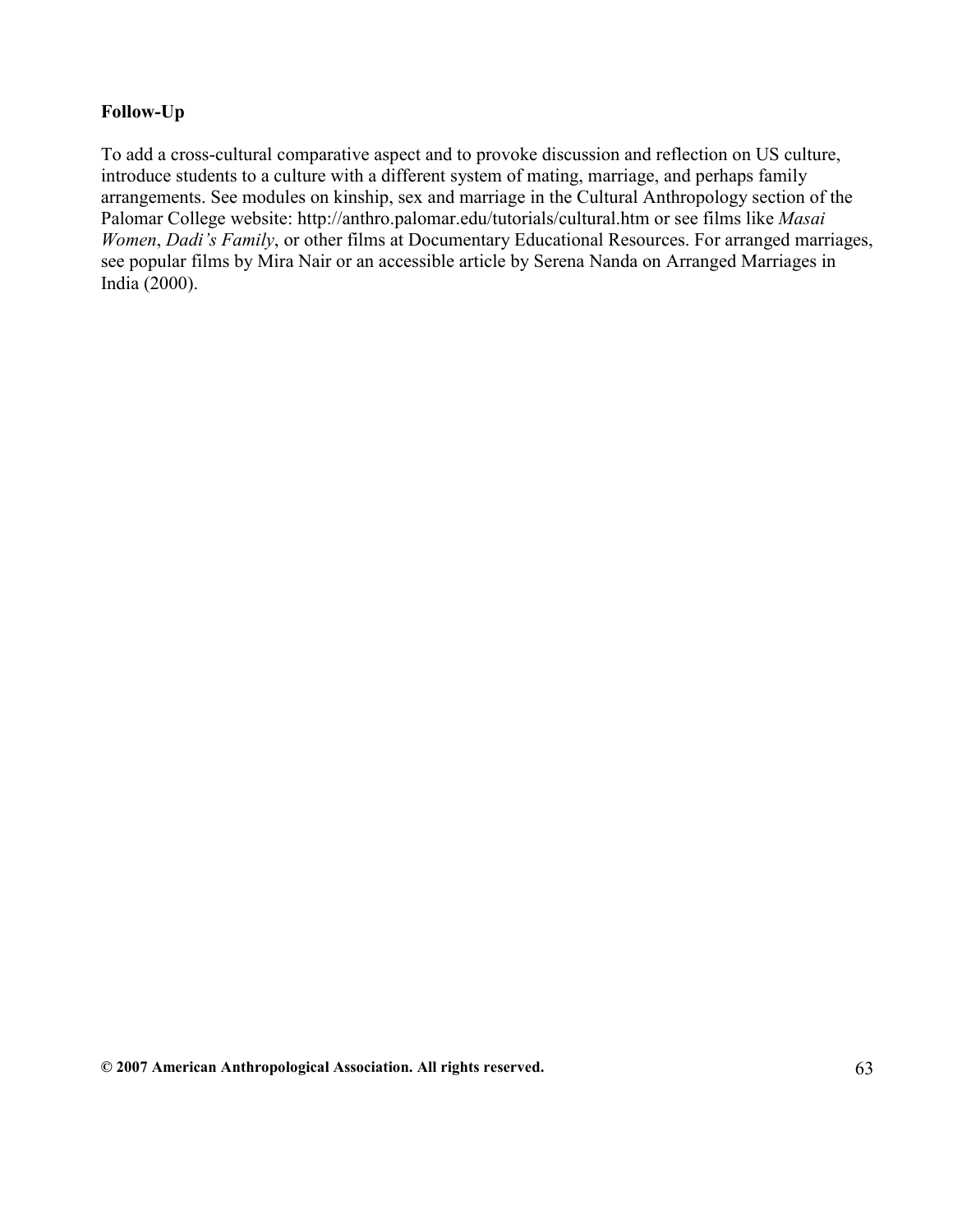#### Follow-Up

To add a cross-cultural comparative aspect and to provoke discussion and reflection on US culture, introduce students to a culture with a different system of mating, marriage, and perhaps family arrangements. See modules on kinship, sex and marriage in the Cultural Anthropology section of the Palomar College website: http://anthro.palomar.edu/tutorials/cultural.htm or see films like Masai Women, Dadi's Family, or other films at Documentary Educational Resources. For arranged marriages, see popular films by Mira Nair or an accessible article by Serena Nanda on Arranged Marriages in India (2000).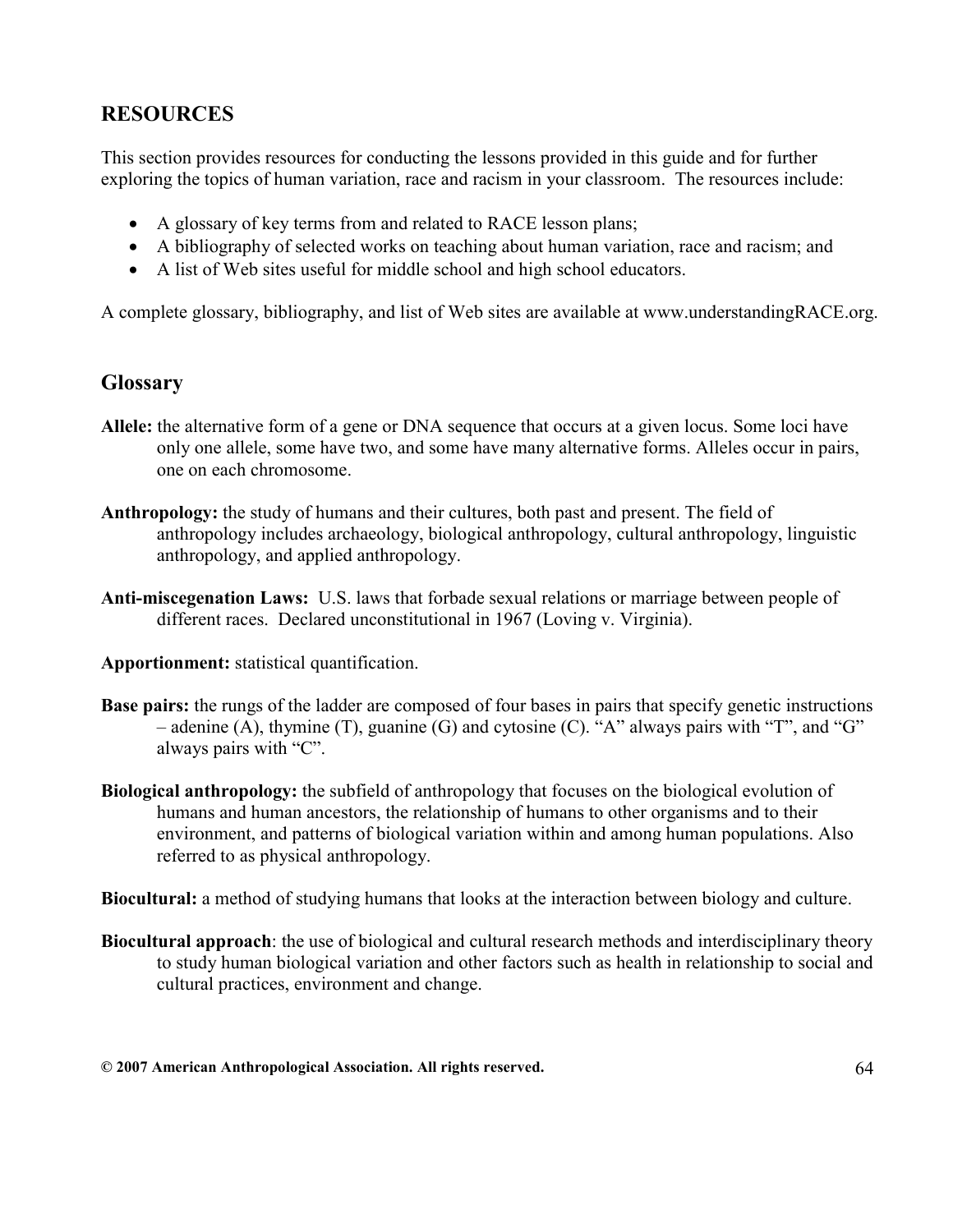# RESOURCES

This section provides resources for conducting the lessons provided in this guide and for further exploring the topics of human variation, race and racism in your classroom. The resources include:

- A glossary of key terms from and related to RACE lesson plans;
- A bibliography of selected works on teaching about human variation, race and racism; and
- A list of Web sites useful for middle school and high school educators.

A complete glossary, bibliography, and list of Web sites are available at www.understandingRACE.org.

# **Glossary**

- Allele: the alternative form of a gene or DNA sequence that occurs at a given locus. Some loci have only one allele, some have two, and some have many alternative forms. Alleles occur in pairs, one on each chromosome.
- Anthropology: the study of humans and their cultures, both past and present. The field of anthropology includes archaeology, biological anthropology, cultural anthropology, linguistic anthropology, and applied anthropology.
- Anti-miscegenation Laws: U.S. laws that forbade sexual relations or marriage between people of different races. Declared unconstitutional in 1967 (Loving v. Virginia).
- Apportionment: statistical quantification.
- Base pairs: the rungs of the ladder are composed of four bases in pairs that specify genetic instructions – adenine (A), thymine (T), guanine (G) and cytosine (C). "A" always pairs with "T", and "G" always pairs with "C".
- Biological anthropology: the subfield of anthropology that focuses on the biological evolution of humans and human ancestors, the relationship of humans to other organisms and to their environment, and patterns of biological variation within and among human populations. Also referred to as physical anthropology.

Biocultural: a method of studying humans that looks at the interaction between biology and culture.

Biocultural approach: the use of biological and cultural research methods and interdisciplinary theory to study human biological variation and other factors such as health in relationship to social and cultural practices, environment and change.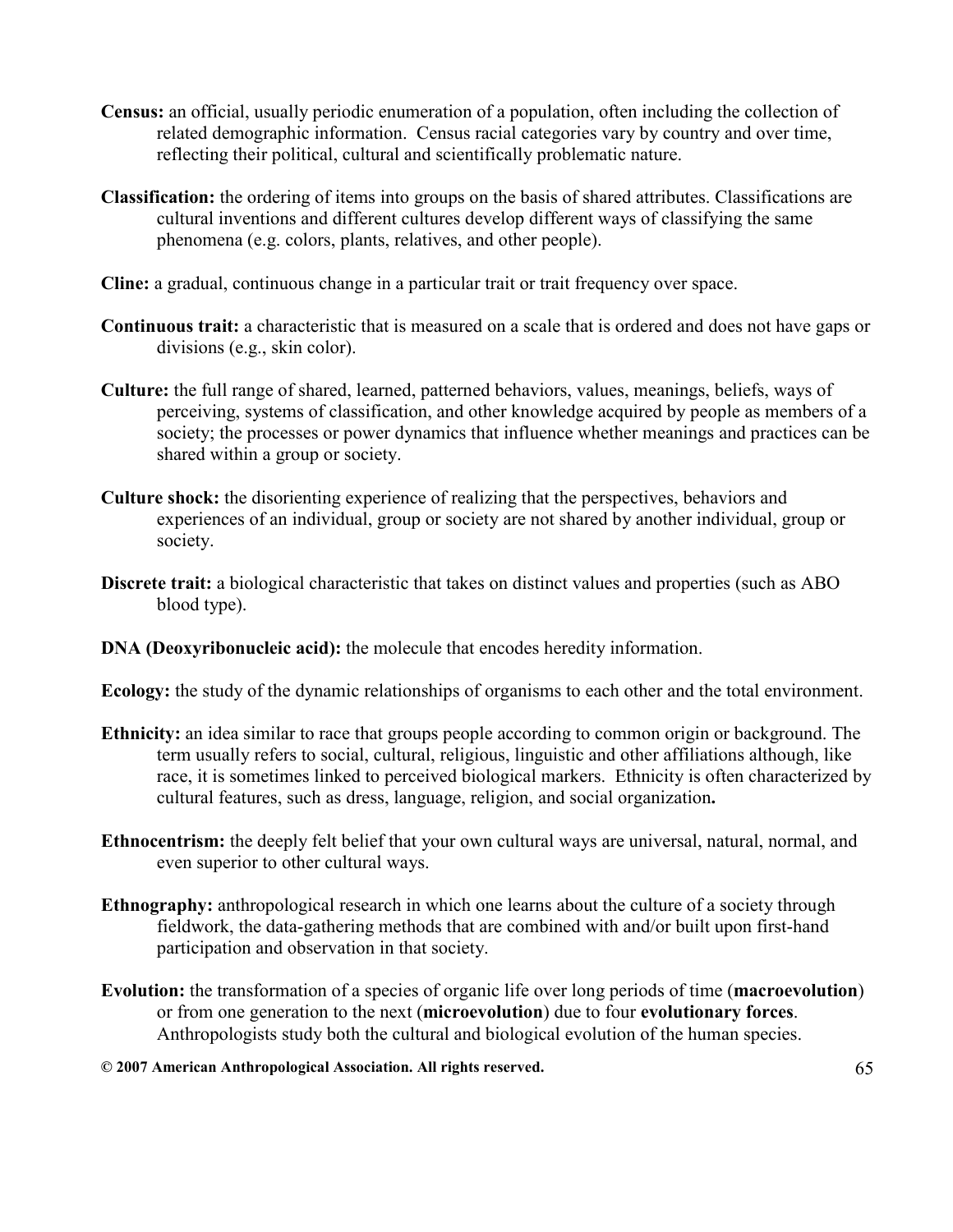- Census: an official, usually periodic enumeration of a population, often including the collection of related demographic information. Census racial categories vary by country and over time, reflecting their political, cultural and scientifically problematic nature.
- Classification: the ordering of items into groups on the basis of shared attributes. Classifications are cultural inventions and different cultures develop different ways of classifying the same phenomena (e.g. colors, plants, relatives, and other people).
- Cline: a gradual, continuous change in a particular trait or trait frequency over space.
- Continuous trait: a characteristic that is measured on a scale that is ordered and does not have gaps or divisions (e.g., skin color).
- Culture: the full range of shared, learned, patterned behaviors, values, meanings, beliefs, ways of perceiving, systems of classification, and other knowledge acquired by people as members of a society; the processes or power dynamics that influence whether meanings and practices can be shared within a group or society.
- Culture shock: the disorienting experience of realizing that the perspectives, behaviors and experiences of an individual, group or society are not shared by another individual, group or society.
- Discrete trait: a biological characteristic that takes on distinct values and properties (such as ABO blood type).
- DNA (Deoxyribonucleic acid): the molecule that encodes heredity information.
- Ecology: the study of the dynamic relationships of organisms to each other and the total environment.
- Ethnicity: an idea similar to race that groups people according to common origin or background. The term usually refers to social, cultural, religious, linguistic and other affiliations although, like race, it is sometimes linked to perceived biological markers. Ethnicity is often characterized by cultural features, such as dress, language, religion, and social organization.
- Ethnocentrism: the deeply felt belief that your own cultural ways are universal, natural, normal, and even superior to other cultural ways.
- Ethnography: anthropological research in which one learns about the culture of a society through fieldwork, the data-gathering methods that are combined with and/or built upon first-hand participation and observation in that society.
- Evolution: the transformation of a species of organic life over long periods of time (macroevolution) or from one generation to the next (microevolution) due to four evolutionary forces. Anthropologists study both the cultural and biological evolution of the human species.
- © 2007 American Anthropological Association. All rights reserved. 65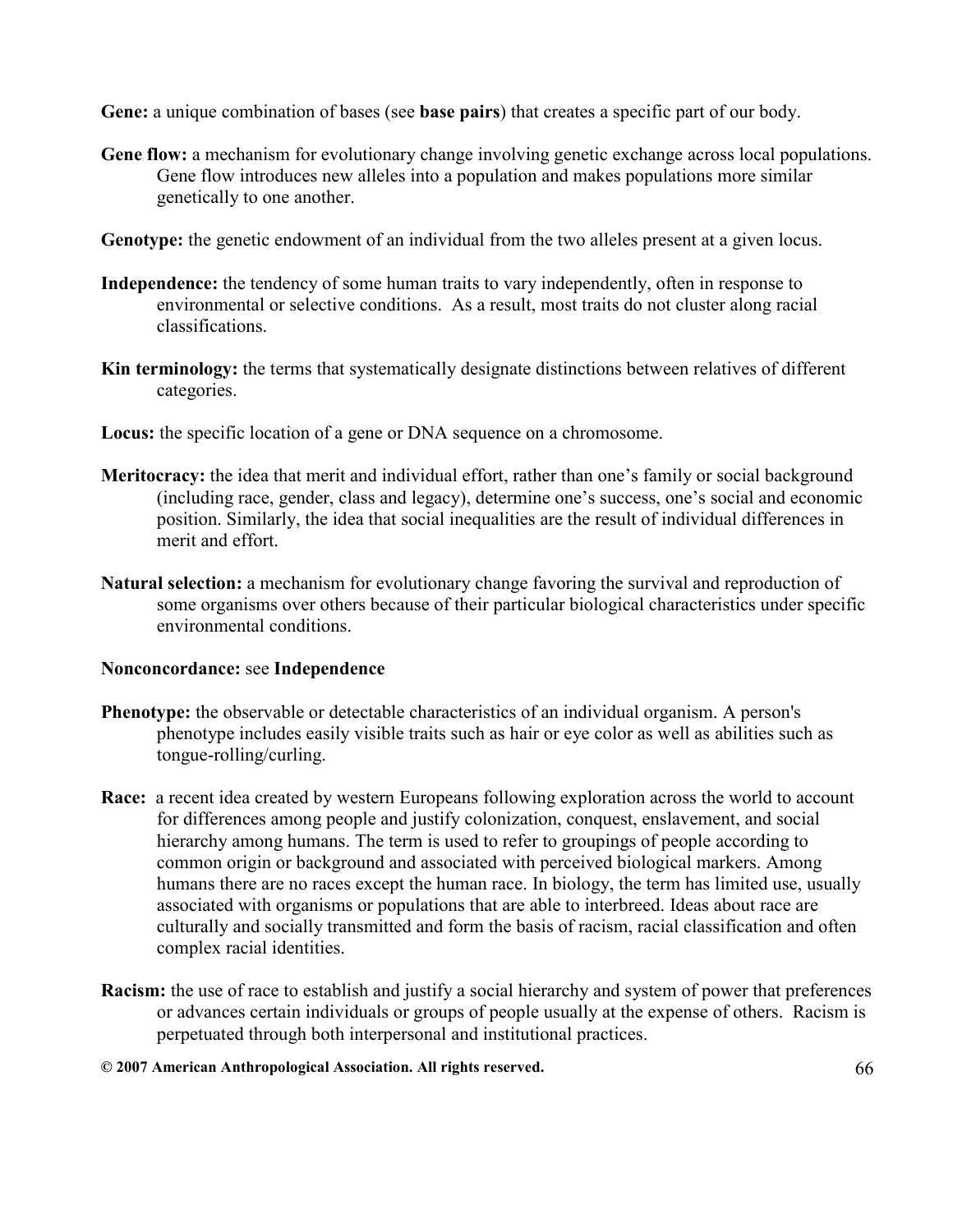Gene: a unique combination of bases (see **base pairs**) that creates a specific part of our body.

- Gene flow: a mechanism for evolutionary change involving genetic exchange across local populations. Gene flow introduces new alleles into a population and makes populations more similar genetically to one another.
- Genotype: the genetic endowment of an individual from the two alleles present at a given locus.
- Independence: the tendency of some human traits to vary independently, often in response to environmental or selective conditions. As a result, most traits do not cluster along racial classifications.
- Kin terminology: the terms that systematically designate distinctions between relatives of different categories.
- Locus: the specific location of a gene or DNA sequence on a chromosome.
- Meritocracy: the idea that merit and individual effort, rather than one's family or social background (including race, gender, class and legacy), determine one's success, one's social and economic position. Similarly, the idea that social inequalities are the result of individual differences in merit and effort.
- Natural selection: a mechanism for evolutionary change favoring the survival and reproduction of some organisms over others because of their particular biological characteristics under specific environmental conditions.

#### Nonconcordance: see Independence

- Phenotype: the observable or detectable characteristics of an individual organism. A person's phenotype includes easily visible traits such as hair or eye color as well as abilities such as tongue-rolling/curling.
- Race: a recent idea created by western Europeans following exploration across the world to account for differences among people and justify colonization, conquest, enslavement, and social hierarchy among humans. The term is used to refer to groupings of people according to common origin or background and associated with perceived biological markers. Among humans there are no races except the human race. In biology, the term has limited use, usually associated with organisms or populations that are able to interbreed. Ideas about race are culturally and socially transmitted and form the basis of racism, racial classification and often complex racial identities.
- Racism: the use of race to establish and justify a social hierarchy and system of power that preferences or advances certain individuals or groups of people usually at the expense of others. Racism is perpetuated through both interpersonal and institutional practices.
- © 2007 American Anthropological Association. All rights reserved. 66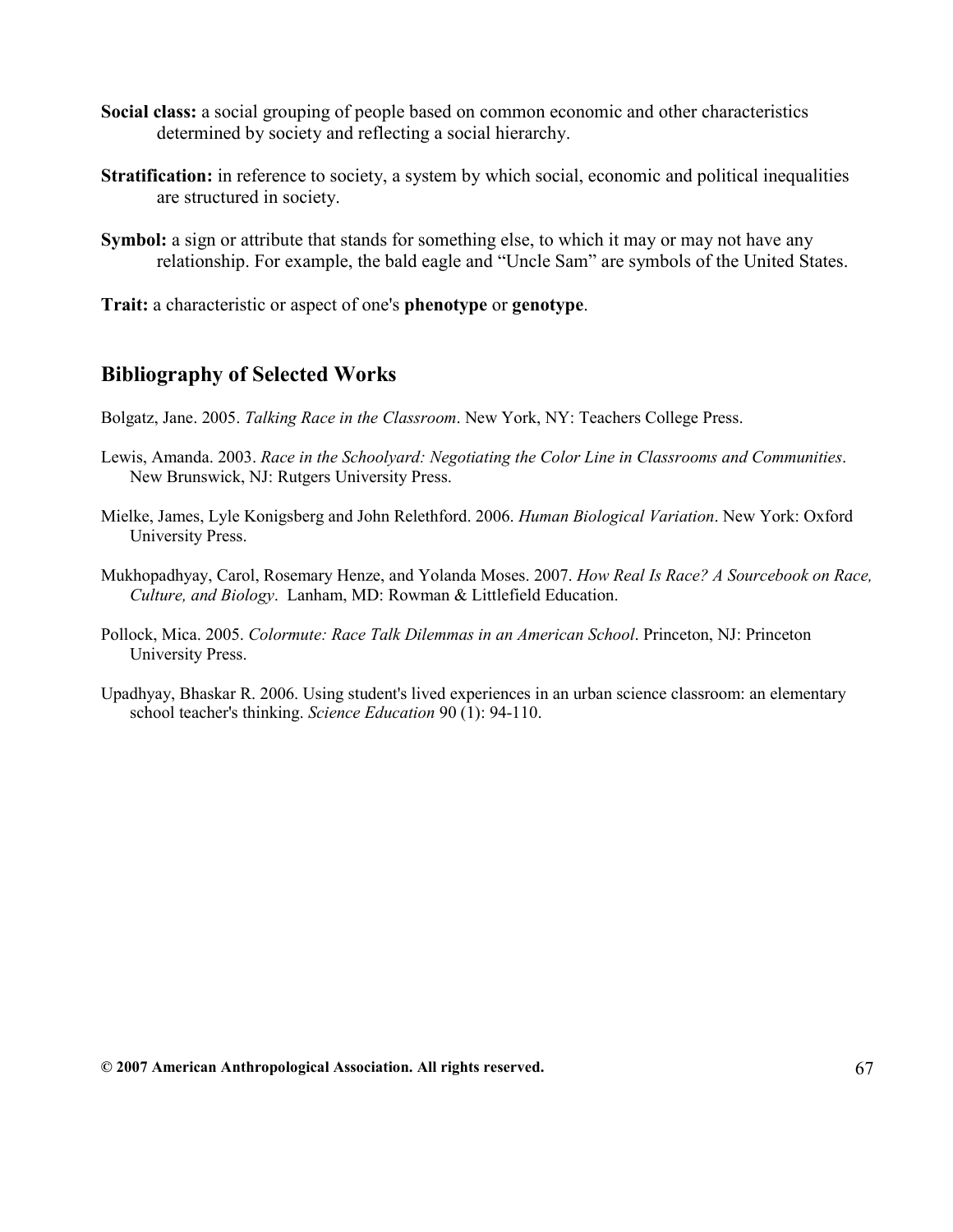- Social class: a social grouping of people based on common economic and other characteristics determined by society and reflecting a social hierarchy.
- Stratification: in reference to society, a system by which social, economic and political inequalities are structured in society.
- Symbol: a sign or attribute that stands for something else, to which it may or may not have any relationship. For example, the bald eagle and "Uncle Sam" are symbols of the United States.

Trait: a characteristic or aspect of one's phenotype or genotype.

# Bibliography of Selected Works

- Bolgatz, Jane. 2005. Talking Race in the Classroom. New York, NY: Teachers College Press.
- Lewis, Amanda. 2003. Race in the Schoolyard: Negotiating the Color Line in Classrooms and Communities. New Brunswick, NJ: Rutgers University Press.
- Mielke, James, Lyle Konigsberg and John Relethford. 2006. *Human Biological Variation*. New York: Oxford University Press.
- Mukhopadhyay, Carol, Rosemary Henze, and Yolanda Moses. 2007. How Real Is Race? A Sourcebook on Race, Culture, and Biology. Lanham, MD: Rowman & Littlefield Education.
- Pollock, Mica. 2005. Colormute: Race Talk Dilemmas in an American School. Princeton, NJ: Princeton University Press.
- Upadhyay, Bhaskar R. 2006. Using student's lived experiences in an urban science classroom: an elementary school teacher's thinking. Science Education 90 (1): 94-110.